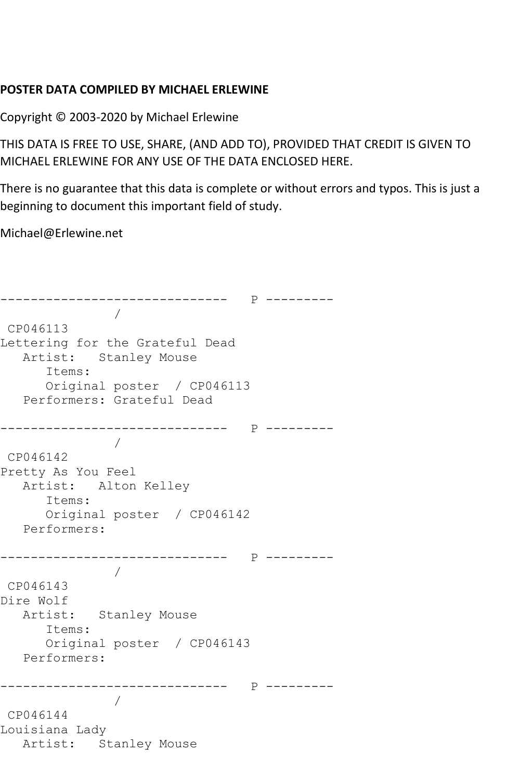## **POSTER DATA COMPILED BY MICHAEL ERLEWINE**

Copyright © 2003-2020 by Michael Erlewine

THIS DATA IS FREE TO USE, SHARE, (AND ADD TO), PROVIDED THAT CREDIT IS GIVEN TO MICHAEL ERLEWINE FOR ANY USE OF THE DATA ENCLOSED HERE.

There is no guarantee that this data is complete or without errors and typos. This is just a beginning to document this important field of study.

Michael@Erlewine.net

```
------------------------------ P ---------
 / 
CP046113
Lettering for the Grateful Dead
  Artist: Stanley Mouse
      Items:
      Original poster / CP046113
   Performers: Grateful Dead
------------------------------ P ---------
 / 
CP046142
Pretty As You Feel
  Artist: Alton Kelley
      Items:
      Original poster / CP046142
   Performers:
------------------------------ P ---------
 / 
CP046143
Dire Wolf
  Artist: Stanley Mouse
      Items:
      Original poster / CP046143
   Performers:
------------------------------ P ---------
 / 
CP046144
Louisiana Lady
   Artist: Stanley Mouse
```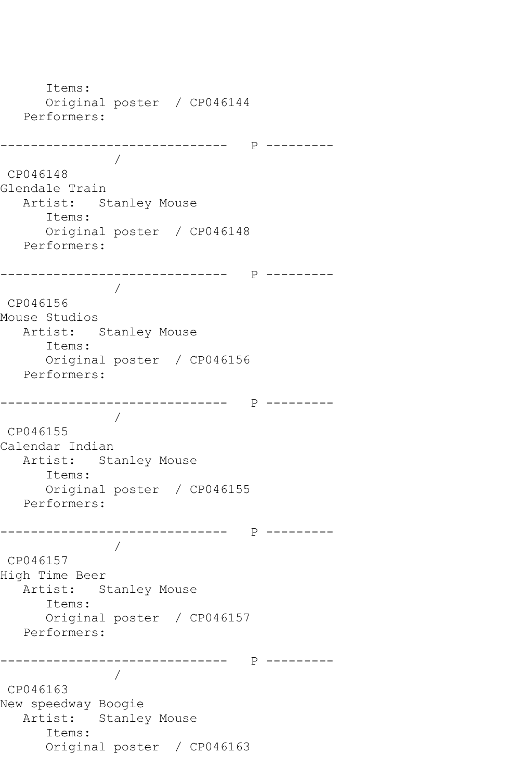```
 Items:
      Original poster / CP046144
   Performers:
------------------------------ P ---------
 / 
CP046148
Glendale Train
   Artist: Stanley Mouse
      Items:
      Original poster / CP046148
   Performers:
------------------------------ P ---------
 / 
CP046156
Mouse Studios
   Artist: Stanley Mouse
      Items:
      Original poster / CP046156
   Performers:
      ------------------------------ P ---------
 / 
CP046155
Calendar Indian
   Artist: Stanley Mouse
      Items:
      Original poster / CP046155
   Performers:
------------------------------ P ---------
 / 
CP046157
High Time Beer
   Artist: Stanley Mouse
      Items:
      Original poster / CP046157
   Performers:
             ------------------------------ P ---------
 / 
CP046163
New speedway Boogie
   Artist: Stanley Mouse
      Items:
      Original poster / CP046163
```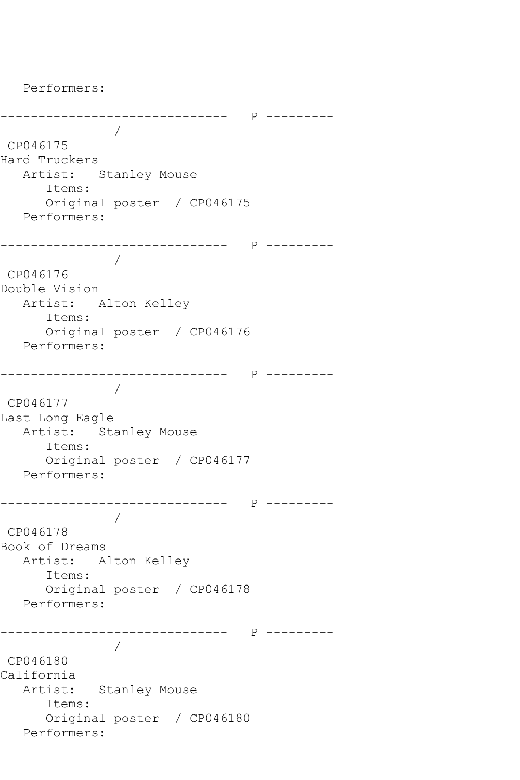------------------------------ P --------- / CP046175 Hard Truckers Artist: Stanley Mouse Items: Original poster / CP046175 Performers: ------------------------------ P --------- / CP046176 Double Vision Artist: Alton Kelley Items: Original poster / CP046176 Performers: ------------------------------ P --------- / CP046177 Last Long Eagle Artist: Stanley Mouse Items: Original poster / CP046177 Performers: ------------------------------ P --------- / CP046178 Book of Dreams Artist: Alton Kelley Items: Original poster / CP046178 Performers: ------------------------------ P --------- / CP046180 California Artist: Stanley Mouse Items: Original poster / CP046180 Performers:

Performers: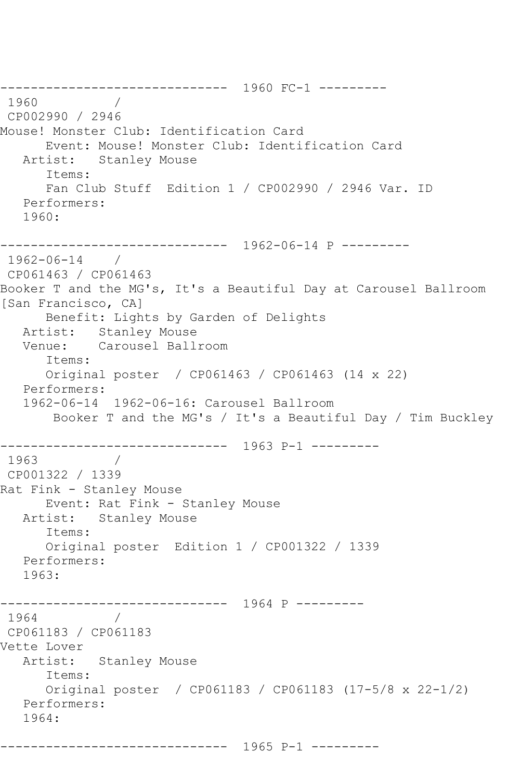------------------------------ 1960 FC-1 --------- 1960 CP002990 / 2946 Mouse! Monster Club: Identification Card Event: Mouse! Monster Club: Identification Card Artist: Stanley Mouse Items: Fan Club Stuff Edition 1 / CP002990 / 2946 Var. ID Performers: 1960: ------------------------------ 1962-06-14 P --------- 1962-06-14 / CP061463 / CP061463 Booker T and the MG's, It's a Beautiful Day at Carousel Ballroom [San Francisco, CA] Benefit: Lights by Garden of Delights Artist: Stanley Mouse Venue: Carousel Ballroom Items: Original poster / CP061463 / CP061463 (14 x 22) Performers: 1962-06-14 1962-06-16: Carousel Ballroom Booker T and the MG's / It's a Beautiful Day / Tim Buckley ------------------------------ 1963 P-1 --------- 1963 / CP001322 / 1339 Rat Fink - Stanley Mouse Event: Rat Fink - Stanley Mouse Artist: Stanley Mouse Items: Original poster Edition 1 / CP001322 / 1339 Performers: 1963: ------------------------------ 1964 P --------- 1964 / CP061183 / CP061183 Vette Lover Artist: Stanley Mouse Items: Original poster / CP061183 / CP061183 (17-5/8 x 22-1/2) Performers: 1964:

------------------------------ 1965 P-1 ---------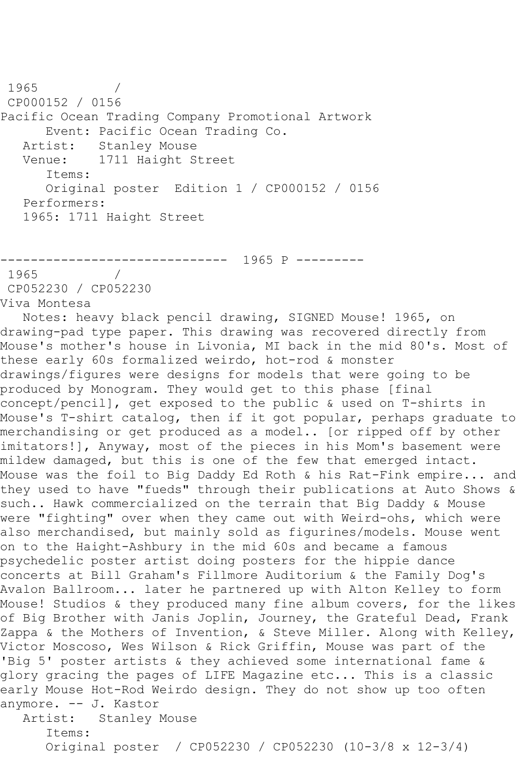1965 / CP000152 / 0156 Pacific Ocean Trading Company Promotional Artwork Event: Pacific Ocean Trading Co. Artist: Stanley Mouse Venue: 1711 Haight Street Items: Original poster Edition 1 / CP000152 / 0156 Performers: 1965: 1711 Haight Street

 $------ 1965 P$  ------1965 / CP052230 / CP052230 Viva Montesa

 Notes: heavy black pencil drawing, SIGNED Mouse! 1965, on drawing-pad type paper. This drawing was recovered directly from Mouse's mother's house in Livonia, MI back in the mid 80's. Most of these early 60s formalized weirdo, hot-rod & monster drawings/figures were designs for models that were going to be produced by Monogram. They would get to this phase [final concept/pencil], get exposed to the public & used on T-shirts in Mouse's T-shirt catalog, then if it got popular, perhaps graduate to merchandising or get produced as a model.. [or ripped off by other imitators!], Anyway, most of the pieces in his Mom's basement were mildew damaged, but this is one of the few that emerged intact. Mouse was the foil to Big Daddy Ed Roth & his Rat-Fink empire... and they used to have "fueds" through their publications at Auto Shows & such.. Hawk commercialized on the terrain that Big Daddy & Mouse were "fighting" over when they came out with Weird-ohs, which were also merchandised, but mainly sold as figurines/models. Mouse went on to the Haight-Ashbury in the mid 60s and became a famous psychedelic poster artist doing posters for the hippie dance concerts at Bill Graham's Fillmore Auditorium & the Family Dog's Avalon Ballroom... later he partnered up with Alton Kelley to form Mouse! Studios & they produced many fine album covers, for the likes of Big Brother with Janis Joplin, Journey, the Grateful Dead, Frank Zappa & the Mothers of Invention, & Steve Miller. Along with Kelley, Victor Moscoso, Wes Wilson & Rick Griffin, Mouse was part of the 'Big 5' poster artists & they achieved some international fame & glory gracing the pages of LIFE Magazine etc... This is a classic early Mouse Hot-Rod Weirdo design. They do not show up too often anymore. -- J. Kastor<br>Artist: Stanley J Stanley Mouse Items:

Original poster / CP052230 / CP052230 (10-3/8 x 12-3/4)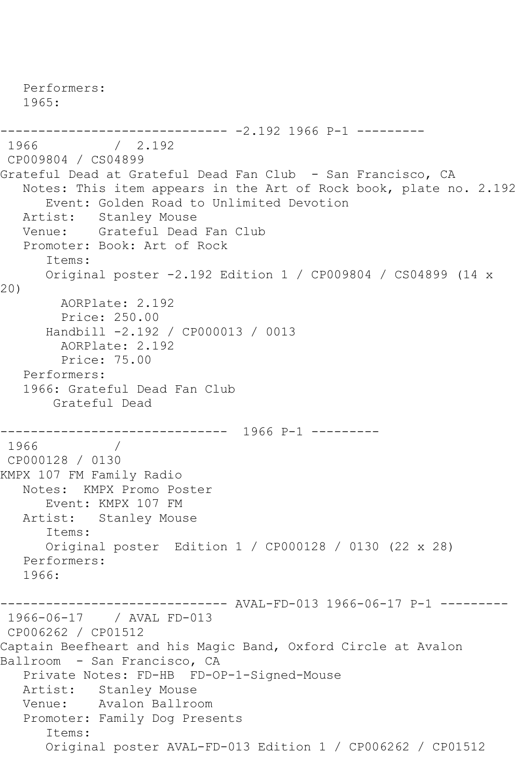Performers: 1965: ------------------------------ -2.192 1966 P-1 ---------  $/ 2.192$ CP009804 / CS04899 Grateful Dead at Grateful Dead Fan Club - San Francisco, CA Notes: This item appears in the Art of Rock book, plate no. 2.192 Event: Golden Road to Unlimited Devotion Artist: Stanley Mouse Venue: Grateful Dead Fan Club Promoter: Book: Art of Rock Items: Original poster -2.192 Edition 1 / CP009804 / CS04899 (14 x 20) AORPlate: 2.192 Price: 250.00 Handbill -2.192 / CP000013 / 0013 AORPlate: 2.192 Price: 75.00 Performers: 1966: Grateful Dead Fan Club Grateful Dead ------------------------------ 1966 P-1 --------- 1966 CP000128 / 0130 KMPX 107 FM Family Radio Notes: KMPX Promo Poster Event: KMPX 107 FM Artist: Stanley Mouse Items: Original poster Edition 1 / CP000128 / 0130 (22 x 28) Performers: 1966: ------------------------------ AVAL-FD-013 1966-06-17 P-1 --------- 1966-06-17 / AVAL FD-013 CP006262 / CP01512 Captain Beefheart and his Magic Band, Oxford Circle at Avalon Ballroom - San Francisco, CA Private Notes: FD-HB FD-OP-1-Signed-Mouse Artist: Stanley Mouse Venue: Avalon Ballroom Promoter: Family Dog Presents Items: Original poster AVAL-FD-013 Edition 1 / CP006262 / CP01512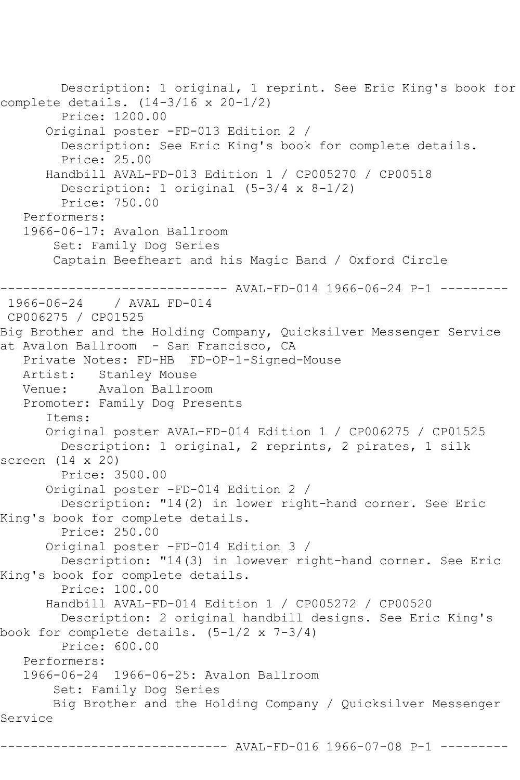```
 Description: 1 original, 1 reprint. See Eric King's book for 
complete details. (14-3/16 x 20-1/2)
         Price: 1200.00
       Original poster -FD-013 Edition 2 / 
         Description: See Eric King's book for complete details.
         Price: 25.00
       Handbill AVAL-FD-013 Edition 1 / CP005270 / CP00518
        Description: 1 original (5-3/4 \times 8-1/2) Price: 750.00
    Performers:
    1966-06-17: Avalon Ballroom
        Set: Family Dog Series
        Captain Beefheart and his Magic Band / Oxford Circle
                   ------------------------------ AVAL-FD-014 1966-06-24 P-1 ---------
1966-06-24 / AVAL FD-014
CP006275 / CP01525
Big Brother and the Holding Company, Quicksilver Messenger Service 
at Avalon Ballroom - San Francisco, CA
   Private Notes: FD-HB FD-OP-1-Signed-Mouse
   Artist: Stanley Mouse
   Venue: Avalon Ballroom
   Promoter: Family Dog Presents
       Items:
       Original poster AVAL-FD-014 Edition 1 / CP006275 / CP01525
         Description: 1 original, 2 reprints, 2 pirates, 1 silk 
screen (14 x 20)
         Price: 3500.00
       Original poster -FD-014 Edition 2 / 
         Description: "14(2) in lower right-hand corner. See Eric 
King's book for complete details.
         Price: 250.00
       Original poster -FD-014 Edition 3 / 
        Description: "14(3) in lowever right-hand corner. See Eric 
King's book for complete details.
         Price: 100.00
       Handbill AVAL-FD-014 Edition 1 / CP005272 / CP00520
         Description: 2 original handbill designs. See Eric King's 
book for complete details. (5-1/2 x 7-3/4)
         Price: 600.00
    Performers:
    1966-06-24 1966-06-25: Avalon Ballroom
        Set: Family Dog Series
        Big Brother and the Holding Company / Quicksilver Messenger 
Service
                      --------- AVAL-FD-016 1966-07-08 P-1 ---------
```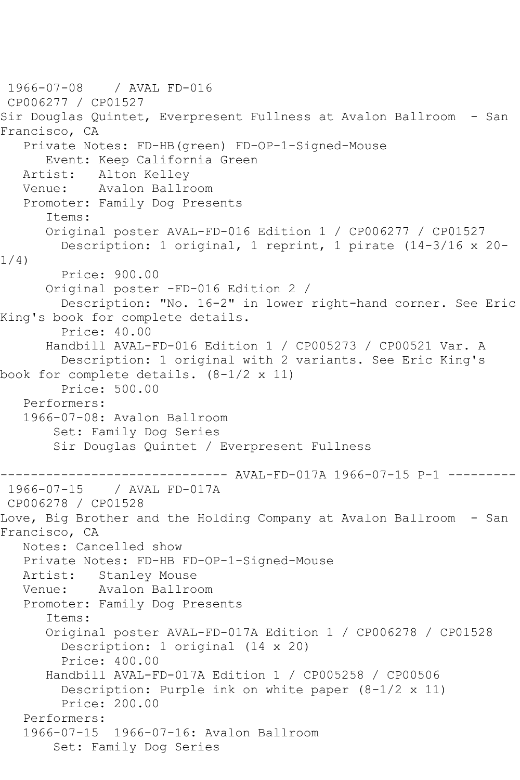1966-07-08 / AVAL FD-016 CP006277 / CP01527 Sir Douglas Quintet, Everpresent Fullness at Avalon Ballroom - San Francisco, CA Private Notes: FD-HB(green) FD-OP-1-Signed-Mouse Event: Keep California Green<br>Artist: Alton Kelley Alton Kelley Venue: Avalon Ballroom Promoter: Family Dog Presents Items: Original poster AVAL-FD-016 Edition 1 / CP006277 / CP01527 Description: 1 original, 1 reprint, 1 pirate (14-3/16 x 20- 1/4) Price: 900.00 Original poster -FD-016 Edition 2 / Description: "No. 16-2" in lower right-hand corner. See Eric King's book for complete details. Price: 40.00 Handbill AVAL-FD-016 Edition 1 / CP005273 / CP00521 Var. A Description: 1 original with 2 variants. See Eric King's book for complete details. (8-1/2 x 11) Price: 500.00 Performers: 1966-07-08: Avalon Ballroom Set: Family Dog Series Sir Douglas Quintet / Everpresent Fullness ------------------------------ AVAL-FD-017A 1966-07-15 P-1 --------- / AVAL FD-017A CP006278 / CP01528 Love, Big Brother and the Holding Company at Avalon Ballroom - San Francisco, CA Notes: Cancelled show Private Notes: FD-HB FD-OP-1-Signed-Mouse Artist: Stanley Mouse Venue: Avalon Ballroom Promoter: Family Dog Presents Items: Original poster AVAL-FD-017A Edition 1 / CP006278 / CP01528 Description: 1 original (14 x 20) Price: 400.00 Handbill AVAL-FD-017A Edition 1 / CP005258 / CP00506 Description: Purple ink on white paper (8-1/2 x 11) Price: 200.00 Performers: 1966-07-15 1966-07-16: Avalon Ballroom Set: Family Dog Series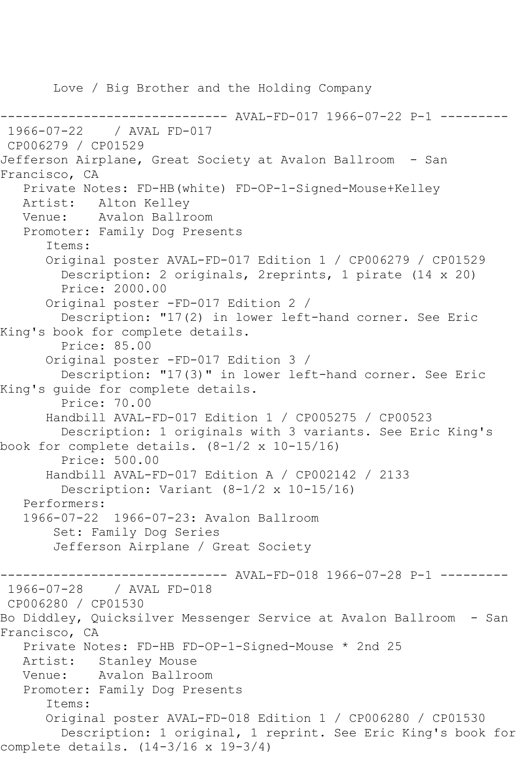Love / Big Brother and the Holding Company

------ AVAL-FD-017 1966-07-22 P-1 --------1966-07-22 / AVAL FD-017 CP006279 / CP01529 Jefferson Airplane, Great Society at Avalon Ballroom - San Francisco, CA Private Notes: FD-HB(white) FD-OP-1-Signed-Mouse+Kelley Artist: Alton Kelley Venue: Avalon Ballroom Promoter: Family Dog Presents Items: Original poster AVAL-FD-017 Edition 1 / CP006279 / CP01529 Description: 2 originals, 2reprints, 1 pirate (14 x 20) Price: 2000.00 Original poster -FD-017 Edition 2 / Description: "17(2) in lower left-hand corner. See Eric King's book for complete details. Price: 85.00 Original poster -FD-017 Edition 3 / Description: "17(3)" in lower left-hand corner. See Eric King's guide for complete details. Price: 70.00 Handbill AVAL-FD-017 Edition 1 / CP005275 / CP00523 Description: 1 originals with 3 variants. See Eric King's book for complete details.  $(8-1/2 \times 10-15/16)$  Price: 500.00 Handbill AVAL-FD-017 Edition A / CP002142 / 2133 Description: Variant (8-1/2 x 10-15/16) Performers: 1966-07-22 1966-07-23: Avalon Ballroom Set: Family Dog Series Jefferson Airplane / Great Society ----- AVAL-FD-018 1966-07-28 P-1 ---------1966-07-28 / AVAL FD-018 CP006280 / CP01530 Bo Diddley, Quicksilver Messenger Service at Avalon Ballroom - San Francisco, CA Private Notes: FD-HB FD-OP-1-Signed-Mouse \* 2nd 25 Artist: Stanley Mouse Venue: Avalon Ballroom Promoter: Family Dog Presents Items: Original poster AVAL-FD-018 Edition 1 / CP006280 / CP01530 Description: 1 original, 1 reprint. See Eric King's book for complete details. (14-3/16 x 19-3/4)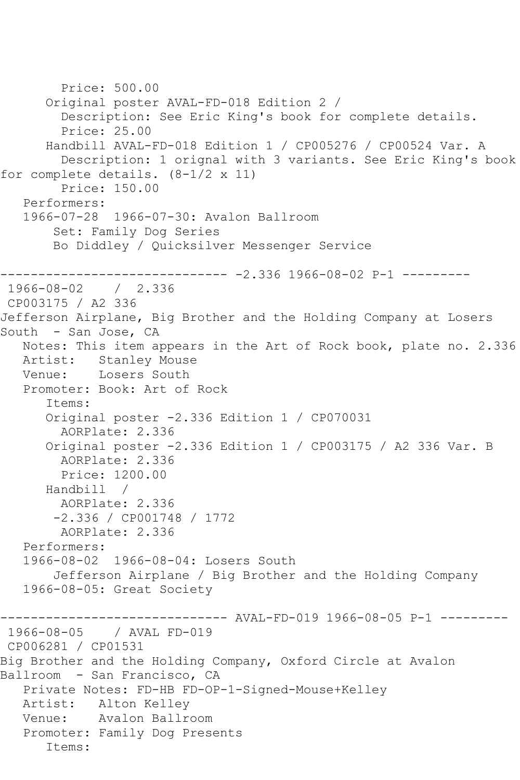```
 Price: 500.00
       Original poster AVAL-FD-018 Edition 2 / 
         Description: See Eric King's book for complete details.
         Price: 25.00
       Handbill AVAL-FD-018 Edition 1 / CP005276 / CP00524 Var. A
         Description: 1 orignal with 3 variants. See Eric King's book 
for complete details. (8-1/2 \times 11) Price: 150.00
    Performers:
    1966-07-28 1966-07-30: Avalon Ballroom
        Set: Family Dog Series
        Bo Diddley / Quicksilver Messenger Service
------------------------------ -2.336 1966-08-02 P-1 ---------
1966-08-02 / 2.336
CP003175 / A2 336
Jefferson Airplane, Big Brother and the Holding Company at Losers 
South - San Jose, CA
    Notes: This item appears in the Art of Rock book, plate no. 2.336
   Artist: Stanley Mouse
   Venue: Losers South
    Promoter: Book: Art of Rock
       Items:
       Original poster -2.336 Edition 1 / CP070031
         AORPlate: 2.336 
       Original poster -2.336 Edition 1 / CP003175 / A2 336 Var. B
         AORPlate: 2.336 
         Price: 1200.00
       Handbill / 
         AORPlate: 2.336 
        -2.336 / CP001748 / 1772
         AORPlate: 2.336 
    Performers:
    1966-08-02 1966-08-04: Losers South
        Jefferson Airplane / Big Brother and the Holding Company
    1966-08-05: Great Society
                    ------------------------------ AVAL-FD-019 1966-08-05 P-1 ---------
1966-08-05 / AVAL FD-019
CP006281 / CP01531
Big Brother and the Holding Company, Oxford Circle at Avalon 
Ballroom - San Francisco, CA
    Private Notes: FD-HB FD-OP-1-Signed-Mouse+Kelley
   Artist: Alton Kelley
   Venue: Avalon Ballroom
    Promoter: Family Dog Presents
       Items:
```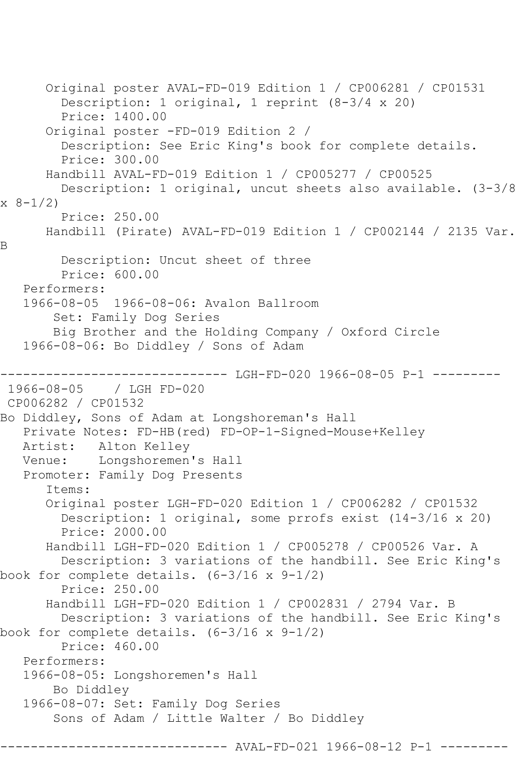```
 Original poster AVAL-FD-019 Edition 1 / CP006281 / CP01531
         Description: 1 original, 1 reprint (8-3/4 x 20)
         Price: 1400.00
       Original poster -FD-019 Edition 2 / 
         Description: See Eric King's book for complete details.
         Price: 300.00
       Handbill AVAL-FD-019 Edition 1 / CP005277 / CP00525
         Description: 1 original, uncut sheets also available. (3-3/8 
x 8-1/2 Price: 250.00
       Handbill (Pirate) AVAL-FD-019 Edition 1 / CP002144 / 2135 Var. 
B
         Description: Uncut sheet of three
         Price: 600.00
   Performers:
   1966-08-05 1966-08-06: Avalon Ballroom
        Set: Family Dog Series
        Big Brother and the Holding Company / Oxford Circle
   1966-08-06: Bo Diddley / Sons of Adam
------------------------------ LGH-FD-020 1966-08-05 P-1 ---------
1966-08-05 / LGH FD-020
CP006282 / CP01532
Bo Diddley, Sons of Adam at Longshoreman's Hall
   Private Notes: FD-HB(red) FD-OP-1-Signed-Mouse+Kelley
   Artist: Alton Kelley
   Venue: Longshoremen's Hall
   Promoter: Family Dog Presents
       Items:
       Original poster LGH-FD-020 Edition 1 / CP006282 / CP01532
         Description: 1 original, some prrofs exist (14-3/16 x 20)
         Price: 2000.00
      Handbill LGH-FD-020 Edition 1 / CP005278 / CP00526 Var. A
        Description: 3 variations of the handbill. See Eric King's 
book for complete details. (6-3/16 \times 9-1/2) Price: 250.00
       Handbill LGH-FD-020 Edition 1 / CP002831 / 2794 Var. B
         Description: 3 variations of the handbill. See Eric King's 
book for complete details. (6-3/16 x 9-1/2)
         Price: 460.00
   Performers:
   1966-08-05: Longshoremen's Hall
        Bo Diddley
   1966-08-07: Set: Family Dog Series
        Sons of Adam / Little Walter / Bo Diddley
                           ---- AVAL-FD-021 1966-08-12 P-1 ----
```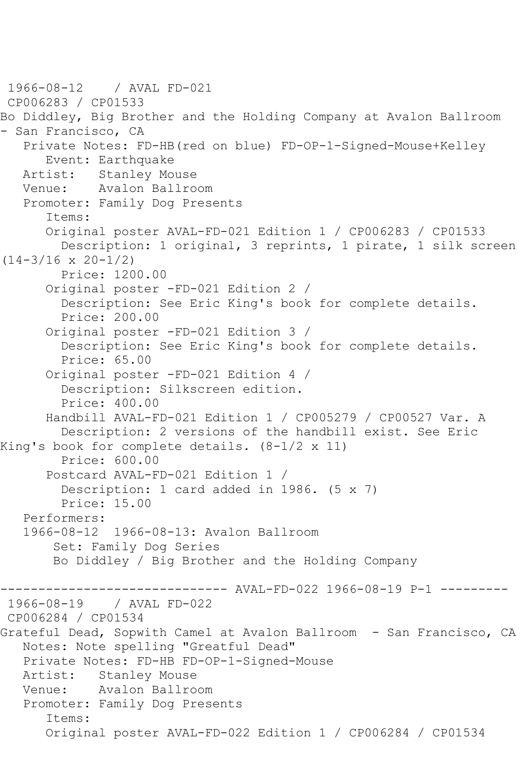```
1966-08-12 / AVAL FD-021
CP006283 / CP01533
Bo Diddley, Big Brother and the Holding Company at Avalon Ballroom 
- San Francisco, CA
   Private Notes: FD-HB(red on blue) FD-OP-1-Signed-Mouse+Kelley
       Event: Earthquake
   Artist: Stanley Mouse
   Venue: Avalon Ballroom
   Promoter: Family Dog Presents
       Items:
       Original poster AVAL-FD-021 Edition 1 / CP006283 / CP01533
         Description: 1 original, 3 reprints, 1 pirate, 1 silk screen 
(14-3/16 \times 20-1/2) Price: 1200.00
       Original poster -FD-021 Edition 2 / 
         Description: See Eric King's book for complete details.
         Price: 200.00
      Original poster -FD-021 Edition 3 / 
         Description: See Eric King's book for complete details.
         Price: 65.00
       Original poster -FD-021 Edition 4 / 
         Description: Silkscreen edition.
         Price: 400.00
       Handbill AVAL-FD-021 Edition 1 / CP005279 / CP00527 Var. A
         Description: 2 versions of the handbill exist. See Eric 
King's book for complete details. (8-1/2 x 11)
         Price: 600.00
       Postcard AVAL-FD-021 Edition 1 / 
         Description: 1 card added in 1986. (5 x 7)
         Price: 15.00
   Performers:
   1966-08-12 1966-08-13: Avalon Ballroom
        Set: Family Dog Series
        Bo Diddley / Big Brother and the Holding Company
------------------------------ AVAL-FD-022 1966-08-19 P-1 ---------
            1966-08-19 / AVAL FD-022
CP006284 / CP01534
Grateful Dead, Sopwith Camel at Avalon Ballroom - San Francisco, CA
   Notes: Note spelling "Greatful Dead"
   Private Notes: FD-HB FD-OP-1-Signed-Mouse
   Artist: Stanley Mouse
   Venue: Avalon Ballroom
   Promoter: Family Dog Presents
       Items:
       Original poster AVAL-FD-022 Edition 1 / CP006284 / CP01534
```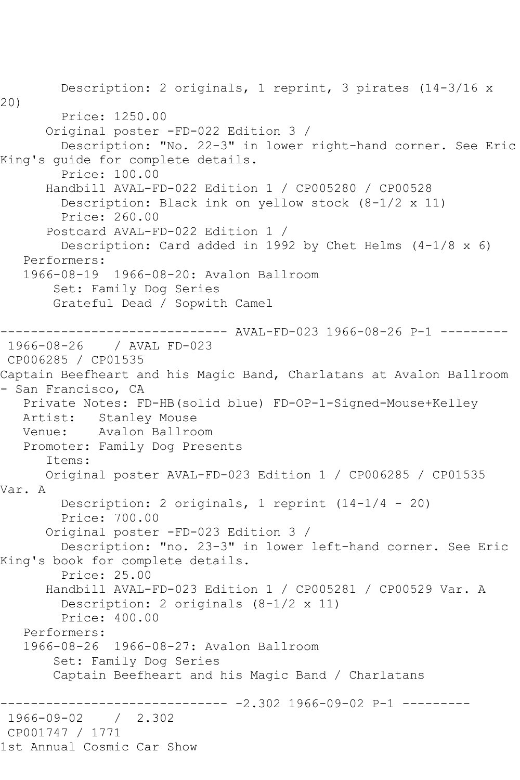Description: 2 originals, 1 reprint, 3 pirates (14-3/16 x 20) Price: 1250.00 Original poster -FD-022 Edition 3 / Description: "No. 22-3" in lower right-hand corner. See Eric King's guide for complete details. Price: 100.00 Handbill AVAL-FD-022 Edition 1 / CP005280 / CP00528 Description: Black ink on yellow stock (8-1/2 x 11) Price: 260.00 Postcard AVAL-FD-022 Edition 1 / Description: Card added in 1992 by Chet Helms  $(4-1/8 \times 6)$  Performers: 1966-08-19 1966-08-20: Avalon Ballroom Set: Family Dog Series Grateful Dead / Sopwith Camel ------------------------------ AVAL-FD-023 1966-08-26 P-1 --------- 1966-08-26 / AVAL FD-023 CP006285 / CP01535 Captain Beefheart and his Magic Band, Charlatans at Avalon Ballroom - San Francisco, CA Private Notes: FD-HB(solid blue) FD-OP-1-Signed-Mouse+Kelley<br>Artist: Stanley Mouse Stanley Mouse Venue: Avalon Ballroom Promoter: Family Dog Presents Items: Original poster AVAL-FD-023 Edition 1 / CP006285 / CP01535 Var. A Description: 2 originals, 1 reprint (14-1/4 - 20) Price: 700.00 Original poster -FD-023 Edition 3 / Description: "no. 23-3" in lower left-hand corner. See Eric King's book for complete details. Price: 25.00 Handbill AVAL-FD-023 Edition 1 / CP005281 / CP00529 Var. A Description: 2 originals (8-1/2 x 11) Price: 400.00 Performers: 1966-08-26 1966-08-27: Avalon Ballroom Set: Family Dog Series Captain Beefheart and his Magic Band / Charlatans ------------------ -2.302 1966-09-02 P-1 ----------<br>/ 2.302 1966-09-02 CP001747 / 1771 1st Annual Cosmic Car Show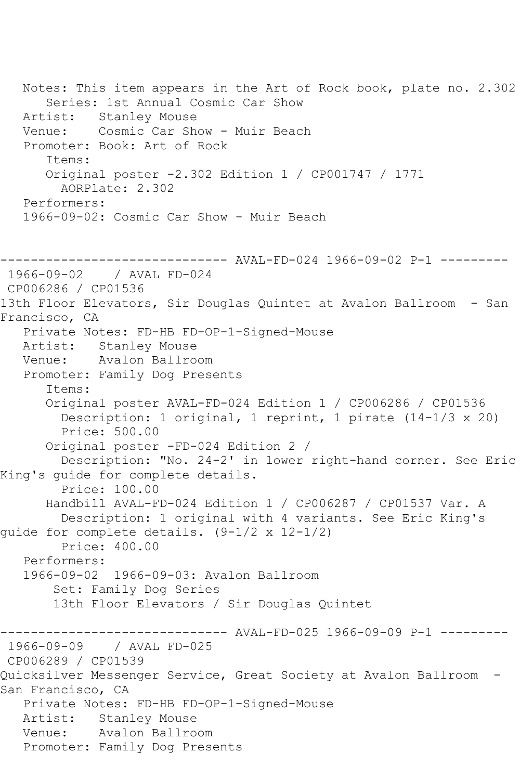Notes: This item appears in the Art of Rock book, plate no. 2.302 Series: 1st Annual Cosmic Car Show Artist: Stanley Mouse Venue: Cosmic Car Show - Muir Beach Promoter: Book: Art of Rock Items: Original poster -2.302 Edition 1 / CP001747 / 1771 AORPlate: 2.302 Performers: 1966-09-02: Cosmic Car Show - Muir Beach ------------------------------ AVAL-FD-024 1966-09-02 P-1 --------- 1966-09-02 / AVAL FD-024 CP006286 / CP01536 13th Floor Elevators, Sir Douglas Quintet at Avalon Ballroom - San Francisco, CA Private Notes: FD-HB FD-OP-1-Signed-Mouse Artist: Stanley Mouse Venue: Avalon Ballroom Promoter: Family Dog Presents Items: Original poster AVAL-FD-024 Edition 1 / CP006286 / CP01536 Description: 1 original, 1 reprint, 1 pirate (14-1/3 x 20) Price: 500.00 Original poster -FD-024 Edition 2 / Description: "No. 24-2' in lower right-hand corner. See Eric King's guide for complete details. Price: 100.00 Handbill AVAL-FD-024 Edition 1 / CP006287 / CP01537 Var. A Description: 1 original with 4 variants. See Eric King's guide for complete details. (9-1/2 x 12-1/2) Price: 400.00 Performers: 1966-09-02 1966-09-03: Avalon Ballroom Set: Family Dog Series 13th Floor Elevators / Sir Douglas Quintet ------------------------------ AVAL-FD-025 1966-09-09 P-1 --------- 1966-09-09 / AVAL FD-025 CP006289 / CP01539 Quicksilver Messenger Service, Great Society at Avalon Ballroom - San Francisco, CA Private Notes: FD-HB FD-OP-1-Signed-Mouse Artist: Stanley Mouse Venue: Avalon Ballroom Promoter: Family Dog Presents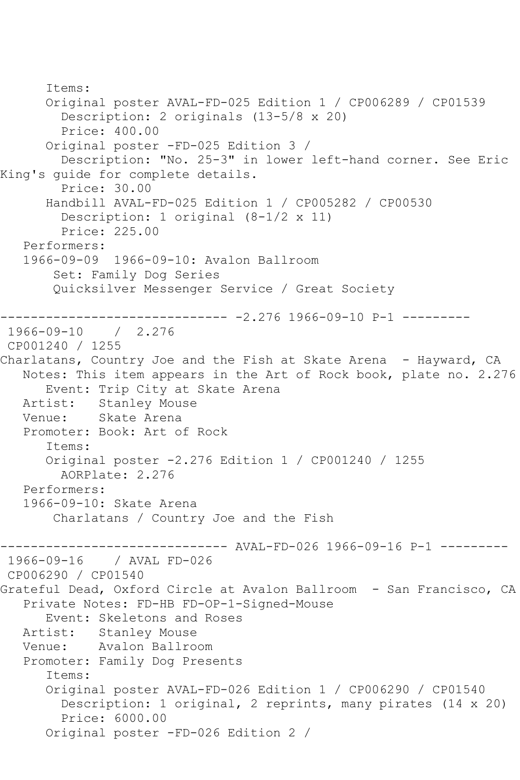Items: Original poster AVAL-FD-025 Edition 1 / CP006289 / CP01539 Description: 2 originals (13-5/8 x 20) Price: 400.00 Original poster -FD-025 Edition 3 / Description: "No. 25-3" in lower left-hand corner. See Eric King's guide for complete details. Price: 30.00 Handbill AVAL-FD-025 Edition 1 / CP005282 / CP00530 Description: 1 original (8-1/2 x 11) Price: 225.00 Performers: 1966-09-09 1966-09-10: Avalon Ballroom Set: Family Dog Series Quicksilver Messenger Service / Great Society ------------------------------ -2.276 1966-09-10 P-1 --------- 1966-09-10 / 2.276 CP001240 / 1255 Charlatans, Country Joe and the Fish at Skate Arena - Hayward, CA Notes: This item appears in the Art of Rock book, plate no. 2.276 Event: Trip City at Skate Arena Artist: Stanley Mouse Venue: Skate Arena Promoter: Book: Art of Rock Items: Original poster -2.276 Edition 1 / CP001240 / 1255 AORPlate: 2.276 Performers: 1966-09-10: Skate Arena Charlatans / Country Joe and the Fish ------------------------------ AVAL-FD-026 1966-09-16 P-1 --------- / AVAL FD-026 CP006290 / CP01540 Grateful Dead, Oxford Circle at Avalon Ballroom - San Francisco, CA Private Notes: FD-HB FD-OP-1-Signed-Mouse Event: Skeletons and Roses Artist: Stanley Mouse Venue: Avalon Ballroom Promoter: Family Dog Presents Items: Original poster AVAL-FD-026 Edition 1 / CP006290 / CP01540 Description: 1 original, 2 reprints, many pirates (14 x 20) Price: 6000.00 Original poster -FD-026 Edition 2 /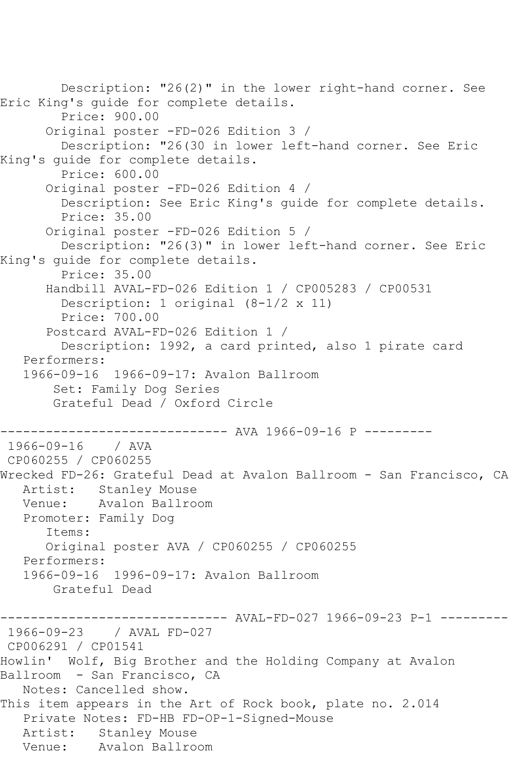Description: "26(2)" in the lower right-hand corner. See Eric King's guide for complete details. Price: 900.00 Original poster -FD-026 Edition 3 / Description: "26(30 in lower left-hand corner. See Eric King's guide for complete details. Price: 600.00 Original poster -FD-026 Edition 4 / Description: See Eric King's guide for complete details. Price: 35.00 Original poster -FD-026 Edition 5 / Description: "26(3)" in lower left-hand corner. See Eric King's guide for complete details. Price: 35.00 Handbill AVAL-FD-026 Edition 1 / CP005283 / CP00531 Description: 1 original (8-1/2 x 11) Price: 700.00 Postcard AVAL-FD-026 Edition 1 / Description: 1992, a card printed, also 1 pirate card Performers: 1966-09-16 1966-09-17: Avalon Ballroom Set: Family Dog Series Grateful Dead / Oxford Circle ---------------- AVA 1966-09-16 P ----------<br>/ AVA  $1966 - 09 - 16$ CP060255 / CP060255 Wrecked FD-26: Grateful Dead at Avalon Ballroom - San Francisco, CA Artist: Stanley Mouse Venue: Avalon Ballroom Promoter: Family Dog Items: Original poster AVA / CP060255 / CP060255 Performers: 1966-09-16 1996-09-17: Avalon Ballroom Grateful Dead ----- AVAL-FD-027 1966-09-23 P-1 ---------1966-09-23 / AVAL FD-027 CP006291 / CP01541 Howlin' Wolf, Big Brother and the Holding Company at Avalon Ballroom - San Francisco, CA Notes: Cancelled show. This item appears in the Art of Rock book, plate no. 2.014 Private Notes: FD-HB FD-OP-1-Signed-Mouse Artist: Stanley Mouse Venue: Avalon Ballroom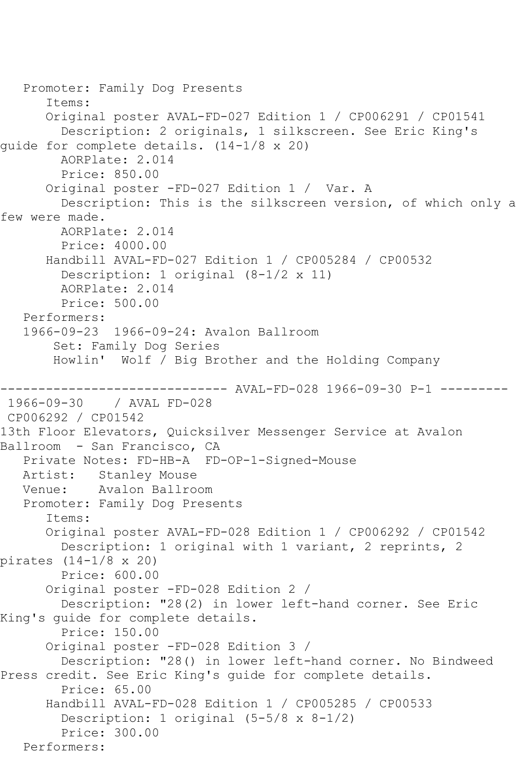```
 Promoter: Family Dog Presents
       Items:
       Original poster AVAL-FD-027 Edition 1 / CP006291 / CP01541
         Description: 2 originals, 1 silkscreen. See Eric King's 
guide for complete details. (14-1/8 x 20)
         AORPlate: 2.014 
         Price: 850.00
       Original poster -FD-027 Edition 1 / Var. A
         Description: This is the silkscreen version, of which only a 
few were made.
         AORPlate: 2.014 
         Price: 4000.00
       Handbill AVAL-FD-027 Edition 1 / CP005284 / CP00532
         Description: 1 original (8-1/2 x 11)
         AORPlate: 2.014 
         Price: 500.00
   Performers:
    1966-09-23 1966-09-24: Avalon Ballroom
        Set: Family Dog Series
        Howlin' Wolf / Big Brother and the Holding Company
                     ------------------------------ AVAL-FD-028 1966-09-30 P-1 ---------
1966-09-30 / AVAL FD-028
CP006292 / CP01542
13th Floor Elevators, Quicksilver Messenger Service at Avalon 
Ballroom - San Francisco, CA
    Private Notes: FD-HB-A FD-OP-1-Signed-Mouse
   Artist: Stanley Mouse
   Venue: Avalon Ballroom
    Promoter: Family Dog Presents
       Items:
       Original poster AVAL-FD-028 Edition 1 / CP006292 / CP01542
         Description: 1 original with 1 variant, 2 reprints, 2 
pirates (14-1/8 x 20)
        Price: 600.00
       Original poster -FD-028 Edition 2 / 
         Description: "28(2) in lower left-hand corner. See Eric 
King's guide for complete details.
         Price: 150.00
       Original poster -FD-028 Edition 3 / 
         Description: "28() in lower left-hand corner. No Bindweed 
Press credit. See Eric King's guide for complete details.
         Price: 65.00
       Handbill AVAL-FD-028 Edition 1 / CP005285 / CP00533
         Description: 1 original (5-5/8 x 8-1/2)
         Price: 300.00
   Performers:
```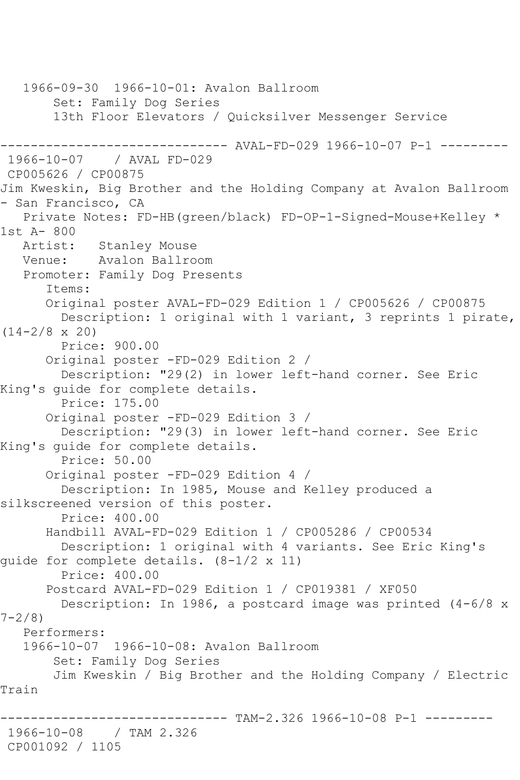1966-09-30 1966-10-01: Avalon Ballroom Set: Family Dog Series 13th Floor Elevators / Quicksilver Messenger Service ------------------------------ AVAL-FD-029 1966-10-07 P-1 --------- 1966-10-07 / AVAL FD-029 CP005626 / CP00875 Jim Kweskin, Big Brother and the Holding Company at Avalon Ballroom - San Francisco, CA Private Notes: FD-HB(green/black) FD-OP-1-Signed-Mouse+Kelley \* 1st A- 800 Stanley Mouse Venue: Avalon Ballroom Promoter: Family Dog Presents Items: Original poster AVAL-FD-029 Edition 1 / CP005626 / CP00875 Description: 1 original with 1 variant, 3 reprints 1 pirate,  $(14-2/8 \times 20)$  Price: 900.00 Original poster -FD-029 Edition 2 / Description: "29(2) in lower left-hand corner. See Eric King's guide for complete details. Price: 175.00 Original poster -FD-029 Edition 3 / Description: "29(3) in lower left-hand corner. See Eric King's guide for complete details. Price: 50.00 Original poster -FD-029 Edition 4 / Description: In 1985, Mouse and Kelley produced a silkscreened version of this poster. Price: 400.00 Handbill AVAL-FD-029 Edition 1 / CP005286 / CP00534 Description: 1 original with 4 variants. See Eric King's guide for complete details. (8-1/2 x 11) Price: 400.00 Postcard AVAL-FD-029 Edition 1 / CP019381 / XF050 Description: In 1986, a postcard image was printed (4-6/8 x  $7 - 2/8$  Performers: 1966-10-07 1966-10-08: Avalon Ballroom Set: Family Dog Series Jim Kweskin / Big Brother and the Holding Company / Electric Train ------ TAM-2.326 1966-10-08 P-1 ---------1966-10-08 / TAM 2.326 CP001092 / 1105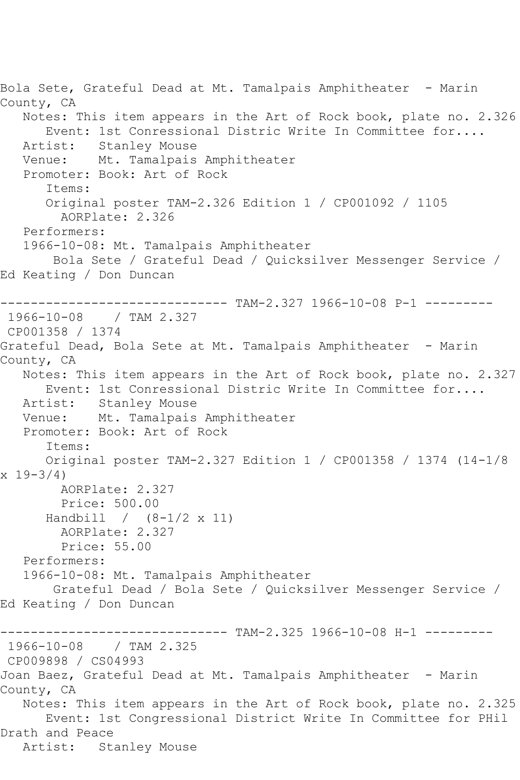Bola Sete, Grateful Dead at Mt. Tamalpais Amphitheater - Marin County, CA Notes: This item appears in the Art of Rock book, plate no. 2.326 Event: 1st Conressional Distric Write In Committee for.... Artist: Stanley Mouse Venue: Mt. Tamalpais Amphitheater Promoter: Book: Art of Rock Items: Original poster TAM-2.326 Edition 1 / CP001092 / 1105 AORPlate: 2.326 Performers: 1966-10-08: Mt. Tamalpais Amphitheater Bola Sete / Grateful Dead / Quicksilver Messenger Service / Ed Keating / Don Duncan ------------------------------ TAM-2.327 1966-10-08 P-1 --------- 1966-10-08 / TAM 2.327 CP001358 / 1374 Grateful Dead, Bola Sete at Mt. Tamalpais Amphitheater - Marin County, CA Notes: This item appears in the Art of Rock book, plate no. 2.327 Event: 1st Conressional Distric Write In Committee for.... Artist: Stanley Mouse Venue: Mt. Tamalpais Amphitheater Promoter: Book: Art of Rock Items: Original poster TAM-2.327 Edition 1 / CP001358 / 1374 (14-1/8  $x 19 - 3/4$  AORPlate: 2.327 Price: 500.00 Handbill / (8-1/2 x 11) AORPlate: 2.327 Price: 55.00 Performers: 1966-10-08: Mt. Tamalpais Amphitheater Grateful Dead / Bola Sete / Quicksilver Messenger Service / Ed Keating / Don Duncan ------------------------------ TAM-2.325 1966-10-08 H-1 --------- 1966-10-08 / TAM 2.325 CP009898 / CS04993 Joan Baez, Grateful Dead at Mt. Tamalpais Amphitheater - Marin County, CA Notes: This item appears in the Art of Rock book, plate no. 2.325 Event: 1st Congressional District Write In Committee for PHil Drath and Peace Artist: Stanley Mouse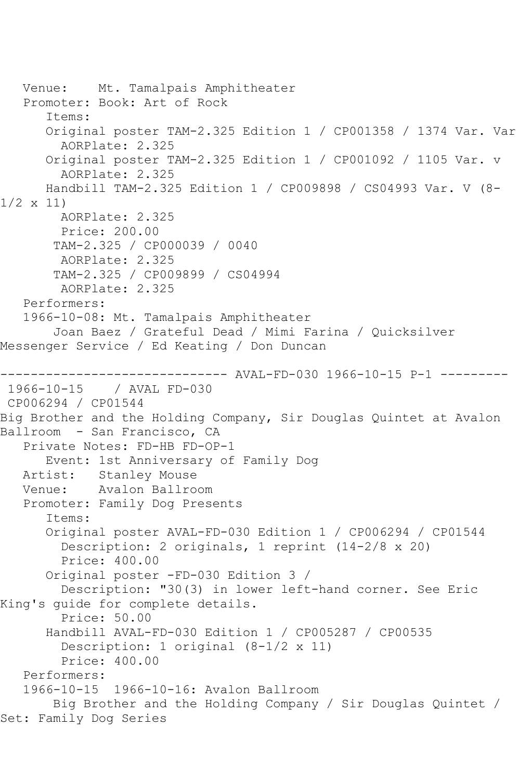```
 Venue: Mt. Tamalpais Amphitheater
   Promoter: Book: Art of Rock
       Items:
       Original poster TAM-2.325 Edition 1 / CP001358 / 1374 Var. Var
         AORPlate: 2.325 
       Original poster TAM-2.325 Edition 1 / CP001092 / 1105 Var. v
         AORPlate: 2.325 
      Handbill TAM-2.325 Edition 1 / CP009898 / CS04993 Var. V (8-
1/2 x 11)
        AORPlate: 2.325 
         Price: 200.00
        TAM-2.325 / CP000039 / 0040
         AORPlate: 2.325 
        TAM-2.325 / CP009899 / CS04994
        AORPlate: 2.325 
   Performers:
   1966-10-08: Mt. Tamalpais Amphitheater
        Joan Baez / Grateful Dead / Mimi Farina / Quicksilver 
Messenger Service / Ed Keating / Don Duncan
------------------------------ AVAL-FD-030 1966-10-15 P-1 ---------
1966-10-15 / AVAL FD-030
CP006294 / CP01544
Big Brother and the Holding Company, Sir Douglas Quintet at Avalon 
Ballroom - San Francisco, CA
   Private Notes: FD-HB FD-OP-1
       Event: 1st Anniversary of Family Dog
   Artist: Stanley Mouse
   Venue: Avalon Ballroom
   Promoter: Family Dog Presents
       Items:
       Original poster AVAL-FD-030 Edition 1 / CP006294 / CP01544
         Description: 2 originals, 1 reprint (14-2/8 x 20)
         Price: 400.00
       Original poster -FD-030 Edition 3 / 
         Description: "30(3) in lower left-hand corner. See Eric 
King's guide for complete details.
         Price: 50.00
      Handbill AVAL-FD-030 Edition 1 / CP005287 / CP00535
         Description: 1 original (8-1/2 x 11)
         Price: 400.00
   Performers:
   1966-10-15 1966-10-16: Avalon Ballroom
        Big Brother and the Holding Company / Sir Douglas Quintet / 
Set: Family Dog Series
```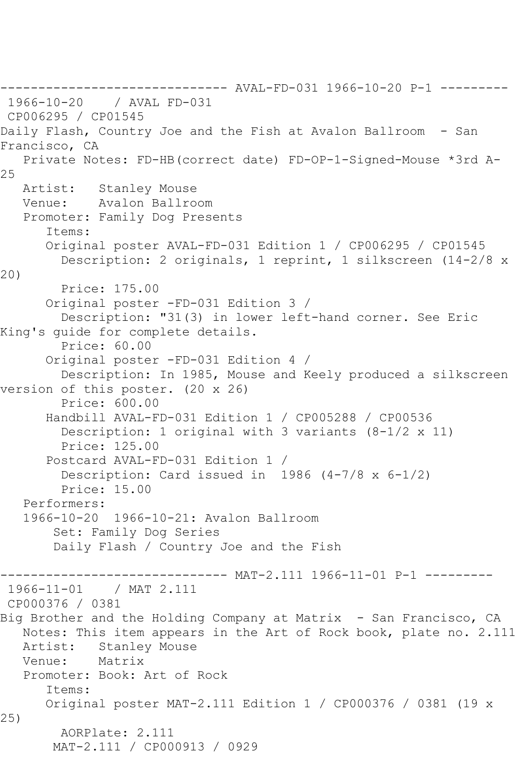------------------------------ AVAL-FD-031 1966-10-20 P-1 --------- / AVAL FD-031 CP006295 / CP01545 Daily Flash, Country Joe and the Fish at Avalon Ballroom - San Francisco, CA Private Notes: FD-HB(correct date) FD-OP-1-Signed-Mouse \*3rd A-25 Artist: Stanley Mouse Venue: Avalon Ballroom Promoter: Family Dog Presents Items: Original poster AVAL-FD-031 Edition 1 / CP006295 / CP01545 Description: 2 originals, 1 reprint, 1 silkscreen (14-2/8 x 20) Price: 175.00 Original poster -FD-031 Edition 3 / Description: "31(3) in lower left-hand corner. See Eric King's guide for complete details. Price: 60.00 Original poster -FD-031 Edition 4 / Description: In 1985, Mouse and Keely produced a silkscreen version of this poster. (20 x 26) Price: 600.00 Handbill AVAL-FD-031 Edition 1 / CP005288 / CP00536 Description: 1 original with 3 variants (8-1/2 x 11) Price: 125.00 Postcard AVAL-FD-031 Edition 1 / Description: Card issued in 1986 (4-7/8 x 6-1/2) Price: 15.00 Performers: 1966-10-20 1966-10-21: Avalon Ballroom Set: Family Dog Series Daily Flash / Country Joe and the Fish ----- MAT-2.111 1966-11-01 P-1 ---------1966-11-01 / MAT 2.111 CP000376 / 0381 Big Brother and the Holding Company at Matrix - San Francisco, CA Notes: This item appears in the Art of Rock book, plate no. 2.111<br>Artist: Stanley Mouse Stanley Mouse<br>Matrix Venue: Promoter: Book: Art of Rock Items: Original poster MAT-2.111 Edition 1 / CP000376 / 0381 (19 x 25) AORPlate: 2.111 MAT-2.111 / CP000913 / 0929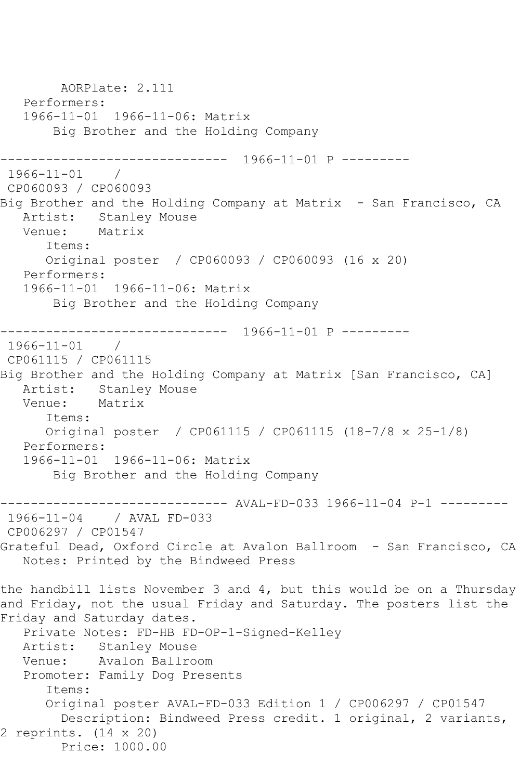```
 AORPlate: 2.111 
   Performers:
   1966-11-01 1966-11-06: Matrix
        Big Brother and the Holding Company
      ------------------------------ 1966-11-01 P ---------
1966-11-01 / 
CP060093 / CP060093
Big Brother and the Holding Company at Matrix - San Francisco, CA
  Artist: Stanley Mouse<br>Venue: Matrix
           Matrix
       Items:
       Original poster / CP060093 / CP060093 (16 x 20)
   Performers:
   1966-11-01 1966-11-06: Matrix
        Big Brother and the Holding Company
------------------------------ 1966-11-01 P ---------
1966-11-01 / 
CP061115 / CP061115
Big Brother and the Holding Company at Matrix [San Francisco, CA]
   Artist: Stanley Mouse
   Venue: Matrix
       Items:
      Original poster / CP061115 / CP061115 (18-7/8 x 25-1/8)
   Performers:
   1966-11-01 1966-11-06: Matrix
        Big Brother and the Holding Company
------------------------------ AVAL-FD-033 1966-11-04 P-1 ---------
              / AVAL FD-033
CP006297 / CP01547
Grateful Dead, Oxford Circle at Avalon Ballroom - San Francisco, CA
   Notes: Printed by the Bindweed Press
the handbill lists November 3 and 4, but this would be on a Thursday 
and Friday, not the usual Friday and Saturday. The posters list the 
Friday and Saturday dates.
   Private Notes: FD-HB FD-OP-1-Signed-Kelley
   Artist: Stanley Mouse
   Venue: Avalon Ballroom
   Promoter: Family Dog Presents
       Items:
       Original poster AVAL-FD-033 Edition 1 / CP006297 / CP01547
         Description: Bindweed Press credit. 1 original, 2 variants, 
2 reprints. (14 x 20)
        Price: 1000.00
```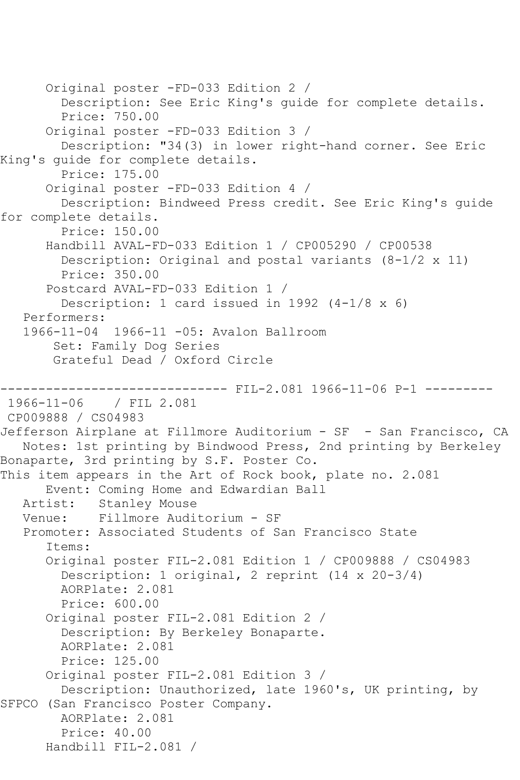```
 Original poster -FD-033 Edition 2 / 
         Description: See Eric King's guide for complete details.
         Price: 750.00
       Original poster -FD-033 Edition 3 / 
         Description: "34(3) in lower right-hand corner. See Eric 
King's guide for complete details.
         Price: 175.00
       Original poster -FD-033 Edition 4 / 
         Description: Bindweed Press credit. See Eric King's guide 
for complete details.
         Price: 150.00
       Handbill AVAL-FD-033 Edition 1 / CP005290 / CP00538
         Description: Original and postal variants (8-1/2 x 11)
         Price: 350.00
       Postcard AVAL-FD-033 Edition 1 / 
         Description: 1 card issued in 1992 (4-1/8 x 6)
    Performers:
    1966-11-04 1966-11 -05: Avalon Ballroom
        Set: Family Dog Series
        Grateful Dead / Oxford Circle
-------------------------------- FIL-2.081 1966-11-06 P-1 ----------<br>1966-11-06 / FIL 2.081
               1966-11-06 / FIL 2.081
CP009888 / CS04983
Jefferson Airplane at Fillmore Auditorium - SF - San Francisco, CA
   Notes: 1st printing by Bindwood Press, 2nd printing by Berkeley 
Bonaparte, 3rd printing by S.F. Poster Co.
This item appears in the Art of Rock book, plate no. 2.081
       Event: Coming Home and Edwardian Ball
   Artist: Stanley Mouse
   Venue: Fillmore Auditorium - SF
    Promoter: Associated Students of San Francisco State
       Items:
       Original poster FIL-2.081 Edition 1 / CP009888 / CS04983
         Description: 1 original, 2 reprint (14 x 20-3/4)
         AORPlate: 2.081 
         Price: 600.00
       Original poster FIL-2.081 Edition 2 / 
         Description: By Berkeley Bonaparte.
         AORPlate: 2.081 
         Price: 125.00
       Original poster FIL-2.081 Edition 3 / 
         Description: Unauthorized, late 1960's, UK printing, by 
SFPCO (San Francisco Poster Company.
         AORPlate: 2.081 
         Price: 40.00
       Handbill FIL-2.081 /
```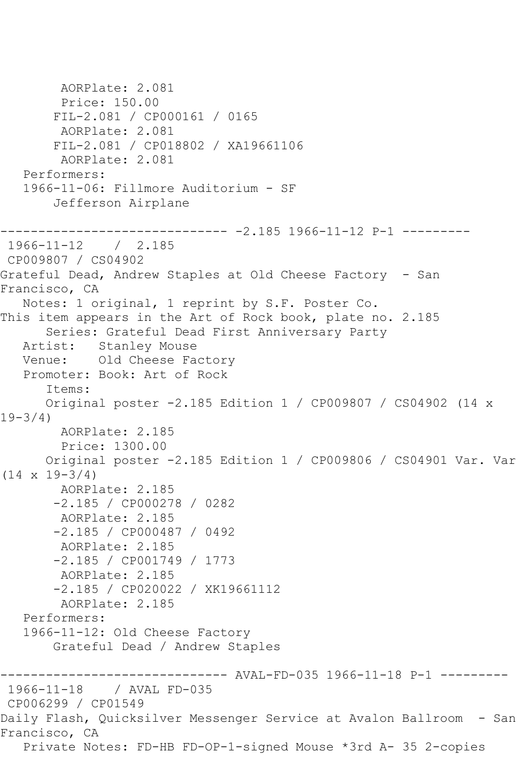AORPlate: 2.081 Price: 150.00 FIL-2.081 / CP000161 / 0165 AORPlate: 2.081 FIL-2.081 / CP018802 / XA19661106 AORPlate: 2.081 Performers: 1966-11-06: Fillmore Auditorium - SF Jefferson Airplane ------------------------------ -2.185 1966-11-12 P-1 --------- 1966-11-12 / 2.185 CP009807 / CS04902 Grateful Dead, Andrew Staples at Old Cheese Factory - San Francisco, CA Notes: 1 original, 1 reprint by S.F. Poster Co. This item appears in the Art of Rock book, plate no. 2.185 Series: Grateful Dead First Anniversary Party Artist: Stanley Mouse Venue: Old Cheese Factory Promoter: Book: Art of Rock Items: Original poster -2.185 Edition 1 / CP009807 / CS04902 (14 x 19-3/4) AORPlate: 2.185 Price: 1300.00 Original poster -2.185 Edition 1 / CP009806 / CS04901 Var. Var  $(14 \times 19 - 3/4)$  AORPlate: 2.185 -2.185 / CP000278 / 0282 AORPlate: 2.185 -2.185 / CP000487 / 0492 AORPlate: 2.185 -2.185 / CP001749 / 1773 AORPlate: 2.185 -2.185 / CP020022 / XK19661112 AORPlate: 2.185 Performers: 1966-11-12: Old Cheese Factory Grateful Dead / Andrew Staples ------------------------------ AVAL-FD-035 1966-11-18 P-1 --------- 1966-11-18 / AVAL FD-035 CP006299 / CP01549 Daily Flash, Quicksilver Messenger Service at Avalon Ballroom - San Francisco, CA Private Notes: FD-HB FD-OP-1-signed Mouse \*3rd A- 35 2-copies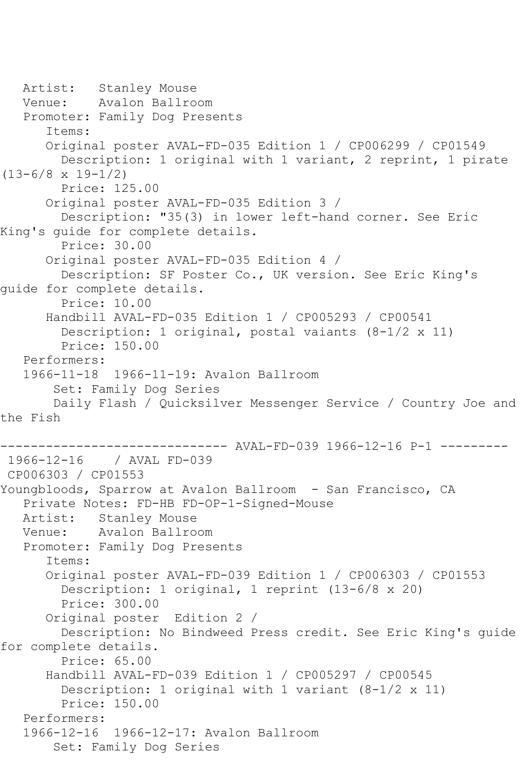```
 Artist: Stanley Mouse
   Venue: Avalon Ballroom
   Promoter: Family Dog Presents
       Items:
       Original poster AVAL-FD-035 Edition 1 / CP006299 / CP01549
         Description: 1 original with 1 variant, 2 reprint, 1 pirate 
(13-6/8 x 19-1/2)
         Price: 125.00
       Original poster AVAL-FD-035 Edition 3 / 
         Description: "35(3) in lower left-hand corner. See Eric 
King's guide for complete details.
         Price: 30.00
       Original poster AVAL-FD-035 Edition 4 / 
         Description: SF Poster Co., UK version. See Eric King's 
guide for complete details.
         Price: 10.00
       Handbill AVAL-FD-035 Edition 1 / CP005293 / CP00541
         Description: 1 original, postal vaiants (8-1/2 x 11)
         Price: 150.00
   Performers:
   1966-11-18 1966-11-19: Avalon Ballroom
        Set: Family Dog Series
        Daily Flash / Quicksilver Messenger Service / Country Joe and 
the Fish
------------------------------ AVAL-FD-039 1966-12-16 P-1 ---------
1966-12-16 / AVAL FD-039
CP006303 / CP01553
Youngbloods, Sparrow at Avalon Ballroom - San Francisco, CA
   Private Notes: FD-HB FD-OP-1-Signed-Mouse
   Artist: Stanley Mouse
   Venue: Avalon Ballroom
   Promoter: Family Dog Presents
       Items:
       Original poster AVAL-FD-039 Edition 1 / CP006303 / CP01553
         Description: 1 original, 1 reprint (13-6/8 x 20)
         Price: 300.00
       Original poster Edition 2 / 
         Description: No Bindweed Press credit. See Eric King's guide 
for complete details.
         Price: 65.00
       Handbill AVAL-FD-039 Edition 1 / CP005297 / CP00545
         Description: 1 original with 1 variant (8-1/2 x 11)
         Price: 150.00
   Performers:
   1966-12-16 1966-12-17: Avalon Ballroom
        Set: Family Dog Series
```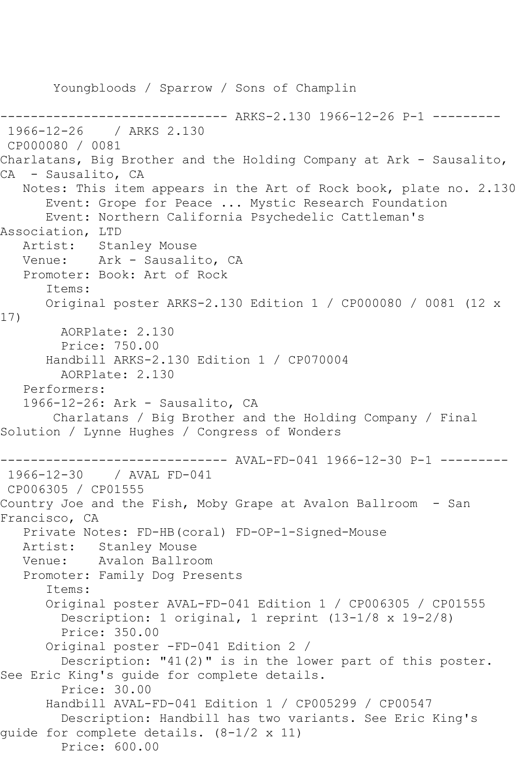Youngbloods / Sparrow / Sons of Champlin ------------------------------ ARKS-2.130 1966-12-26 P-1 --------- 1966-12-26 / ARKS 2.130 CP000080 / 0081 Charlatans, Big Brother and the Holding Company at Ark - Sausalito, CA - Sausalito, CA Notes: This item appears in the Art of Rock book, plate no. 2.130 Event: Grope for Peace ... Mystic Research Foundation Event: Northern California Psychedelic Cattleman's Association, LTD Artist: Stanley Mouse Venue: Ark - Sausalito, CA Promoter: Book: Art of Rock Items: Original poster ARKS-2.130 Edition 1 / CP000080 / 0081 (12 x 17) AORPlate: 2.130 Price: 750.00 Handbill ARKS-2.130 Edition 1 / CP070004 AORPlate: 2.130 Performers: 1966-12-26: Ark - Sausalito, CA Charlatans / Big Brother and the Holding Company / Final Solution / Lynne Hughes / Congress of Wonders ------------------------------ AVAL-FD-041 1966-12-30 P-1 --------- 1966-12-30 / AVAL FD-041 CP006305 / CP01555 Country Joe and the Fish, Moby Grape at Avalon Ballroom - San Francisco, CA Private Notes: FD-HB(coral) FD-OP-1-Signed-Mouse Artist: Stanley Mouse<br>Venue: Avalon Ballro Avalon Ballroom Promoter: Family Dog Presents Items: Original poster AVAL-FD-041 Edition 1 / CP006305 / CP01555 Description: 1 original, 1 reprint (13-1/8 x 19-2/8) Price: 350.00 Original poster -FD-041 Edition 2 / Description: "41(2)" is in the lower part of this poster. See Eric King's guide for complete details. Price: 30.00 Handbill AVAL-FD-041 Edition 1 / CP005299 / CP00547 Description: Handbill has two variants. See Eric King's guide for complete details. (8-1/2 x 11) Price: 600.00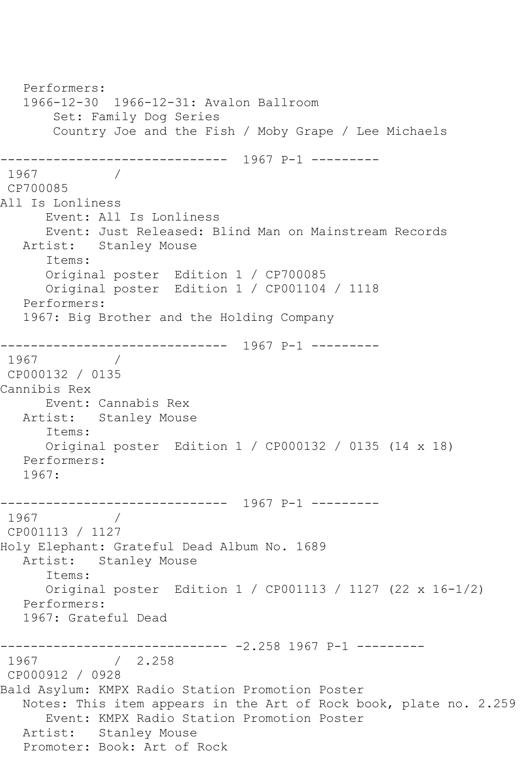Performers: 1966-12-30 1966-12-31: Avalon Ballroom Set: Family Dog Series Country Joe and the Fish / Moby Grape / Lee Michaels ------------------------------ 1967 P-1 --------- 1967 / CP700085 All Is Lonliness Event: All Is Lonliness Event: Just Released: Blind Man on Mainstream Records Artist: Stanley Mouse Items: Original poster Edition 1 / CP700085 Original poster Edition 1 / CP001104 / 1118 Performers: 1967: Big Brother and the Holding Company ------------------------------ 1967 P-1 --------- 1967 / CP000132 / 0135 Cannibis Rex Event: Cannabis Rex Artist: Stanley Mouse Items: Original poster Edition 1 / CP000132 / 0135 (14 x 18) Performers: 1967: ------------------------------ 1967 P-1 --------- 1967 / CP001113 / 1127 Holy Elephant: Grateful Dead Album No. 1689 Artist: Stanley Mouse Items: Original poster Edition 1 / CP001113 / 1127 (22 x 16-1/2) Performers: 1967: Grateful Dead ------------------------------ -2.258 1967 P-1 --------- 1967 / 2.258 CP000912 / 0928 Bald Asylum: KMPX Radio Station Promotion Poster Notes: This item appears in the Art of Rock book, plate no. 2.259 Event: KMPX Radio Station Promotion Poster Artist: Stanley Mouse Promoter: Book: Art of Rock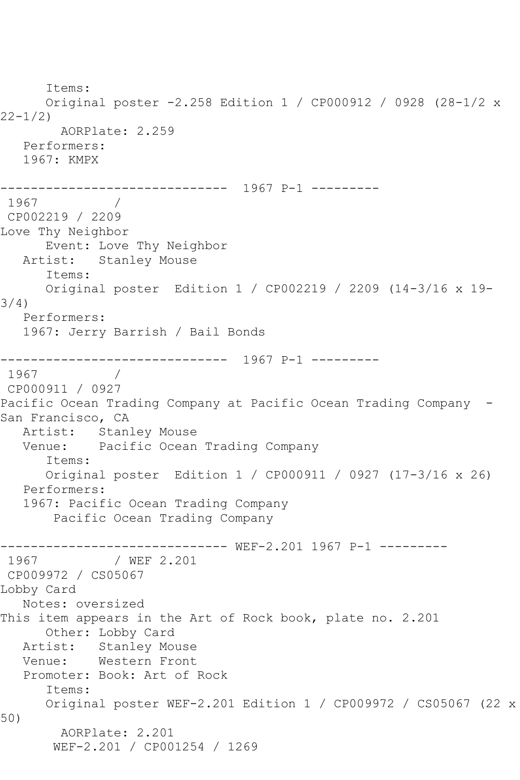Items: Original poster -2.258 Edition 1 / CP000912 / 0928 (28-1/2 x 22-1/2) AORPlate: 2.259 Performers: 1967: KMPX ------------------------------ 1967 P-1 --------- 1967 / CP002219 / 2209 Love Thy Neighbor Event: Love Thy Neighbor Artist: Stanley Mouse Items: Original poster Edition 1 / CP002219 / 2209 (14-3/16 x 19- 3/4) Performers: 1967: Jerry Barrish / Bail Bonds ------------------------------ 1967 P-1 --------- 1967 / CP000911 / 0927 Pacific Ocean Trading Company at Pacific Ocean Trading Company - San Francisco, CA Artist: Stanley Mouse<br>Venue: Pacific Ocean Pacific Ocean Trading Company Items: Original poster Edition 1 / CP000911 / 0927 (17-3/16 x 26) Performers: 1967: Pacific Ocean Trading Company Pacific Ocean Trading Company ------------------------------ WEF-2.201 1967 P-1 --------- 1967 / WEF 2.201 CP009972 / CS05067 Lobby Card Notes: oversized This item appears in the Art of Rock book, plate no. 2.201 Other: Lobby Card<br>Artist: Stanley Mo Stanley Mouse Venue: Western Front Promoter: Book: Art of Rock Items: Original poster WEF-2.201 Edition 1 / CP009972 / CS05067 (22 x 50) AORPlate: 2.201 WEF-2.201 / CP001254 / 1269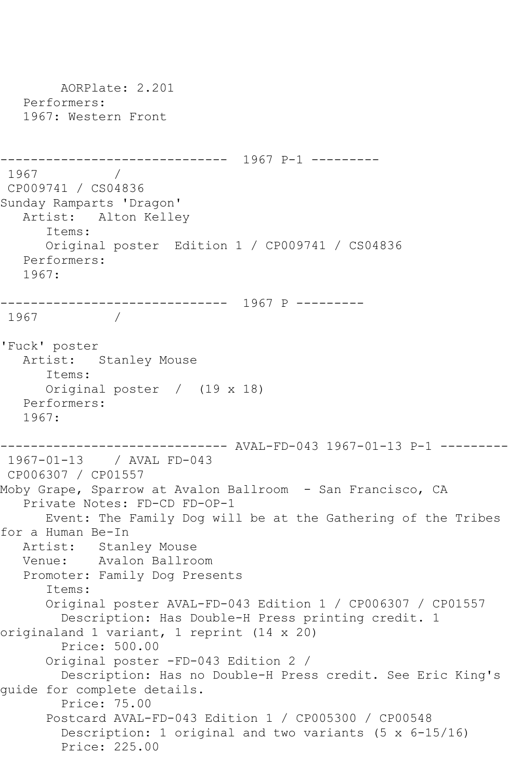AORPlate: 2.201 Performers: 1967: Western Front ------------------------------ 1967 P-1 --------- 1967 CP009741 / CS04836 Sunday Ramparts 'Dragon' Artist: Alton Kelley Items: Original poster Edition 1 / CP009741 / CS04836 Performers: 1967: ------------------------------ 1967 P ---------  $\frac{1}{2}$ 'Fuck' poster Artist: Stanley Mouse Items: Original poster / (19 x 18) Performers: 1967: ------------------------------ AVAL-FD-043 1967-01-13 P-1 --------- 1967-01-13 / AVAL FD-043 CP006307 / CP01557 Moby Grape, Sparrow at Avalon Ballroom - San Francisco, CA Private Notes: FD-CD FD-OP-1 Event: The Family Dog will be at the Gathering of the Tribes for a Human Be-In Artist: Stanley Mouse Venue: Avalon Ballroom Promoter: Family Dog Presents Items: Original poster AVAL-FD-043 Edition 1 / CP006307 / CP01557 Description: Has Double-H Press printing credit. 1 originaland 1 variant, 1 reprint (14 x 20) Price: 500.00 Original poster -FD-043 Edition 2 / Description: Has no Double-H Press credit. See Eric King's guide for complete details. Price: 75.00 Postcard AVAL-FD-043 Edition 1 / CP005300 / CP00548 Description: 1 original and two variants (5 x 6-15/16) Price: 225.00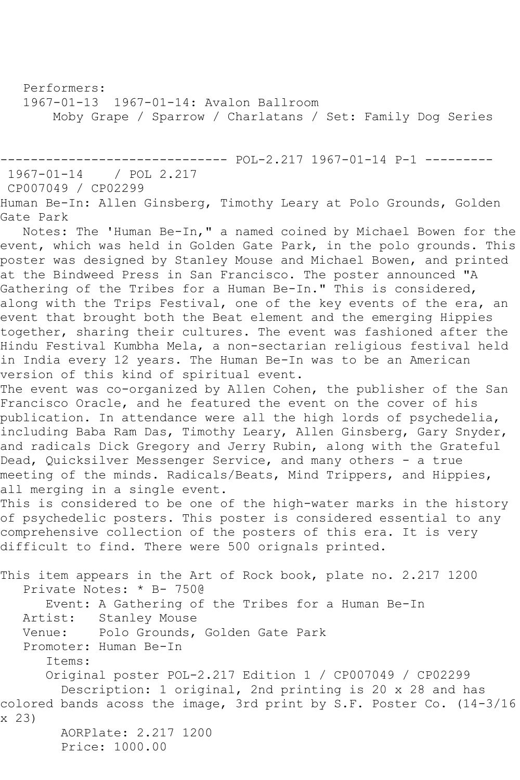Performers:

1967-01-13 1967-01-14: Avalon Ballroom

Moby Grape / Sparrow / Charlatans / Set: Family Dog Series

------------------------------ POL-2.217 1967-01-14 P-1 ---------

 $1967 - 01 - 14$ 

CP007049 / CP02299

Human Be-In: Allen Ginsberg, Timothy Leary at Polo Grounds, Golden Gate Park

 Notes: The 'Human Be-In," a named coined by Michael Bowen for the event, which was held in Golden Gate Park, in the polo grounds. This poster was designed by Stanley Mouse and Michael Bowen, and printed at the Bindweed Press in San Francisco. The poster announced "A Gathering of the Tribes for a Human Be-In." This is considered, along with the Trips Festival, one of the key events of the era, an event that brought both the Beat element and the emerging Hippies together, sharing their cultures. The event was fashioned after the Hindu Festival Kumbha Mela, a non-sectarian religious festival held in India every 12 years. The Human Be-In was to be an American version of this kind of spiritual event.

The event was co-organized by Allen Cohen, the publisher of the San Francisco Oracle, and he featured the event on the cover of his publication. In attendance were all the high lords of psychedelia, including Baba Ram Das, Timothy Leary, Allen Ginsberg, Gary Snyder, and radicals Dick Gregory and Jerry Rubin, along with the Grateful Dead, Quicksilver Messenger Service, and many others - a true meeting of the minds. Radicals/Beats, Mind Trippers, and Hippies, all merging in a single event.

This is considered to be one of the high-water marks in the history of psychedelic posters. This poster is considered essential to any comprehensive collection of the posters of this era. It is very difficult to find. There were 500 orignals printed.

This item appears in the Art of Rock book, plate no. 2.217 1200 Private Notes: \* B- 750@ Event: A Gathering of the Tribes for a Human Be-In Artist: Stanley Mouse Venue: Polo Grounds, Golden Gate Park Promoter: Human Be-In Items: Original poster POL-2.217 Edition 1 / CP007049 / CP02299 Description: 1 original, 2nd printing is 20 x 28 and has colored bands acoss the image, 3rd print by S.F. Poster Co. (14-3/16 x 23) AORPlate: 2.217 1200 Price: 1000.00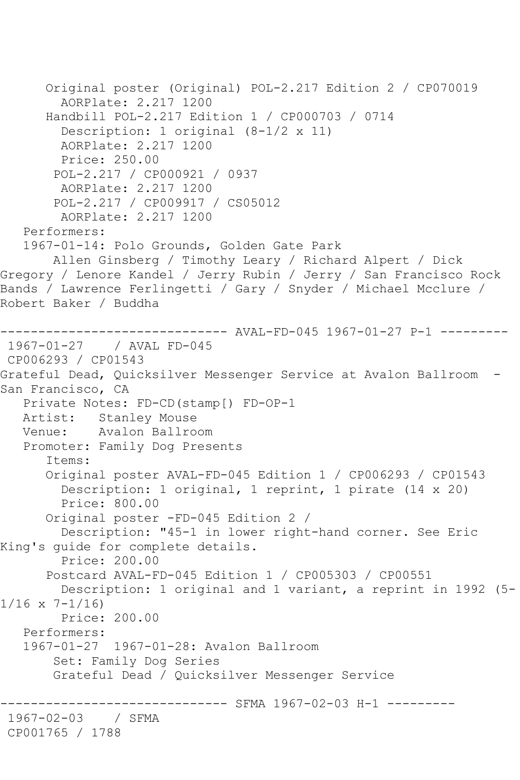```
 Original poster (Original) POL-2.217 Edition 2 / CP070019
         AORPlate: 2.217 1200 
       Handbill POL-2.217 Edition 1 / CP000703 / 0714
         Description: 1 original (8-1/2 x 11)
         AORPlate: 2.217 1200 
         Price: 250.00
        POL-2.217 / CP000921 / 0937
         AORPlate: 2.217 1200 
        POL-2.217 / CP009917 / CS05012
         AORPlate: 2.217 1200 
    Performers:
    1967-01-14: Polo Grounds, Golden Gate Park
        Allen Ginsberg / Timothy Leary / Richard Alpert / Dick 
Gregory / Lenore Kandel / Jerry Rubin / Jerry / San Francisco Rock 
Bands / Lawrence Ferlingetti / Gary / Snyder / Michael Mcclure / 
Robert Baker / Buddha
      ------------------------------ AVAL-FD-045 1967-01-27 P-1 ---------
1967-01-27 / AVAL FD-045
CP006293 / CP01543
Grateful Dead, Quicksilver Messenger Service at Avalon Ballroom -
San Francisco, CA
   Private Notes: FD-CD(stamp[) FD-OP-1
   Artist: Stanley Mouse
   Venue: Avalon Ballroom
   Promoter: Family Dog Presents
       Items:
       Original poster AVAL-FD-045 Edition 1 / CP006293 / CP01543
         Description: 1 original, 1 reprint, 1 pirate (14 x 20)
         Price: 800.00
       Original poster -FD-045 Edition 2 / 
         Description: "45-1 in lower right-hand corner. See Eric 
King's guide for complete details.
         Price: 200.00
       Postcard AVAL-FD-045 Edition 1 / CP005303 / CP00551
         Description: 1 original and 1 variant, a reprint in 1992 (5-
1/16 \times 7 - 1/16 Price: 200.00
   Performers:
    1967-01-27 1967-01-28: Avalon Ballroom
        Set: Family Dog Series
        Grateful Dead / Quicksilver Messenger Service
                      ------------------------------ SFMA 1967-02-03 H-1 ---------
1967-02-03 / SFMA 
CP001765 / 1788
```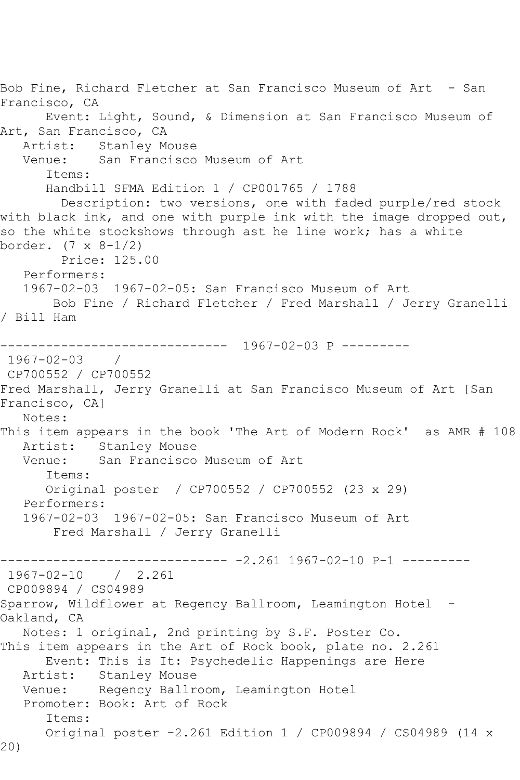Bob Fine, Richard Fletcher at San Francisco Museum of Art - San Francisco, CA Event: Light, Sound, & Dimension at San Francisco Museum of Art, San Francisco, CA Artist: Stanley Mouse Venue: San Francisco Museum of Art Items: Handbill SFMA Edition 1 / CP001765 / 1788 Description: two versions, one with faded purple/red stock with black ink, and one with purple ink with the image dropped out, so the white stockshows through ast he line work; has a white border. (7 x 8-1/2) Price: 125.00 Performers: 1967-02-03 1967-02-05: San Francisco Museum of Art Bob Fine / Richard Fletcher / Fred Marshall / Jerry Granelli / Bill Ham ------------------------------ 1967-02-03 P --------- 1967-02-03 / CP700552 / CP700552 Fred Marshall, Jerry Granelli at San Francisco Museum of Art [San Francisco, CA] Notes: This item appears in the book 'The Art of Modern Rock' as AMR # 108 Artist: Stanley Mouse<br>Venue: San Francisco San Francisco Museum of Art Items: Original poster / CP700552 / CP700552 (23 x 29) Performers: 1967-02-03 1967-02-05: San Francisco Museum of Art Fred Marshall / Jerry Granelli ------------------------------ -2.261 1967-02-10 P-1 --------- 1967-02-10 / 2.261 CP009894 / CS04989 Sparrow, Wildflower at Regency Ballroom, Leamington Hotel - Oakland, CA Notes: 1 original, 2nd printing by S.F. Poster Co. This item appears in the Art of Rock book, plate no. 2.261 Event: This is It: Psychedelic Happenings are Here Artist: Stanley Mouse Venue: Regency Ballroom, Leamington Hotel Promoter: Book: Art of Rock Items: Original poster -2.261 Edition 1 / CP009894 / CS04989 (14 x 20)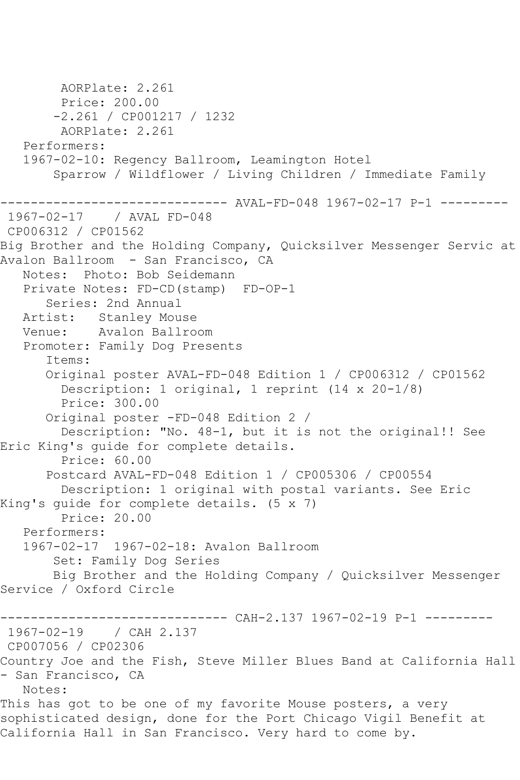AORPlate: 2.261 Price: 200.00 -2.261 / CP001217 / 1232 AORPlate: 2.261 Performers: 1967-02-10: Regency Ballroom, Leamington Hotel Sparrow / Wildflower / Living Children / Immediate Family ------------------------------ AVAL-FD-048 1967-02-17 P-1 --------- 1967-02-17 / AVAL FD-048 CP006312 / CP01562 Big Brother and the Holding Company, Quicksilver Messenger Servic at Avalon Ballroom - San Francisco, CA Notes: Photo: Bob Seidemann Private Notes: FD-CD(stamp) FD-OP-1 Series: 2nd Annual Artist: Stanley Mouse Venue: Avalon Ballroom Promoter: Family Dog Presents Items: Original poster AVAL-FD-048 Edition 1 / CP006312 / CP01562 Description: 1 original, 1 reprint (14 x 20-1/8) Price: 300.00 Original poster -FD-048 Edition 2 / Description: "No. 48-1, but it is not the original!! See Eric King's guide for complete details. Price: 60.00 Postcard AVAL-FD-048 Edition 1 / CP005306 / CP00554 Description: 1 original with postal variants. See Eric King's guide for complete details. (5 x 7) Price: 20.00 Performers: 1967-02-17 1967-02-18: Avalon Ballroom Set: Family Dog Series Big Brother and the Holding Company / Quicksilver Messenger Service / Oxford Circle ------------ CAH-2.137 1967-02-19 P-1 ---------1967-02-19 / CAH 2.137 CP007056 / CP02306 Country Joe and the Fish, Steve Miller Blues Band at California Hall - San Francisco, CA Notes: This has got to be one of my favorite Mouse posters, a very sophisticated design, done for the Port Chicago Vigil Benefit at California Hall in San Francisco. Very hard to come by.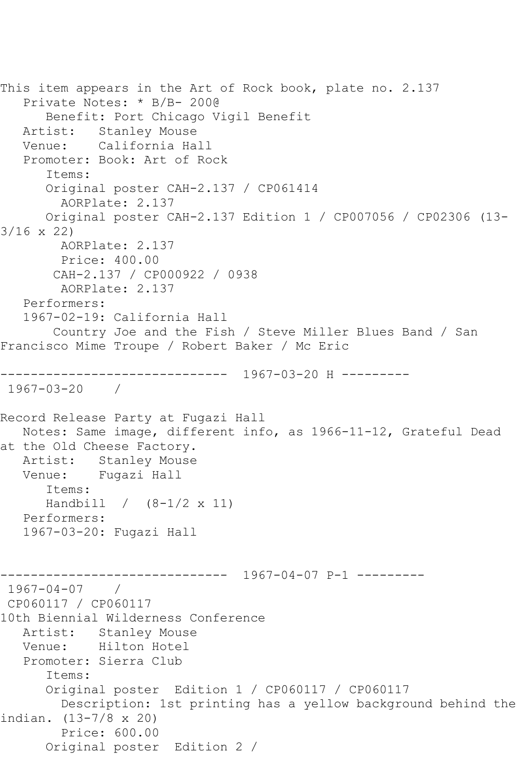```
This item appears in the Art of Rock book, plate no. 2.137
   Private Notes: * B/B- 200@
      Benefit: Port Chicago Vigil Benefit
   Artist: Stanley Mouse
   Venue: California Hall
   Promoter: Book: Art of Rock
       Items:
       Original poster CAH-2.137 / CP061414
         AORPlate: 2.137 
      Original poster CAH-2.137 Edition 1 / CP007056 / CP02306 (13-
3/16 x 22)
        AORPlate: 2.137 
        Price: 400.00
        CAH-2.137 / CP000922 / 0938
        AORPlate: 2.137 
   Performers:
   1967-02-19: California Hall
        Country Joe and the Fish / Steve Miller Blues Band / San 
Francisco Mime Troupe / Robert Baker / Mc Eric
------------------------------ 1967-03-20 H ---------
1967-03-20 / 
Record Release Party at Fugazi Hall
   Notes: Same image, different info, as 1966-11-12, Grateful Dead 
at the Old Cheese Factory.
   Artist: Stanley Mouse
   Venue: Fugazi Hall
       Items:
      Handbill / (8-1/2 x 11)
   Performers:
   1967-03-20: Fugazi Hall
                   ------------------------------ 1967-04-07 P-1 ---------
1967-04-07 / 
CP060117 / CP060117
10th Biennial Wilderness Conference
   Artist: Stanley Mouse
   Venue: Hilton Hotel
   Promoter: Sierra Club
       Items:
       Original poster Edition 1 / CP060117 / CP060117
        Description: 1st printing has a yellow background behind the 
indian. (13-7/8 x 20)
         Price: 600.00
       Original poster Edition 2 /
```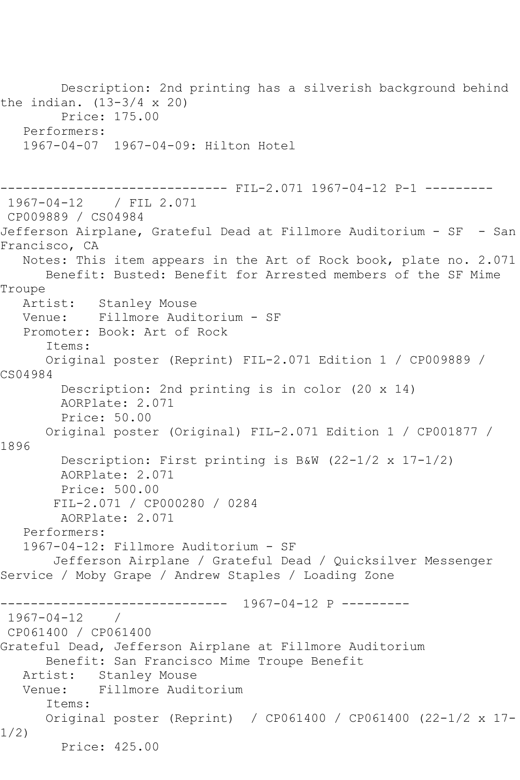Description: 2nd printing has a silverish background behind the indian.  $(13-3/4 \times 20)$  Price: 175.00 Performers: 1967-04-07 1967-04-09: Hilton Hotel ------------------------------ FIL-2.071 1967-04-12 P-1 --------- 1967-04-12 / FIL 2.071 CP009889 / CS04984 Jefferson Airplane, Grateful Dead at Fillmore Auditorium - SF - San Francisco, CA Notes: This item appears in the Art of Rock book, plate no. 2.071 Benefit: Busted: Benefit for Arrested members of the SF Mime Troupe Artist: Stanley Mouse Venue: Fillmore Auditorium - SF Promoter: Book: Art of Rock Items: Original poster (Reprint) FIL-2.071 Edition 1 / CP009889 / CS04984 Description: 2nd printing is in color (20 x 14) AORPlate: 2.071 Price: 50.00 Original poster (Original) FIL-2.071 Edition 1 / CP001877 / 1896 Description: First printing is B&W (22-1/2 x 17-1/2) AORPlate: 2.071 Price: 500.00 FIL-2.071 / CP000280 / 0284 AORPlate: 2.071 Performers: 1967-04-12: Fillmore Auditorium - SF Jefferson Airplane / Grateful Dead / Quicksilver Messenger Service / Moby Grape / Andrew Staples / Loading Zone ------------------------------ 1967-04-12 P --------- 1967-04-12 / CP061400 / CP061400 Grateful Dead, Jefferson Airplane at Fillmore Auditorium Benefit: San Francisco Mime Troupe Benefit Artist: Stanley Mouse Venue: Fillmore Auditorium Items: Original poster (Reprint) / CP061400 / CP061400 (22-1/2 x 17- 1/2) Price: 425.00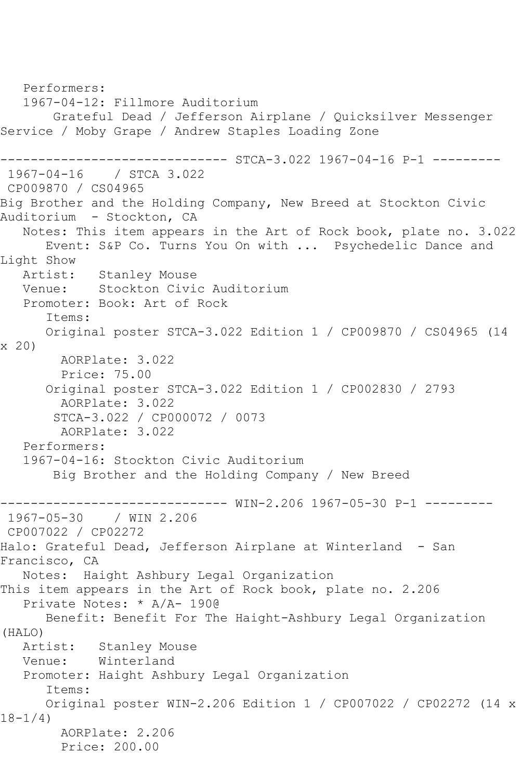Performers: 1967-04-12: Fillmore Auditorium Grateful Dead / Jefferson Airplane / Quicksilver Messenger Service / Moby Grape / Andrew Staples Loading Zone ------------------------------ STCA-3.022 1967-04-16 P-1 --------- 1967-04-16 / STCA 3.022 CP009870 / CS04965 Big Brother and the Holding Company, New Breed at Stockton Civic Auditorium - Stockton, CA Notes: This item appears in the Art of Rock book, plate no. 3.022 Event: S&P Co. Turns You On with ... Psychedelic Dance and Light Show Artist: Stanley Mouse Venue: Stockton Civic Auditorium Promoter: Book: Art of Rock Items: Original poster STCA-3.022 Edition 1 / CP009870 / CS04965 (14 x 20) AORPlate: 3.022 Price: 75.00 Original poster STCA-3.022 Edition 1 / CP002830 / 2793 AORPlate: 3.022 STCA-3.022 / CP000072 / 0073 AORPlate: 3.022 Performers: 1967-04-16: Stockton Civic Auditorium Big Brother and the Holding Company / New Breed ------------------------------ WIN-2.206 1967-05-30 P-1 --------- / WIN 2.206 CP007022 / CP02272 Halo: Grateful Dead, Jefferson Airplane at Winterland - San Francisco, CA Notes: Haight Ashbury Legal Organization This item appears in the Art of Rock book, plate no. 2.206 Private Notes: \* A/A- 190@ Benefit: Benefit For The Haight-Ashbury Legal Organization (HALO) Stanley Mouse Venue: Winterland Promoter: Haight Ashbury Legal Organization Items: Original poster WIN-2.206 Edition 1 / CP007022 / CP02272 (14 x 18-1/4) AORPlate: 2.206 Price: 200.00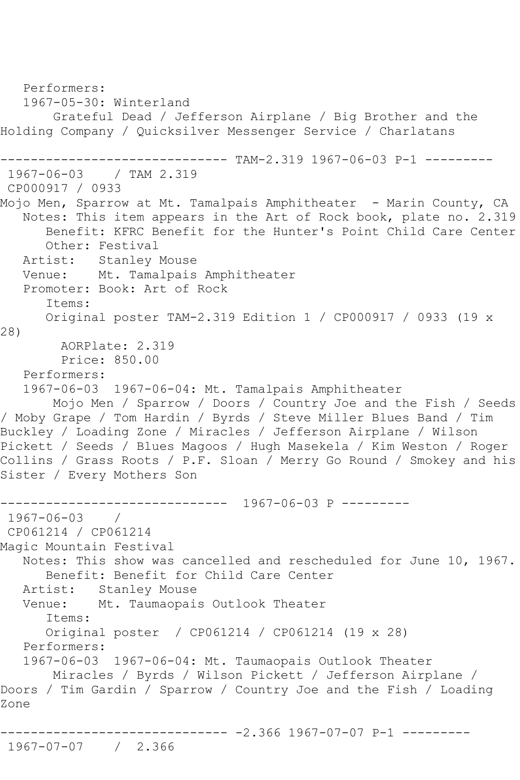Performers: 1967-05-30: Winterland Grateful Dead / Jefferson Airplane / Big Brother and the Holding Company / Quicksilver Messenger Service / Charlatans -------------- TAM-2.319 1967-06-03 P-1 ---------1967-06-03 / TAM 2.319 CP000917 / 0933 Mojo Men, Sparrow at Mt. Tamalpais Amphitheater - Marin County, CA Notes: This item appears in the Art of Rock book, plate no. 2.319 Benefit: KFRC Benefit for the Hunter's Point Child Care Center Other: Festival Artist: Stanley Mouse Venue: Mt. Tamalpais Amphitheater Promoter: Book: Art of Rock Items: Original poster TAM-2.319 Edition 1 / CP000917 / 0933 (19 x 28) AORPlate: 2.319 Price: 850.00 Performers: 1967-06-03 1967-06-04: Mt. Tamalpais Amphitheater Mojo Men / Sparrow / Doors / Country Joe and the Fish / Seeds / Moby Grape / Tom Hardin / Byrds / Steve Miller Blues Band / Tim Buckley / Loading Zone / Miracles / Jefferson Airplane / Wilson Pickett / Seeds / Blues Magoos / Hugh Masekela / Kim Weston / Roger Collins / Grass Roots / P.F. Sloan / Merry Go Round / Smokey and his Sister / Every Mothers Son ------------------------------ 1967-06-03 P --------- 1967-06-03 / CP061214 / CP061214 Magic Mountain Festival Notes: This show was cancelled and rescheduled for June 10, 1967. Benefit: Benefit for Child Care Center Artist: Stanley Mouse<br>Venue: Mt. Taumaopai Mt. Taumaopais Outlook Theater Items: Original poster / CP061214 / CP061214 (19 x 28) Performers: 1967-06-03 1967-06-04: Mt. Taumaopais Outlook Theater Miracles / Byrds / Wilson Pickett / Jefferson Airplane / Doors / Tim Gardin / Sparrow / Country Joe and the Fish / Loading Zone ------------------------------ -2.366 1967-07-07 P-1 --------- 1967-07-07 / 2.366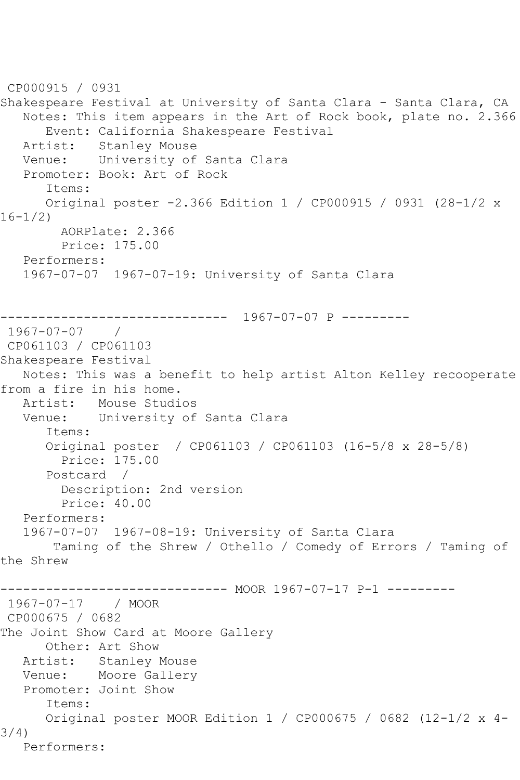```
CP000915 / 0931
Shakespeare Festival at University of Santa Clara - Santa Clara, CA
   Notes: This item appears in the Art of Rock book, plate no. 2.366
       Event: California Shakespeare Festival
   Artist: Stanley Mouse
   Venue: University of Santa Clara
   Promoter: Book: Art of Rock
       Items:
      Original poster -2.366 Edition 1 / CP000915 / 0931 (28-1/2 x 
16-1/2)
         AORPlate: 2.366 
         Price: 175.00
   Performers:
   1967-07-07 1967-07-19: University of Santa Clara
               ------------------------------ 1967-07-07 P ---------
1967-07-07 / 
CP061103 / CP061103
Shakespeare Festival
   Notes: This was a benefit to help artist Alton Kelley recooperate 
from a fire in his home.
   Artist: Mouse Studios
   Venue: University of Santa Clara
       Items:
      Original poster / CP061103 / CP061103 (16-5/8 x 28-5/8)
         Price: 175.00
       Postcard / 
         Description: 2nd version
         Price: 40.00
   Performers:
   1967-07-07 1967-08-19: University of Santa Clara
        Taming of the Shrew / Othello / Comedy of Errors / Taming of 
the Shrew
------------------------------ MOOR 1967-07-17 P-1 ---------
1967-07-17 / MOOR 
CP000675 / 0682
The Joint Show Card at Moore Gallery
      Other: Art Show
   Artist: Stanley Mouse
   Venue: Moore Gallery
   Promoter: Joint Show
       Items:
      Original poster MOOR Edition 1 / CP000675 / 0682 (12-1/2 x 4-
3/4)
   Performers:
```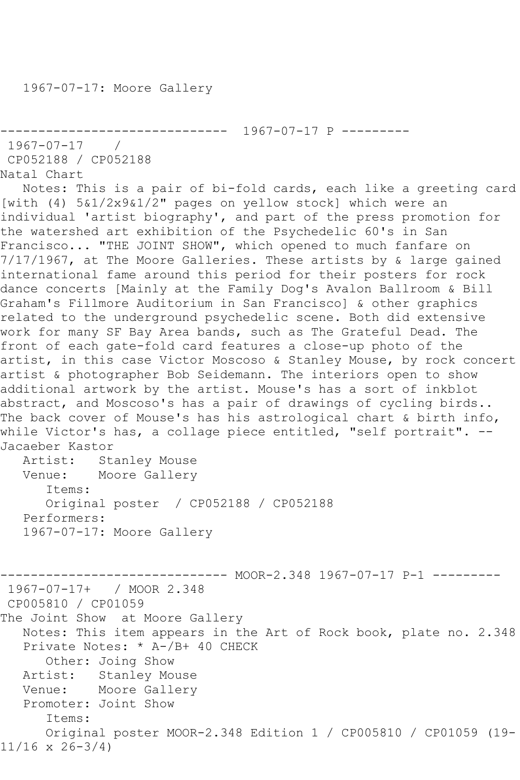```
------------------------------ 1967-07-17 P ---------
1967-07-17 / 
CP052188 / CP052188
Natal Chart
```
 Notes: This is a pair of bi-fold cards, each like a greeting card [with (4) 5&1/2x9&1/2" pages on yellow stock] which were an individual 'artist biography', and part of the press promotion for the watershed art exhibition of the Psychedelic 60's in San Francisco... "THE JOINT SHOW", which opened to much fanfare on 7/17/1967, at The Moore Galleries. These artists by & large gained international fame around this period for their posters for rock dance concerts [Mainly at the Family Dog's Avalon Ballroom & Bill Graham's Fillmore Auditorium in San Francisco] & other graphics related to the underground psychedelic scene. Both did extensive work for many SF Bay Area bands, such as The Grateful Dead. The front of each gate-fold card features a close-up photo of the artist, in this case Victor Moscoso & Stanley Mouse, by rock concert artist & photographer Bob Seidemann. The interiors open to show additional artwork by the artist. Mouse's has a sort of inkblot abstract, and Moscoso's has a pair of drawings of cycling birds.. The back cover of Mouse's has his astrological chart & birth info, while Victor's has, a collage piece entitled, "self portrait". -- Jacaeber Kastor Artist: Stanley Mouse Venue: Moore Gallery Items: Original poster / CP052188 / CP052188 Performers: 1967-07-17: Moore Gallery

----- MOOR-2.348 1967-07-17 P-1 ---------1967-07-17+ / MOOR 2.348 CP005810 / CP01059 The Joint Show at Moore Gallery Notes: This item appears in the Art of Rock book, plate no. 2.348 Private Notes: \* A-/B+ 40 CHECK Other: Joing Show Artist: Stanley Mouse Venue: Moore Gallery Promoter: Joint Show Items: Original poster MOOR-2.348 Edition 1 / CP005810 / CP01059 (19- 11/16 x 26-3/4)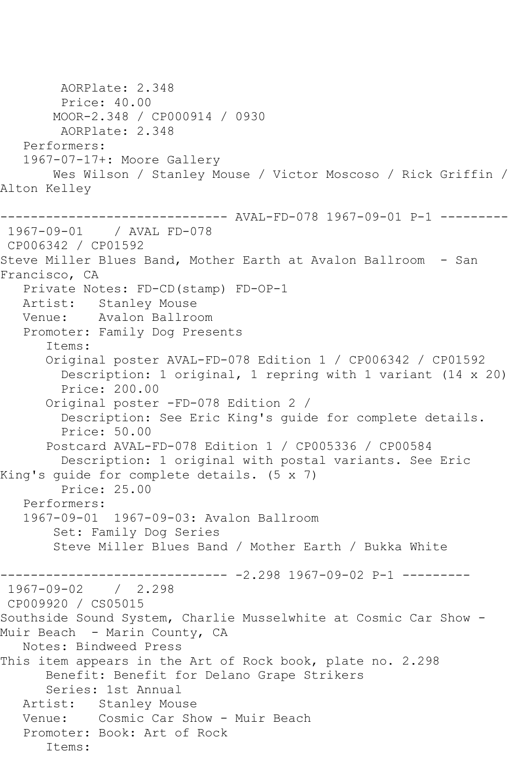AORPlate: 2.348 Price: 40.00 MOOR-2.348 / CP000914 / 0930 AORPlate: 2.348 Performers: 1967-07-17+: Moore Gallery Wes Wilson / Stanley Mouse / Victor Moscoso / Rick Griffin / Alton Kelley ------------------------------ AVAL-FD-078 1967-09-01 P-1 --------- 1967-09-01 / AVAL FD-078 CP006342 / CP01592 Steve Miller Blues Band, Mother Earth at Avalon Ballroom - San Francisco, CA Private Notes: FD-CD(stamp) FD-OP-1 Artist: Stanley Mouse Venue: Avalon Ballroom Promoter: Family Dog Presents Items: Original poster AVAL-FD-078 Edition 1 / CP006342 / CP01592 Description: 1 original, 1 repring with 1 variant (14 x 20) Price: 200.00 Original poster -FD-078 Edition 2 / Description: See Eric King's guide for complete details. Price: 50.00 Postcard AVAL-FD-078 Edition 1 / CP005336 / CP00584 Description: 1 original with postal variants. See Eric King's guide for complete details. (5 x 7) Price: 25.00 Performers: 1967-09-01 1967-09-03: Avalon Ballroom Set: Family Dog Series Steve Miller Blues Band / Mother Earth / Bukka White ------------------------------ -2.298 1967-09-02 P-1 --------- 1967-09-02 / 2.298 CP009920 / CS05015 Southside Sound System, Charlie Musselwhite at Cosmic Car Show - Muir Beach - Marin County, CA Notes: Bindweed Press This item appears in the Art of Rock book, plate no. 2.298 Benefit: Benefit for Delano Grape Strikers Series: 1st Annual Artist: Stanley Mouse Venue: Cosmic Car Show - Muir Beach Promoter: Book: Art of Rock Items: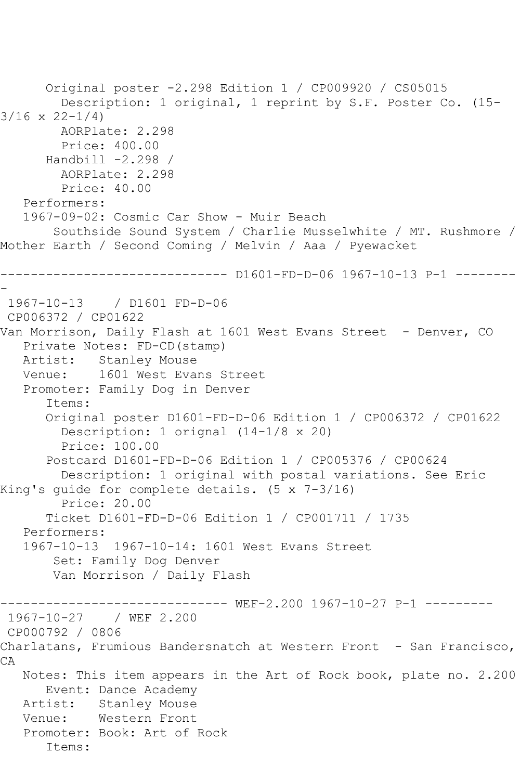```
 Original poster -2.298 Edition 1 / CP009920 / CS05015
         Description: 1 original, 1 reprint by S.F. Poster Co. (15-
3/16 x 22-1/4)
        AORPlate: 2.298 
         Price: 400.00
       Handbill -2.298 / 
        AORPlate: 2.298 
         Price: 40.00
   Performers:
   1967-09-02: Cosmic Car Show - Muir Beach
        Southside Sound System / Charlie Musselwhite / MT. Rushmore / 
Mother Earth / Second Coming / Melvin / Aaa / Pyewacket
               ------------------------------ D1601-FD-D-06 1967-10-13 P-1 --------
-
1967-10-13 / D1601 FD-D-06
CP006372 / CP01622
Van Morrison, Daily Flash at 1601 West Evans Street - Denver, CO
   Private Notes: FD-CD(stamp)
   Artist: Stanley Mouse
   Venue: 1601 West Evans Street
   Promoter: Family Dog in Denver
       Items:
       Original poster D1601-FD-D-06 Edition 1 / CP006372 / CP01622
         Description: 1 orignal (14-1/8 x 20)
         Price: 100.00
       Postcard D1601-FD-D-06 Edition 1 / CP005376 / CP00624
         Description: 1 original with postal variations. See Eric 
King's guide for complete details. (5 x 7-3/16)
         Price: 20.00
       Ticket D1601-FD-D-06 Edition 1 / CP001711 / 1735
   Performers:
   1967-10-13 1967-10-14: 1601 West Evans Street
        Set: Family Dog Denver
        Van Morrison / Daily Flash
------------------------------ WEF-2.200 1967-10-27 P-1 ---------
1967-10-27 / WEF 2.200
CP000792 / 0806
Charlatans, Frumious Bandersnatch at Western Front - San Francisco,
CA
   Notes: This item appears in the Art of Rock book, plate no. 2.200
      Event: Dance Academy
   Artist: Stanley Mouse
   Venue: Western Front
   Promoter: Book: Art of Rock
       Items:
```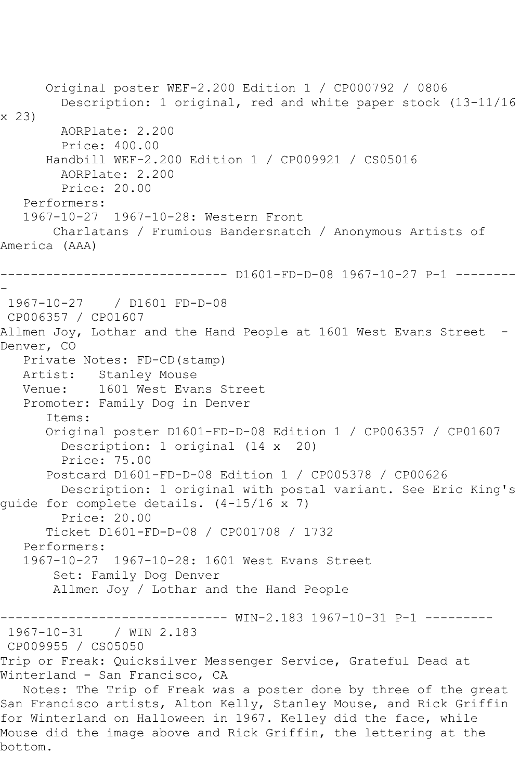Original poster WEF-2.200 Edition 1 / CP000792 / 0806 Description: 1 original, red and white paper stock (13-11/16 x 23) AORPlate: 2.200 Price: 400.00 Handbill WEF-2.200 Edition 1 / CP009921 / CS05016 AORPlate: 2.200 Price: 20.00 Performers: 1967-10-27 1967-10-28: Western Front Charlatans / Frumious Bandersnatch / Anonymous Artists of America (AAA) ------------------------------ D1601-FD-D-08 1967-10-27 P-1 -------- - 1967-10-27 / D1601 FD-D-08 CP006357 / CP01607 Allmen Joy, Lothar and the Hand People at 1601 West Evans Street - Denver, CO Private Notes: FD-CD(stamp) Artist: Stanley Mouse Venue: 1601 West Evans Street Promoter: Family Dog in Denver Items: Original poster D1601-FD-D-08 Edition 1 / CP006357 / CP01607 Description: 1 original (14 x 20) Price: 75.00 Postcard D1601-FD-D-08 Edition 1 / CP005378 / CP00626 Description: 1 original with postal variant. See Eric King's guide for complete details. (4-15/16 x 7) Price: 20.00 Ticket D1601-FD-D-08 / CP001708 / 1732 Performers: 1967-10-27 1967-10-28: 1601 West Evans Street Set: Family Dog Denver Allmen Joy / Lothar and the Hand People ------------------------------ WIN-2.183 1967-10-31 P-1 --------- 1967-10-31 / WIN 2.183 CP009955 / CS05050 Trip or Freak: Quicksilver Messenger Service, Grateful Dead at Winterland - San Francisco, CA Notes: The Trip of Freak was a poster done by three of the great San Francisco artists, Alton Kelly, Stanley Mouse, and Rick Griffin for Winterland on Halloween in 1967. Kelley did the face, while Mouse did the image above and Rick Griffin, the lettering at the

bottom.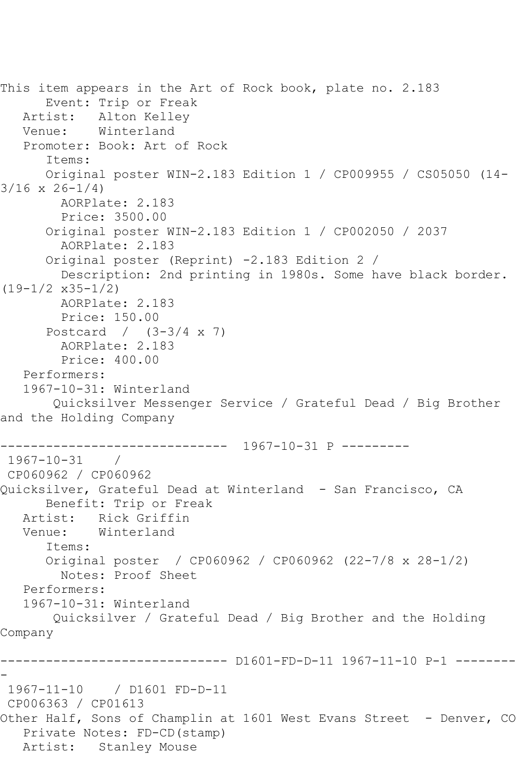This item appears in the Art of Rock book, plate no. 2.183 Event: Trip or Freak Artist: Alton Kelley Venue: Winterland Promoter: Book: Art of Rock Items: Original poster WIN-2.183 Edition 1 / CP009955 / CS05050 (14-  $3/16 \times 26 - 1/4$  AORPlate: 2.183 Price: 3500.00 Original poster WIN-2.183 Edition 1 / CP002050 / 2037 AORPlate: 2.183 Original poster (Reprint) -2.183 Edition 2 / Description: 2nd printing in 1980s. Some have black border. (19-1/2 x35-1/2) AORPlate: 2.183 Price: 150.00 Postcard / (3-3/4 x 7) AORPlate: 2.183 Price: 400.00 Performers: 1967-10-31: Winterland Quicksilver Messenger Service / Grateful Dead / Big Brother and the Holding Company ------------------------------ 1967-10-31 P --------- 1967-10-31 / CP060962 / CP060962 Quicksilver, Grateful Dead at Winterland - San Francisco, CA Benefit: Trip or Freak Artist: Rick Griffin Venue: Winterland Items: Original poster / CP060962 / CP060962 (22-7/8 x 28-1/2) Notes: Proof Sheet Performers: 1967-10-31: Winterland Quicksilver / Grateful Dead / Big Brother and the Holding Company ------------------------------ D1601-FD-D-11 1967-11-10 P-1 -------- - 1967-11-10 / D1601 FD-D-11 CP006363 / CP01613 Other Half, Sons of Champlin at 1601 West Evans Street - Denver, CO Private Notes: FD-CD(stamp) Artist: Stanley Mouse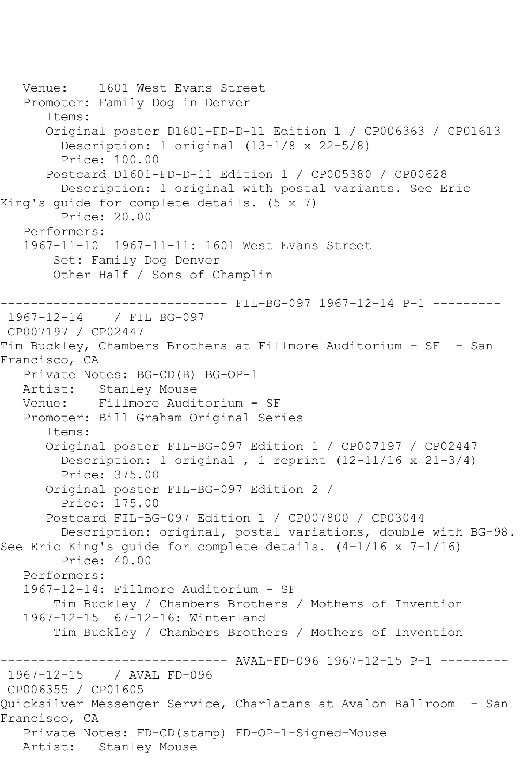```
 Venue: 1601 West Evans Street
    Promoter: Family Dog in Denver
       Items:
       Original poster D1601-FD-D-11 Edition 1 / CP006363 / CP01613
         Description: 1 original (13-1/8 x 22-5/8)
         Price: 100.00
       Postcard D1601-FD-D-11 Edition 1 / CP005380 / CP00628
         Description: 1 original with postal variants. See Eric 
King's guide for complete details. (5 x 7)
         Price: 20.00
    Performers:
    1967-11-10 1967-11-11: 1601 West Evans Street
        Set: Family Dog Denver
        Other Half / Sons of Champlin
                 ------------------------------ FIL-BG-097 1967-12-14 P-1 ---------
1967-12-14 / FIL BG-097
CP007197 / CP02447
Tim Buckley, Chambers Brothers at Fillmore Auditorium - SF - San 
Francisco, CA
    Private Notes: BG-CD(B) BG-OP-1
   Artist: Stanley Mouse
   Venue: Fillmore Auditorium - SF
    Promoter: Bill Graham Original Series
       Items:
       Original poster FIL-BG-097 Edition 1 / CP007197 / CP02447
         Description: 1 original , 1 reprint (12-11/16 x 21-3/4)
         Price: 375.00
       Original poster FIL-BG-097 Edition 2 / 
         Price: 175.00
       Postcard FIL-BG-097 Edition 1 / CP007800 / CP03044
         Description: original, postal variations, double with BG-98. 
See Eric King's quide for complete details. (4-1/16 \times 7-1/16) Price: 40.00
    Performers:
    1967-12-14: Fillmore Auditorium - SF
        Tim Buckley / Chambers Brothers / Mothers of Invention
    1967-12-15 67-12-16: Winterland
        Tim Buckley / Chambers Brothers / Mothers of Invention
                     ------------------------------ AVAL-FD-096 1967-12-15 P-1 ---------
1967-12-15 / AVAL FD-096
CP006355 / CP01605
Quicksilver Messenger Service, Charlatans at Avalon Ballroom - San 
Francisco, CA
    Private Notes: FD-CD(stamp) FD-OP-1-Signed-Mouse
   Artist: Stanley Mouse
```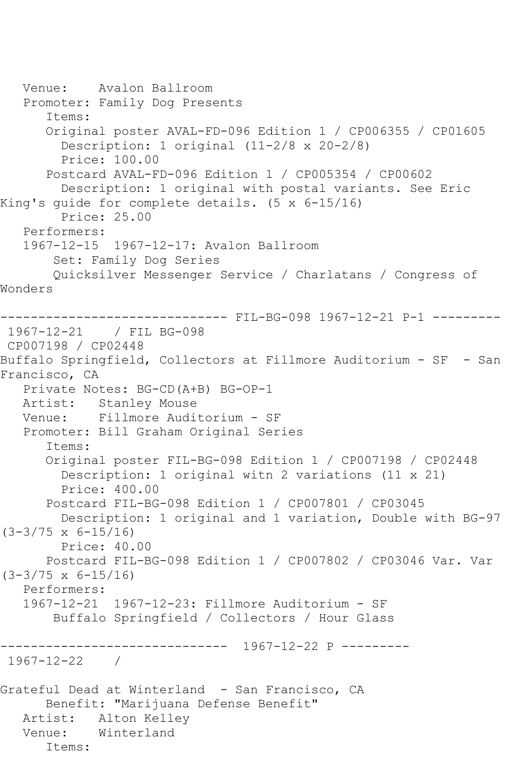```
 Venue: Avalon Ballroom
   Promoter: Family Dog Presents
       Items:
       Original poster AVAL-FD-096 Edition 1 / CP006355 / CP01605
         Description: 1 original (11-2/8 x 20-2/8)
         Price: 100.00
       Postcard AVAL-FD-096 Edition 1 / CP005354 / CP00602
         Description: 1 original with postal variants. See Eric 
King's guide for complete details. (5 x 6-15/16)
         Price: 25.00
   Performers:
   1967-12-15 1967-12-17: Avalon Ballroom
        Set: Family Dog Series
        Quicksilver Messenger Service / Charlatans / Congress of 
Wonders
------------------------------ FIL-BG-098 1967-12-21 P-1 ---------
1967-12-21 / FIL BG-098
CP007198 / CP02448
Buffalo Springfield, Collectors at Fillmore Auditorium - SF - San 
Francisco, CA
   Private Notes: BG-CD(A+B) BG-OP-1
   Artist: Stanley Mouse
   Venue: Fillmore Auditorium - SF
   Promoter: Bill Graham Original Series
       Items:
       Original poster FIL-BG-098 Edition 1 / CP007198 / CP02448
         Description: 1 original witn 2 variations (11 x 21)
         Price: 400.00
       Postcard FIL-BG-098 Edition 1 / CP007801 / CP03045
        Description: 1 original and 1 variation, Double with BG-97 
(3-3/75 \times 6-15/16) Price: 40.00
       Postcard FIL-BG-098 Edition 1 / CP007802 / CP03046 Var. Var 
(3-3/75 x 6-15/16)
   Performers:
   1967-12-21 1967-12-23: Fillmore Auditorium - SF
        Buffalo Springfield / Collectors / Hour Glass
   ------------------------------ 1967-12-22 P ---------
1967-12-22 / 
Grateful Dead at Winterland - San Francisco, CA
       Benefit: "Marijuana Defense Benefit"
   Artist: Alton Kelley
   Venue: Winterland
       Items:
```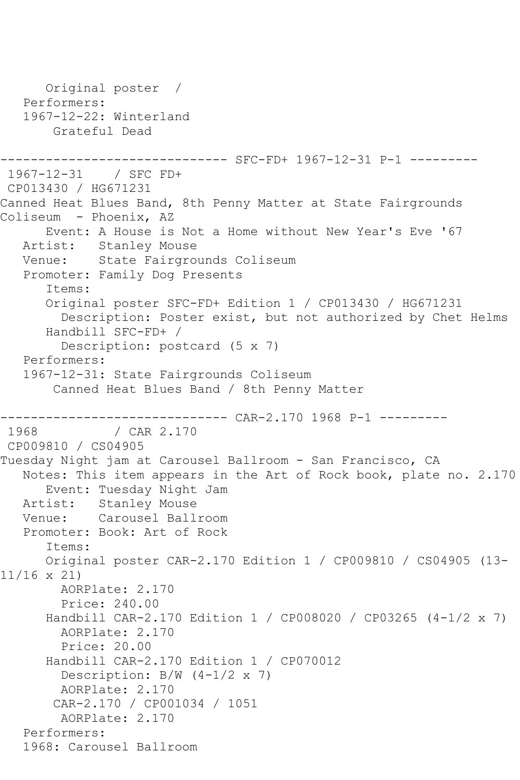```
 Original poster / 
   Performers:
   1967-12-22: Winterland
       Grateful Dead
                     --------- SFC-FD+ 1967-12-31 P-1 ---------
1967-12-31 / SFC FD+
CP013430 / HG671231
Canned Heat Blues Band, 8th Penny Matter at State Fairgrounds 
Coliseum - Phoenix, AZ
      Event: A House is Not a Home without New Year's Eve '67
   Artist: Stanley Mouse
   Venue: State Fairgrounds Coliseum
   Promoter: Family Dog Presents
       Items:
       Original poster SFC-FD+ Edition 1 / CP013430 / HG671231
         Description: Poster exist, but not authorized by Chet Helms
       Handbill SFC-FD+ / 
         Description: postcard (5 x 7)
   Performers:
   1967-12-31: State Fairgrounds Coliseum
        Canned Heat Blues Band / 8th Penny Matter
------------------------------ CAR-2.170 1968 P-1 ---------
               / CAR 2.170
CP009810 / CS04905
Tuesday Night jam at Carousel Ballroom - San Francisco, CA
   Notes: This item appears in the Art of Rock book, plate no. 2.170
      Event: Tuesday Night Jam
   Artist: Stanley Mouse
   Venue: Carousel Ballroom
   Promoter: Book: Art of Rock
       Items:
      Original poster CAR-2.170 Edition 1 / CP009810 / CS04905 (13-
11/16 x 21)
        AORPlate: 2.170 
         Price: 240.00
       Handbill CAR-2.170 Edition 1 / CP008020 / CP03265 (4-1/2 x 7)
        AORPlate: 2.170 
         Price: 20.00
       Handbill CAR-2.170 Edition 1 / CP070012
         Description: B/W (4-1/2 x 7)
        AORPlate: 2.170 
        CAR-2.170 / CP001034 / 1051
         AORPlate: 2.170 
   Performers:
   1968: Carousel Ballroom
```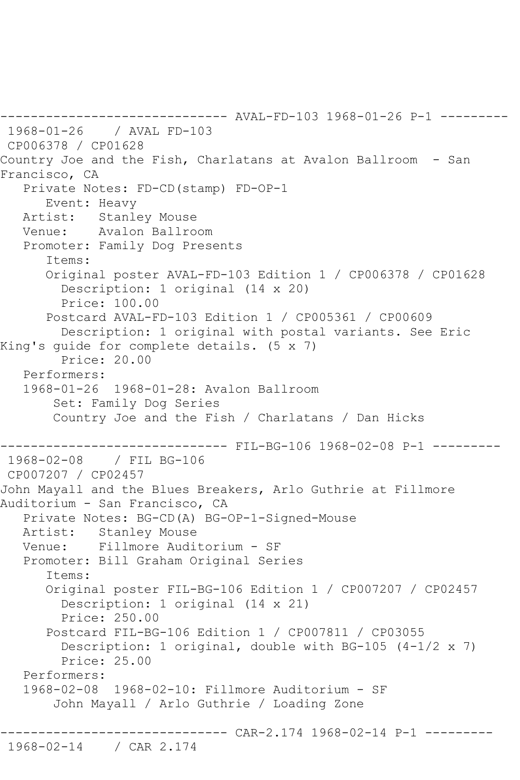------ AVAL-FD-103 1968-01-26 P-1 ---------1968-01-26 / AVAL FD-103 CP006378 / CP01628 Country Joe and the Fish, Charlatans at Avalon Ballroom - San Francisco, CA Private Notes: FD-CD(stamp) FD-OP-1 Event: Heavy Artist: Stanley Mouse Venue: Avalon Ballroom Promoter: Family Dog Presents Items: Original poster AVAL-FD-103 Edition 1 / CP006378 / CP01628 Description: 1 original (14 x 20) Price: 100.00 Postcard AVAL-FD-103 Edition 1 / CP005361 / CP00609 Description: 1 original with postal variants. See Eric King's guide for complete details. (5 x 7) Price: 20.00 Performers: 1968-01-26 1968-01-28: Avalon Ballroom Set: Family Dog Series Country Joe and the Fish / Charlatans / Dan Hicks ------------------------------ FIL-BG-106 1968-02-08 P-1 --------- 1968-02-08 / FIL BG-106 CP007207 / CP02457 John Mayall and the Blues Breakers, Arlo Guthrie at Fillmore Auditorium - San Francisco, CA Private Notes: BG-CD(A) BG-OP-1-Signed-Mouse Artist: Stanley Mouse Venue: Fillmore Auditorium - SF Promoter: Bill Graham Original Series Items: Original poster FIL-BG-106 Edition 1 / CP007207 / CP02457 Description: 1 original (14 x 21) Price: 250.00 Postcard FIL-BG-106 Edition 1 / CP007811 / CP03055 Description: 1 original, double with BG-105 (4-1/2 x 7) Price: 25.00 Performers: 1968-02-08 1968-02-10: Fillmore Auditorium - SF John Mayall / Arlo Guthrie / Loading Zone ------------------------------ CAR-2.174 1968-02-14 P-1 --------- 1968-02-14 / CAR 2.174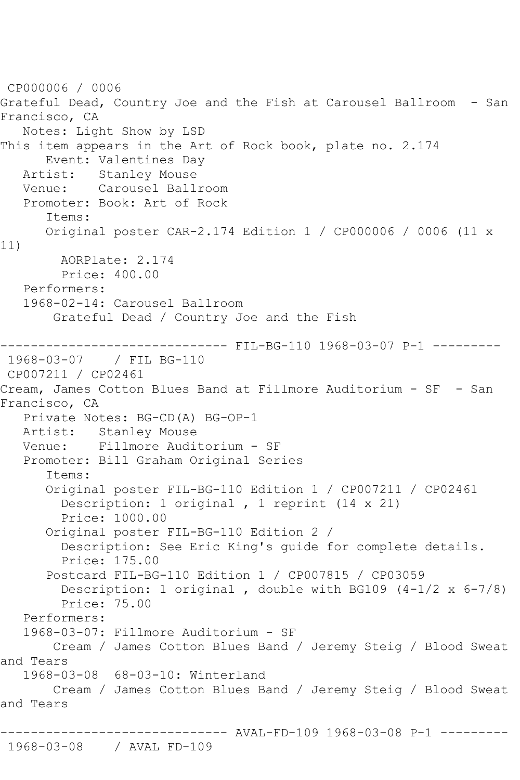```
CP000006 / 0006
Grateful Dead, Country Joe and the Fish at Carousel Ballroom - San 
Francisco, CA
   Notes: Light Show by LSD
This item appears in the Art of Rock book, plate no. 2.174
       Event: Valentines Day
   Artist: Stanley Mouse
   Venue: Carousel Ballroom
   Promoter: Book: Art of Rock
       Items:
       Original poster CAR-2.174 Edition 1 / CP000006 / 0006 (11 x 
11)
         AORPlate: 2.174 
         Price: 400.00
   Performers:
    1968-02-14: Carousel Ballroom
        Grateful Dead / Country Joe and the Fish
                      --------- FIL-BG-110 1968-03-07 P-1 ---------
1968-03-07 / FIL BG-110
CP007211 / CP02461
Cream, James Cotton Blues Band at Fillmore Auditorium - SF - San 
Francisco, CA
    Private Notes: BG-CD(A) BG-OP-1
  Artist: Stanley Mouse<br>Venue: Fillmore Audi
            Fillmore Auditorium - SF
    Promoter: Bill Graham Original Series
       Items:
       Original poster FIL-BG-110 Edition 1 / CP007211 / CP02461
         Description: 1 original , 1 reprint (14 x 21)
         Price: 1000.00
       Original poster FIL-BG-110 Edition 2 / 
         Description: See Eric King's guide for complete details.
         Price: 175.00
       Postcard FIL-BG-110 Edition 1 / CP007815 / CP03059
        Description: 1 original, double with BG109 (4-1/2 \times 6-7/8) Price: 75.00
    Performers:
    1968-03-07: Fillmore Auditorium - SF
        Cream / James Cotton Blues Band / Jeremy Steig / Blood Sweat 
and Tears
    1968-03-08 68-03-10: Winterland
        Cream / James Cotton Blues Band / Jeremy Steig / Blood Sweat 
and Tears
              ------------------------------ AVAL-FD-109 1968-03-08 P-1 ---------
1968-03-08 / AVAL FD-109
```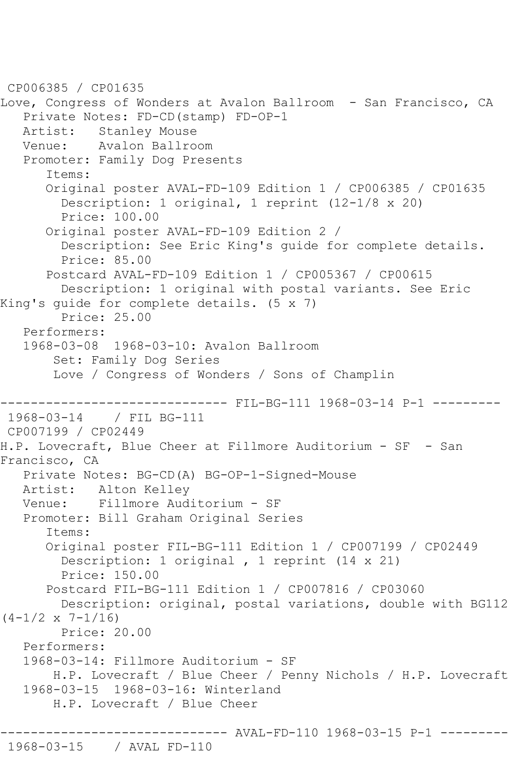```
CP006385 / CP01635
Love, Congress of Wonders at Avalon Ballroom - San Francisco, CA
    Private Notes: FD-CD(stamp) FD-OP-1
  Artist: Stanley Mouse<br>Venue: Avalon Ballro
            Avalon Ballroom
    Promoter: Family Dog Presents
       Items:
       Original poster AVAL-FD-109 Edition 1 / CP006385 / CP01635
         Description: 1 original, 1 reprint (12-1/8 x 20)
         Price: 100.00
       Original poster AVAL-FD-109 Edition 2 / 
         Description: See Eric King's guide for complete details.
         Price: 85.00
       Postcard AVAL-FD-109 Edition 1 / CP005367 / CP00615
         Description: 1 original with postal variants. See Eric 
King's guide for complete details. (5 x 7)
         Price: 25.00
    Performers:
    1968-03-08 1968-03-10: Avalon Ballroom
        Set: Family Dog Series
        Love / Congress of Wonders / Sons of Champlin
------------------------------- FIL-BG-111 1968-03-14 P-1 ----------<br>1968-03-14 / FIL BG-111
             1968-03-14 / FIL BG-111
CP007199 / CP02449
H.P. Lovecraft, Blue Cheer at Fillmore Auditorium - SF - San 
Francisco, CA
    Private Notes: BG-CD(A) BG-OP-1-Signed-Mouse
   Artist: Alton Kelley
   Venue: Fillmore Auditorium - SF
   Promoter: Bill Graham Original Series
       Items:
       Original poster FIL-BG-111 Edition 1 / CP007199 / CP02449
         Description: 1 original , 1 reprint (14 x 21)
         Price: 150.00
       Postcard FIL-BG-111 Edition 1 / CP007816 / CP03060
         Description: original, postal variations, double with BG112 
(4-1/2 \times 7-1/16) Price: 20.00
    Performers:
    1968-03-14: Fillmore Auditorium - SF
        H.P. Lovecraft / Blue Cheer / Penny Nichols / H.P. Lovecraft
    1968-03-15 1968-03-16: Winterland
        H.P. Lovecraft / Blue Cheer
                          ------ AVAL-FD-110 1968-03-15 P-1 ---------
```
1968-03-15 / AVAL FD-110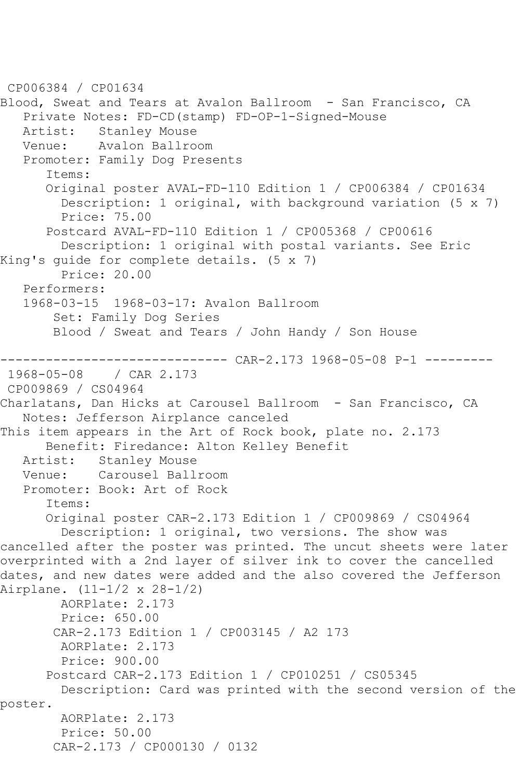```
CP006384 / CP01634
Blood, Sweat and Tears at Avalon Ballroom - San Francisco, CA
    Private Notes: FD-CD(stamp) FD-OP-1-Signed-Mouse
  Artist: Stanley Mouse<br>Venue: Avalon Ballro
            Avalon Ballroom
    Promoter: Family Dog Presents
       Items:
       Original poster AVAL-FD-110 Edition 1 / CP006384 / CP01634
         Description: 1 original, with background variation (5 x 7)
         Price: 75.00
       Postcard AVAL-FD-110 Edition 1 / CP005368 / CP00616
         Description: 1 original with postal variants. See Eric 
King's guide for complete details. (5 x 7)
         Price: 20.00
   Performers:
    1968-03-15 1968-03-17: Avalon Ballroom
        Set: Family Dog Series
        Blood / Sweat and Tears / John Handy / Son House
------------------------------ CAR-2.173 1968-05-08 P-1 ---------
              / CAR 2.173
CP009869 / CS04964
Charlatans, Dan Hicks at Carousel Ballroom - San Francisco, CA
    Notes: Jefferson Airplance canceled
This item appears in the Art of Rock book, plate no. 2.173
       Benefit: Firedance: Alton Kelley Benefit
   Artist: Stanley Mouse
   Venue: Carousel Ballroom
   Promoter: Book: Art of Rock
       Items:
       Original poster CAR-2.173 Edition 1 / CP009869 / CS04964
         Description: 1 original, two versions. The show was 
cancelled after the poster was printed. The uncut sheets were later 
overprinted with a 2nd layer of silver ink to cover the cancelled 
dates, and new dates were added and the also covered the Jefferson 
Airplane. (11-1/2 x 28-1/2)
         AORPlate: 2.173 
         Price: 650.00
        CAR-2.173 Edition 1 / CP003145 / A2 173
         AORPlate: 2.173 
         Price: 900.00
       Postcard CAR-2.173 Edition 1 / CP010251 / CS05345
         Description: Card was printed with the second version of the 
poster.
         AORPlate: 2.173 
         Price: 50.00
        CAR-2.173 / CP000130 / 0132
```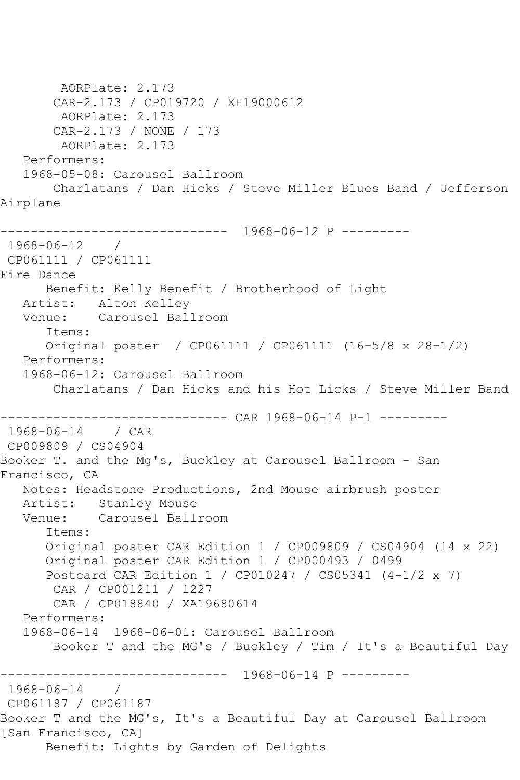```
 AORPlate: 2.173 
       CAR-2.173 / CP019720 / XH19000612
        AORPlate: 2.173 
       CAR-2.173 / NONE / 173
        AORPlate: 2.173 
   Performers:
   1968-05-08: Carousel Ballroom
       Charlatans / Dan Hicks / Steve Miller Blues Band / Jefferson 
Airplane
------------------------------ 1968-06-12 P ---------
1968-06-12 / 
CP061111 / CP061111
Fire Dance
      Benefit: Kelly Benefit / Brotherhood of Light
   Artist: Alton Kelley
   Venue: Carousel Ballroom
      Items:
      Original poster / CP061111 / CP061111 (16-5/8 x 28-1/2)
   Performers:
   1968-06-12: Carousel Ballroom
       Charlatans / Dan Hicks and his Hot Licks / Steve Miller Band
------------------------------ CAR 1968-06-14 P-1 ---------
1968-06-14 / CAR 
CP009809 / CS04904
Booker T. and the Mg's, Buckley at Carousel Ballroom - San 
Francisco, CA
   Notes: Headstone Productions, 2nd Mouse airbrush poster
   Artist: Stanley Mouse
   Venue: Carousel Ballroom
      Items:
      Original poster CAR Edition 1 / CP009809 / CS04904 (14 x 22)
      Original poster CAR Edition 1 / CP000493 / 0499
      Postcard CAR Edition 1 / CP010247 / CS05341 (4-1/2 x 7)
       CAR / CP001211 / 1227
       CAR / CP018840 / XA19680614
   Performers:
   1968-06-14 1968-06-01: Carousel Ballroom
       Booker T and the MG's / Buckley / Tim / It's a Beautiful Day
------------------------------ 1968-06-14 P ---------
1968-06-14 / 
CP061187 / CP061187
Booker T and the MG's, It's a Beautiful Day at Carousel Ballroom 
[San Francisco, CA]
      Benefit: Lights by Garden of Delights
```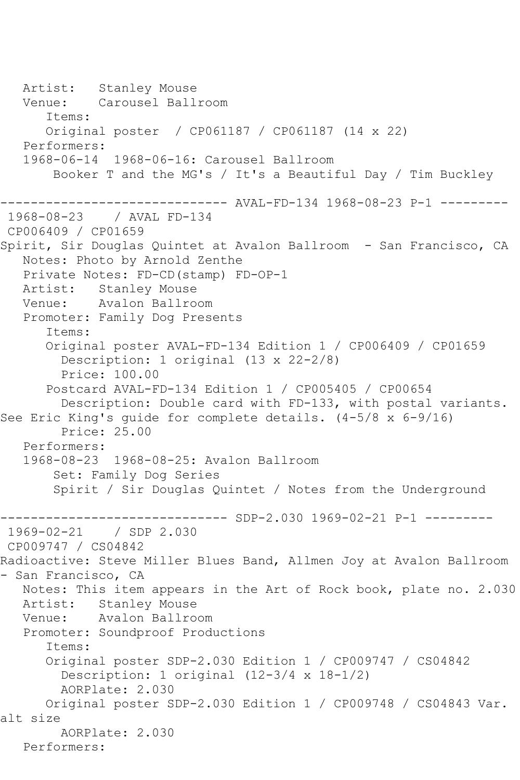Artist: Stanley Mouse Venue: Carousel Ballroom Items: Original poster / CP061187 / CP061187 (14 x 22) Performers: 1968-06-14 1968-06-16: Carousel Ballroom Booker T and the MG's / It's a Beautiful Day / Tim Buckley ------------------------------ AVAL-FD-134 1968-08-23 P-1 --------- 1968-08-23 / AVAL FD-134 CP006409 / CP01659 Spirit, Sir Douglas Quintet at Avalon Ballroom - San Francisco, CA Notes: Photo by Arnold Zenthe Private Notes: FD-CD(stamp) FD-OP-1 Artist: Stanley Mouse Venue: Avalon Ballroom Promoter: Family Dog Presents Items: Original poster AVAL-FD-134 Edition 1 / CP006409 / CP01659 Description: 1 original (13 x 22-2/8) Price: 100.00 Postcard AVAL-FD-134 Edition 1 / CP005405 / CP00654 Description: Double card with FD-133, with postal variants. See Eric King's quide for complete details. (4-5/8 x 6-9/16) Price: 25.00 Performers: 1968-08-23 1968-08-25: Avalon Ballroom Set: Family Dog Series Spirit / Sir Douglas Quintet / Notes from the Underground ------ SDP-2.030 1969-02-21 P-1 ---------1969-02-21 / SDP 2.030 CP009747 / CS04842 Radioactive: Steve Miller Blues Band, Allmen Joy at Avalon Ballroom - San Francisco, CA Notes: This item appears in the Art of Rock book, plate no. 2.030 Artist: Stanley Mouse Venue: Avalon Ballroom Promoter: Soundproof Productions Items: Original poster SDP-2.030 Edition 1 / CP009747 / CS04842 Description: 1 original (12-3/4 x 18-1/2) AORPlate: 2.030 Original poster SDP-2.030 Edition 1 / CP009748 / CS04843 Var. alt size AORPlate: 2.030 Performers: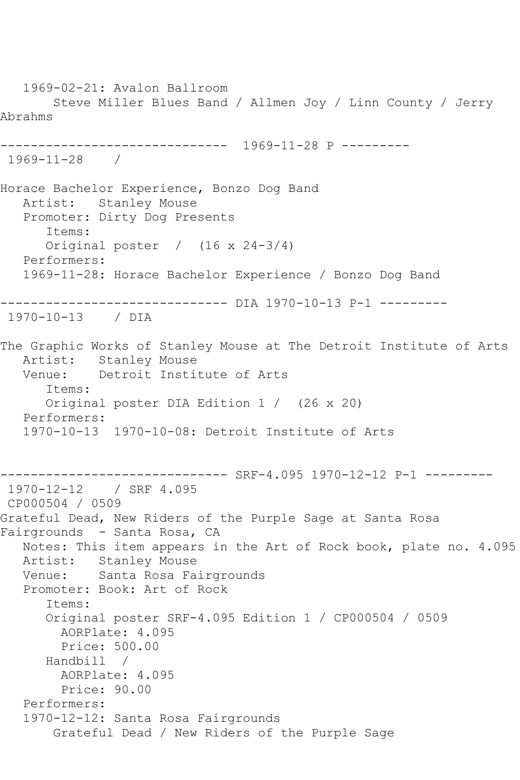1969-02-21: Avalon Ballroom Steve Miller Blues Band / Allmen Joy / Linn County / Jerry Abrahms ------------------------------ 1969-11-28 P --------- 1969-11-28 / Horace Bachelor Experience, Bonzo Dog Band Artist: Stanley Mouse Promoter: Dirty Dog Presents Items: Original poster / (16 x 24-3/4) Performers: 1969-11-28: Horace Bachelor Experience / Bonzo Dog Band ------------------------------ DIA 1970-10-13 P-1 --------- 1970-10-13 / DIA The Graphic Works of Stanley Mouse at The Detroit Institute of Arts Artist: Stanley Mouse Venue: Detroit Institute of Arts Items: Original poster DIA Edition 1 / (26 x 20) Performers: 1970-10-13 1970-10-08: Detroit Institute of Arts ------------------------------ SRF-4.095 1970-12-12 P-1 --------- 1970-12-12 / SRF 4.095 CP000504 / 0509 Grateful Dead, New Riders of the Purple Sage at Santa Rosa Fairgrounds - Santa Rosa, CA Notes: This item appears in the Art of Rock book, plate no. 4.095 Artist: Stanley Mouse Venue: Santa Rosa Fairgrounds Promoter: Book: Art of Rock Items: Original poster SRF-4.095 Edition 1 / CP000504 / 0509 AORPlate: 4.095 Price: 500.00 Handbill / AORPlate: 4.095 Price: 90.00 Performers: 1970-12-12: Santa Rosa Fairgrounds Grateful Dead / New Riders of the Purple Sage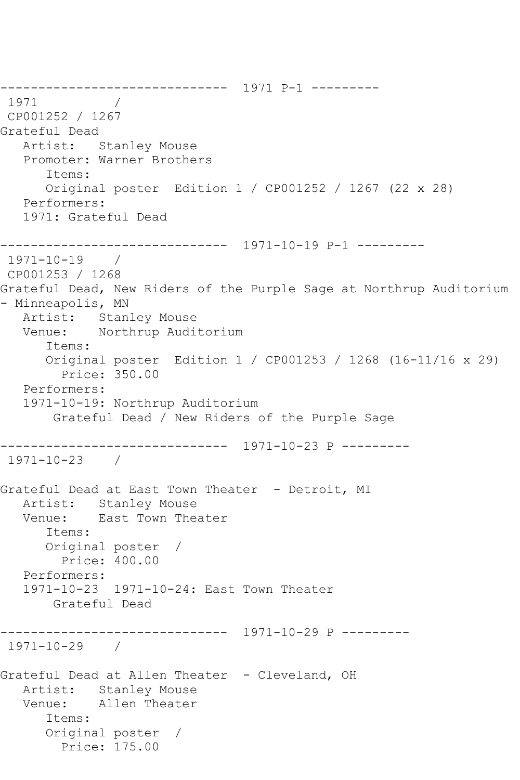------------------------------ 1971 P-1 --------- 1971 / CP001252 / 1267 Grateful Dead Artist: Stanley Mouse Promoter: Warner Brothers Items: Original poster Edition 1 / CP001252 / 1267 (22 x 28) Performers: 1971: Grateful Dead ------------------------------ 1971-10-19 P-1 --------- 1971-10-19 / CP001253 / 1268 Grateful Dead, New Riders of the Purple Sage at Northrup Auditorium - Minneapolis, MN Artist: Stanley Mouse Venue: Northrup Auditorium Items: Original poster Edition 1 / CP001253 / 1268 (16-11/16 x 29) Price: 350.00 Performers: 1971-10-19: Northrup Auditorium Grateful Dead / New Riders of the Purple Sage ------------------------------ 1971-10-23 P --------- 1971-10-23 / Grateful Dead at East Town Theater - Detroit, MI Artist: Stanley Mouse Venue: East Town Theater Items: Original poster / Price: 400.00 Performers: 1971-10-23 1971-10-24: East Town Theater Grateful Dead ------------------------------ 1971-10-29 P --------- 1971-10-29 / Grateful Dead at Allen Theater - Cleveland, OH Artist: Stanley Mouse<br>Venue: Allen Theater Allen Theater Items: Original poster / Price: 175.00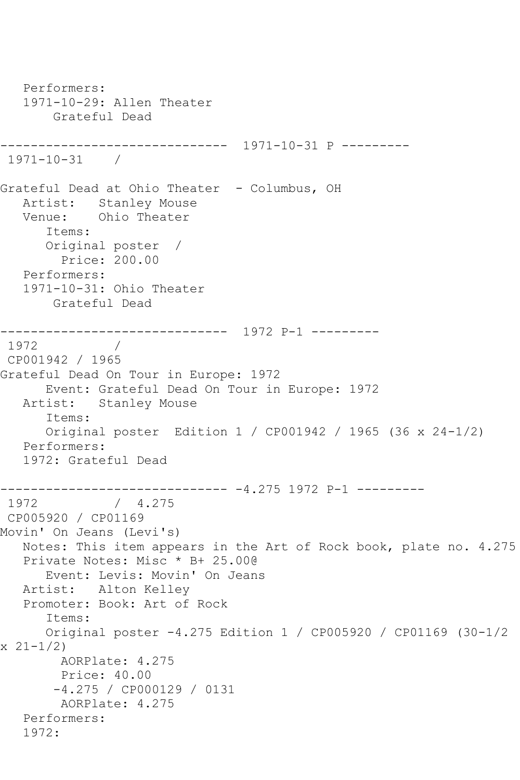```
 Performers:
   1971-10-29: Allen Theater
        Grateful Dead
------------------------------ 1971-10-31 P ---------
1971-10-31 / 
Grateful Dead at Ohio Theater - Columbus, OH
   Artist: Stanley Mouse
   Venue: Ohio Theater
       Items:
      Original poster / 
         Price: 200.00
   Performers:
   1971-10-31: Ohio Theater
       Grateful Dead
------------------------------ 1972 P-1 ---------
1972
CP001942 / 1965
Grateful Dead On Tour in Europe: 1972
      Event: Grateful Dead On Tour in Europe: 1972
   Artist: Stanley Mouse
       Items:
      Original poster Edition 1 / CP001942 / 1965 (36 x 24-1/2)
   Performers:
   1972: Grateful Dead
------------------------------ -4.275 1972 P-1 ---------
1972 / 4.275
CP005920 / CP01169
Movin' On Jeans (Levi's)
   Notes: This item appears in the Art of Rock book, plate no. 4.275
   Private Notes: Misc * B+ 25.00@
      Event: Levis: Movin' On Jeans
   Artist: Alton Kelley
   Promoter: Book: Art of Rock
       Items:
      Original poster -4.275 Edition 1 / CP005920 / CP01169 (30-1/2 
x \ 21 - 1/2 AORPlate: 4.275 
        Price: 40.00
        -4.275 / CP000129 / 0131
        AORPlate: 4.275 
   Performers:
   1972:
```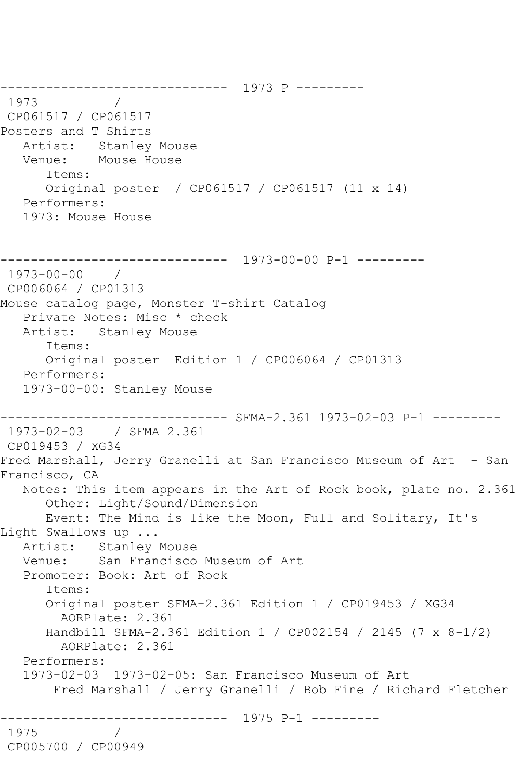------------------------------ 1973 P --------- 1973 / CP061517 / CP061517 Posters and T Shirts Artist: Stanley Mouse Venue: Mouse House Items: Original poster / CP061517 / CP061517 (11 x 14) Performers: 1973: Mouse House ------------------------------ 1973-00-00 P-1 --------- 1973-00-00 / CP006064 / CP01313 Mouse catalog page, Monster T-shirt Catalog Private Notes: Misc \* check Artist: Stanley Mouse Items: Original poster Edition 1 / CP006064 / CP01313 Performers: 1973-00-00: Stanley Mouse ------------------------------ SFMA-2.361 1973-02-03 P-1 --------- 1973-02-03 / SFMA 2.361 CP019453 / XG34 Fred Marshall, Jerry Granelli at San Francisco Museum of Art - San Francisco, CA Notes: This item appears in the Art of Rock book, plate no. 2.361 Other: Light/Sound/Dimension Event: The Mind is like the Moon, Full and Solitary, It's Light Swallows up ... Artist: Stanley Mouse Venue: San Francisco Museum of Art Promoter: Book: Art of Rock Items: Original poster SFMA-2.361 Edition 1 / CP019453 / XG34 AORPlate: 2.361 Handbill SFMA-2.361 Edition 1 / CP002154 / 2145 (7 x 8-1/2) AORPlate: 2.361 Performers: 1973-02-03 1973-02-05: San Francisco Museum of Art Fred Marshall / Jerry Granelli / Bob Fine / Richard Fletcher ------------------------------ 1975 P-1 --------- 1975 / CP005700 / CP00949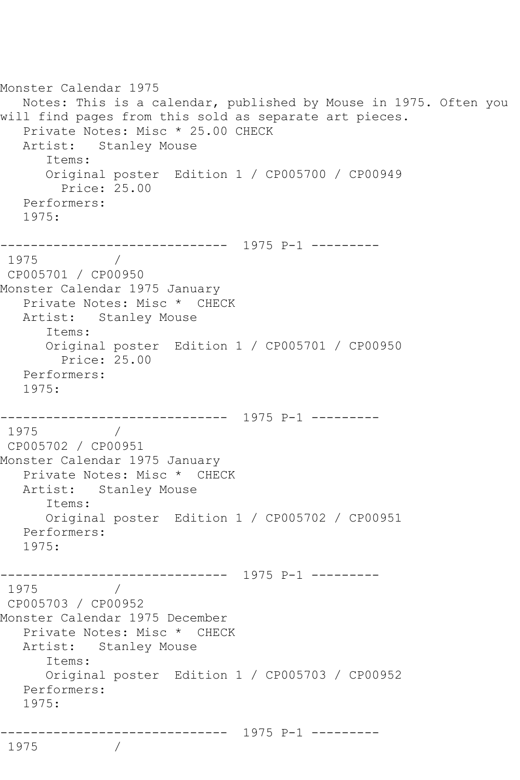```
Monster Calendar 1975
   Notes: This is a calendar, published by Mouse in 1975. Often you 
will find pages from this sold as separate art pieces.
  Private Notes: Misc * 25.00 CHECK<br>Artist: Stanley Mouse
            Stanley Mouse
       Items:
       Original poster Edition 1 / CP005700 / CP00949
         Price: 25.00
   Performers:
   1975:
------------------------------ 1975 P-1 ---------
1975
CP005701 / CP00950
Monster Calendar 1975 January
   Private Notes: Misc * CHECK
   Artist: Stanley Mouse
       Items:
       Original poster Edition 1 / CP005701 / CP00950
         Price: 25.00
   Performers:
   1975:
------------------------------ 1975 P-1 ---------
1975 / 
CP005702 / CP00951
Monster Calendar 1975 January
   Private Notes: Misc * CHECK
   Artist: Stanley Mouse
       Items:
      Original poster Edition 1 / CP005702 / CP00951
   Performers:
   1975:
------------------------------ 1975 P-1 ---------
         \frac{1}{2}CP005703 / CP00952
Monster Calendar 1975 December
   Private Notes: Misc * CHECK
   Artist: Stanley Mouse
       Items:
       Original poster Edition 1 / CP005703 / CP00952
   Performers:
   1975:
              ------------------------------ 1975 P-1 ---------
1975
```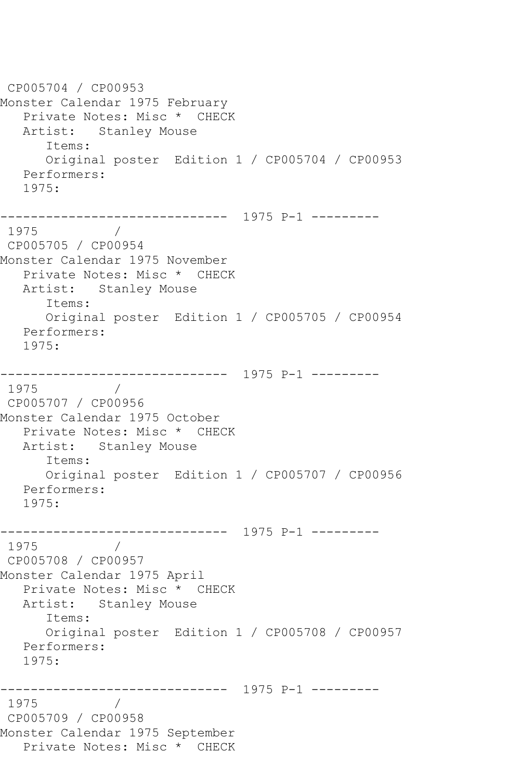CP005704 / CP00953 Monster Calendar 1975 February Private Notes: Misc \* CHECK Artist: Stanley Mouse Items: Original poster Edition 1 / CP005704 / CP00953 Performers: 1975: ------------------------------ 1975 P-1 --------- 1975 / CP005705 / CP00954 Monster Calendar 1975 November Private Notes: Misc \* CHECK Artist: Stanley Mouse Items: Original poster Edition 1 / CP005705 / CP00954 Performers: 1975: ------------------------------ 1975 P-1 --------- 1975 / CP005707 / CP00956 Monster Calendar 1975 October Private Notes: Misc \* CHECK Artist: Stanley Mouse Items: Original poster Edition 1 / CP005707 / CP00956 Performers: 1975: ------------------------------ 1975 P-1 --------- 1975 / CP005708 / CP00957 Monster Calendar 1975 April Private Notes: Misc \* CHECK Artist: Stanley Mouse Items: Original poster Edition 1 / CP005708 / CP00957 Performers: 1975: ------------------------------ 1975 P-1 --------- 1975 CP005709 / CP00958 Monster Calendar 1975 September Private Notes: Misc \* CHECK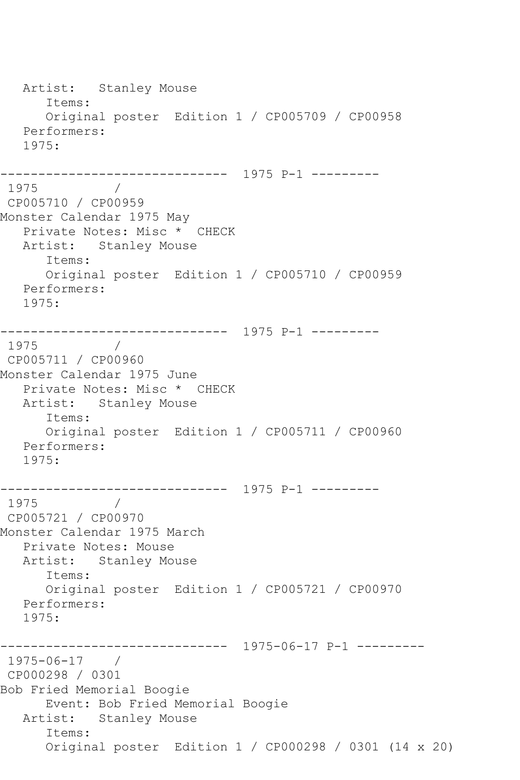Artist: Stanley Mouse Items: Original poster Edition 1 / CP005709 / CP00958 Performers: 1975: ------------------------------ 1975 P-1 --------- 1975 / CP005710 / CP00959 Monster Calendar 1975 May Private Notes: Misc \* CHECK Artist: Stanley Mouse Items: Original poster Edition 1 / CP005710 / CP00959 Performers: 1975: ------------------------------ 1975 P-1 --------- 1975 CP005711 / CP00960 Monster Calendar 1975 June Private Notes: Misc \* CHECK Artist: Stanley Mouse Items: Original poster Edition 1 / CP005711 / CP00960 Performers: 1975: ------------------------------ 1975 P-1 --------- 1975 / CP005721 / CP00970 Monster Calendar 1975 March Private Notes: Mouse Artist: Stanley Mouse Items: Original poster Edition 1 / CP005721 / CP00970 Performers: 1975: ------------------------------ 1975-06-17 P-1 --------- 1975-06-17 / CP000298 / 0301 Bob Fried Memorial Boogie Event: Bob Fried Memorial Boogie Artist: Stanley Mouse Items: Original poster Edition 1 / CP000298 / 0301 (14 x 20)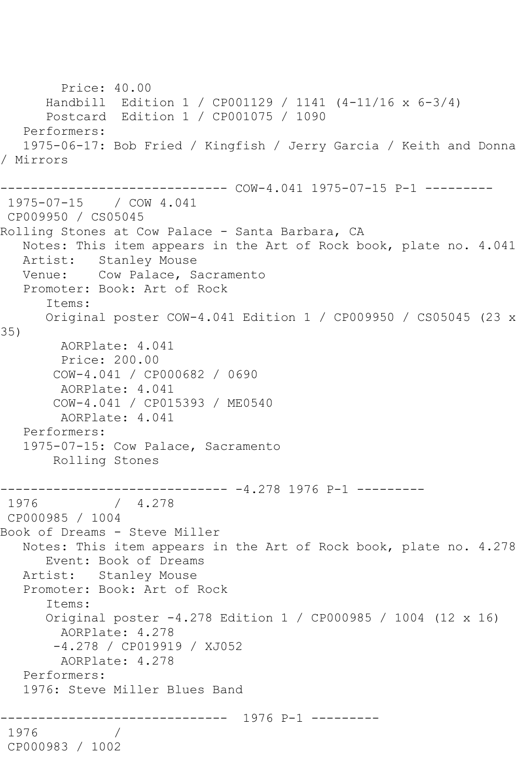Price: 40.00 Handbill Edition 1 / CP001129 / 1141 (4-11/16 x 6-3/4) Postcard Edition 1 / CP001075 / 1090 Performers: 1975-06-17: Bob Fried / Kingfish / Jerry Garcia / Keith and Donna / Mirrors ------------------------------ COW-4.041 1975-07-15 P-1 --------- 1975-07-15 / COW 4.041 CP009950 / CS05045 Rolling Stones at Cow Palace - Santa Barbara, CA Notes: This item appears in the Art of Rock book, plate no. 4.041 Artist: Stanley Mouse Venue: Cow Palace, Sacramento Promoter: Book: Art of Rock Items: Original poster COW-4.041 Edition 1 / CP009950 / CS05045 (23 x 35) AORPlate: 4.041 Price: 200.00 COW-4.041 / CP000682 / 0690 AORPlate: 4.041 COW-4.041 / CP015393 / ME0540 AORPlate: 4.041 Performers: 1975-07-15: Cow Palace, Sacramento Rolling Stones ------------------------------ -4.278 1976 P-1 --------- 1976 / 4.278 CP000985 / 1004 Book of Dreams - Steve Miller Notes: This item appears in the Art of Rock book, plate no. 4.278 Event: Book of Dreams Artist: Stanley Mouse Promoter: Book: Art of Rock Items: Original poster -4.278 Edition 1 / CP000985 / 1004 (12 x 16) AORPlate: 4.278 -4.278 / CP019919 / XJ052 AORPlate: 4.278 Performers: 1976: Steve Miller Blues Band ------------------------------ 1976 P-1 --------- 1976 / CP000983 / 1002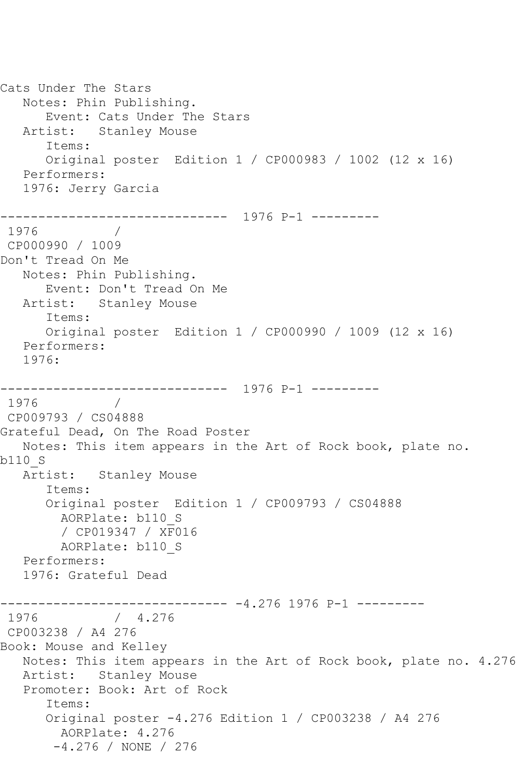Cats Under The Stars Notes: Phin Publishing. Event: Cats Under The Stars Artist: Stanley Mouse Items: Original poster Edition 1 / CP000983 / 1002 (12 x 16) Performers: 1976: Jerry Garcia ------------------------------ 1976 P-1 --------- 1976 / CP000990 / 1009 Don't Tread On Me Notes: Phin Publishing. Event: Don't Tread On Me Artist: Stanley Mouse Items: Original poster Edition 1 / CP000990 / 1009 (12 x 16) Performers: 1976: ------------------------------ 1976 P-1 --------- 1976 / CP009793 / CS04888 Grateful Dead, On The Road Poster Notes: This item appears in the Art of Rock book, plate no. b110\_S Artist: Stanley Mouse Items: Original poster Edition 1 / CP009793 / CS04888 AORPlate: b110\_S / CP019347 / XF016 AORPlate: b110\_S Performers: 1976: Grateful Dead ------------------------------ -4.276 1976 P-1 --------- 1976 / 4.276 CP003238 / A4 276 Book: Mouse and Kelley Notes: This item appears in the Art of Rock book, plate no. 4.276 Artist: Stanley Mouse Promoter: Book: Art of Rock Items: Original poster -4.276 Edition 1 / CP003238 / A4 276 AORPlate: 4.276 -4.276 / NONE / 276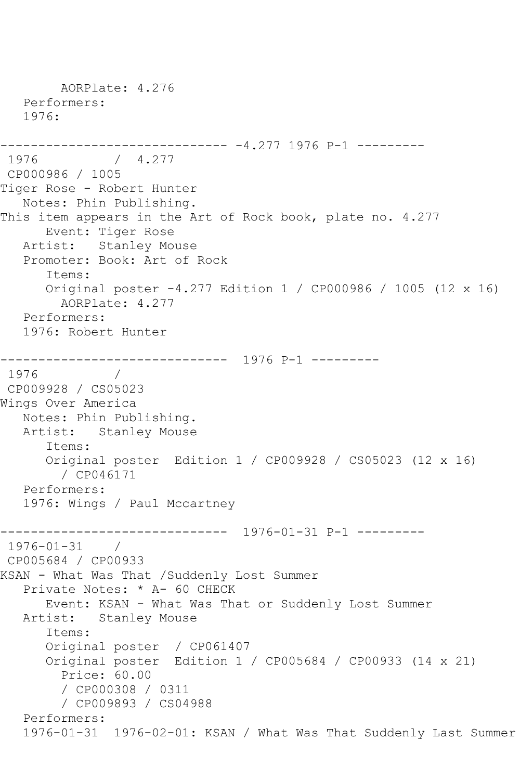AORPlate: 4.276 Performers: 1976: ------------------------------ -4.277 1976 P-1 --------- 1976 / 4.277 CP000986 / 1005 Tiger Rose - Robert Hunter Notes: Phin Publishing. This item appears in the Art of Rock book, plate no. 4.277 Event: Tiger Rose Artist: Stanley Mouse Promoter: Book: Art of Rock Items: Original poster -4.277 Edition 1 / CP000986 / 1005 (12 x 16) AORPlate: 4.277 Performers: 1976: Robert Hunter ------------------------------ 1976 P-1 --------- 1976 CP009928 / CS05023 Wings Over America Notes: Phin Publishing. Artist: Stanley Mouse Items: Original poster Edition 1 / CP009928 / CS05023 (12 x 16) / CP046171 Performers: 1976: Wings / Paul Mccartney ------------------------------ 1976-01-31 P-1 --------- 1976-01-31 / CP005684 / CP00933 KSAN - What Was That /Suddenly Lost Summer Private Notes: \* A- 60 CHECK Event: KSAN - What Was That or Suddenly Lost Summer Artist: Stanley Mouse Items: Original poster / CP061407 Original poster Edition 1 / CP005684 / CP00933 (14 x 21) Price: 60.00 / CP000308 / 0311 / CP009893 / CS04988 Performers: 1976-01-31 1976-02-01: KSAN / What Was That Suddenly Last Summer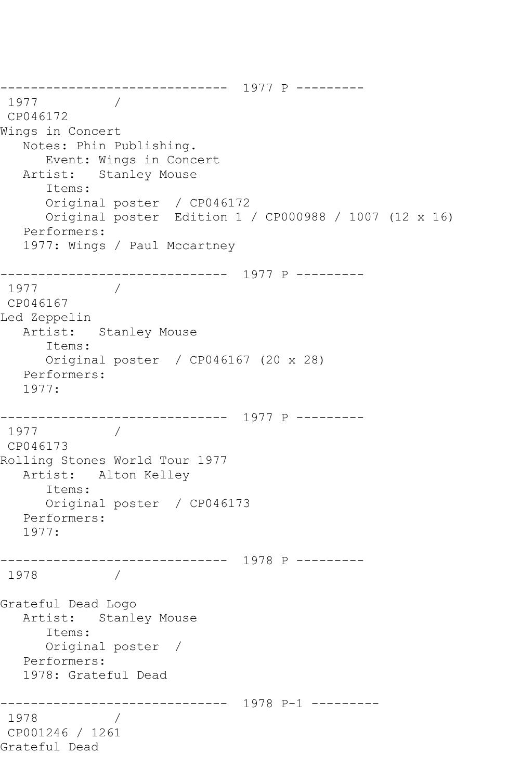```
------------------------------ 1977 P ---------
1977
CP046172
Wings in Concert
   Notes: Phin Publishing.
      Event: Wings in Concert
   Artist: Stanley Mouse
      Items:
      Original poster / CP046172
      Original poster Edition 1 / CP000988 / 1007 (12 x 16)
   Performers:
   1977: Wings / Paul Mccartney
------------------------------ 1977 P ---------
1977
CP046167
Led Zeppelin
   Artist: Stanley Mouse
      Items:
      Original poster / CP046167 (20 x 28)
   Performers:
   1977:
------------------------------ 1977 P ---------
1977
CP046173
Rolling Stones World Tour 1977
   Artist: Alton Kelley
      Items:
      Original poster / CP046173
   Performers:
   1977:
------------------------------ 1978 P ---------
1978 / 
Grateful Dead Logo
   Artist: Stanley Mouse
      Items:
      Original poster / 
   Performers:
   1978: Grateful Dead
------------------------------ 1978 P-1 ---------
1978 / 
CP001246 / 1261
Grateful Dead
```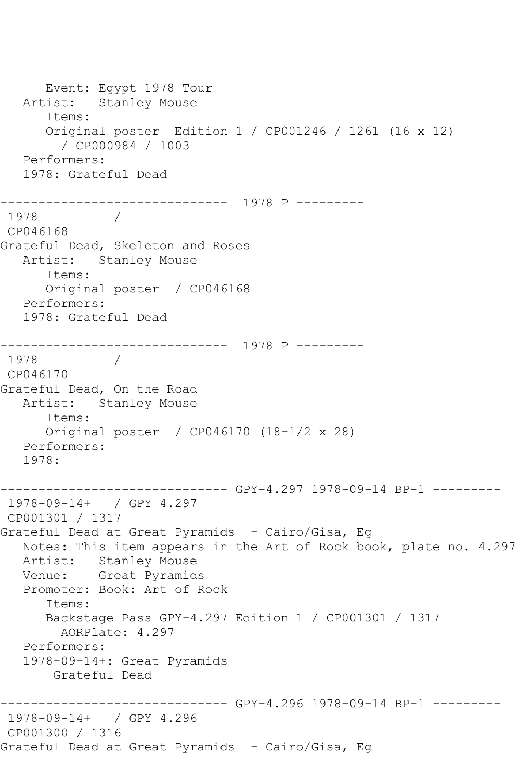Event: Egypt 1978 Tour Artist: Stanley Mouse Items: Original poster Edition 1 / CP001246 / 1261 (16 x 12) / CP000984 / 1003 Performers: 1978: Grateful Dead ------------------------------ 1978 P --------- 1978 CP046168 Grateful Dead, Skeleton and Roses Artist: Stanley Mouse Items: Original poster / CP046168 Performers: 1978: Grateful Dead ------------------------------ 1978 P --------- 1978 / CP046170 Grateful Dead, On the Road Artist: Stanley Mouse Items: Original poster / CP046170 (18-1/2 x 28) Performers: 1978: ------------------------------ GPY-4.297 1978-09-14 BP-1 --------- 1978-09-14+ / GPY 4.297 CP001301 / 1317 Grateful Dead at Great Pyramids - Cairo/Gisa, Eg Notes: This item appears in the Art of Rock book, plate no. 4.297 Artist: Stanley Mouse Venue: Great Pyramids Promoter: Book: Art of Rock Items: Backstage Pass GPY-4.297 Edition 1 / CP001301 / 1317 AORPlate: 4.297 Performers: 1978-09-14+: Great Pyramids Grateful Dead ------------------------------ GPY-4.296 1978-09-14 BP-1 --------- 1978-09-14+ / GPY 4.296 CP001300 / 1316 Grateful Dead at Great Pyramids - Cairo/Gisa, Eg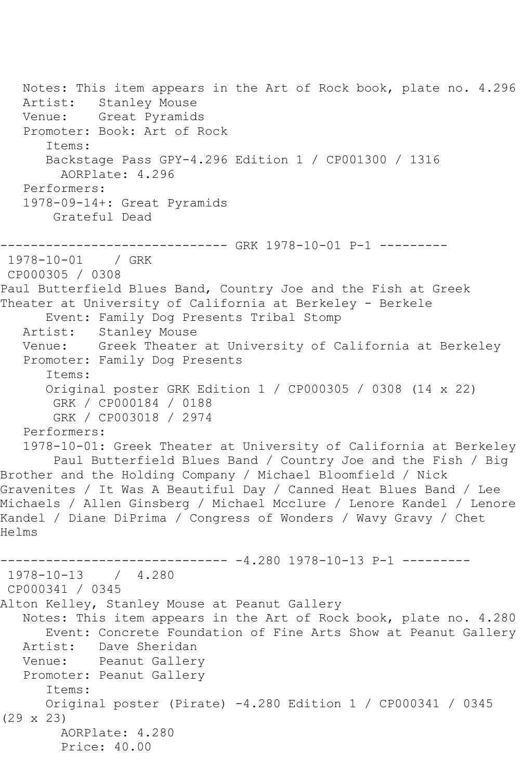```
 Notes: This item appears in the Art of Rock book, plate no. 4.296
   Artist: Stanley Mouse
   Venue: Great Pyramids
    Promoter: Book: Art of Rock
       Items:
       Backstage Pass GPY-4.296 Edition 1 / CP001300 / 1316
         AORPlate: 4.296 
   Performers:
    1978-09-14+: Great Pyramids
        Grateful Dead
                    ------------------------------ GRK 1978-10-01 P-1 ---------
1978-10-01 / GRK 
CP000305 / 0308
Paul Butterfield Blues Band, Country Joe and the Fish at Greek 
Theater at University of California at Berkeley - Berkele
       Event: Family Dog Presents Tribal Stomp
  Artist: Stanley Mouse<br>Venue: Greek Theater
           Greek Theater at University of California at Berkeley
    Promoter: Family Dog Presents
       Items:
       Original poster GRK Edition 1 / CP000305 / 0308 (14 x 22)
        GRK / CP000184 / 0188
        GRK / CP003018 / 2974
   Performers:
    1978-10-01: Greek Theater at University of California at Berkeley
        Paul Butterfield Blues Band / Country Joe and the Fish / Big 
Brother and the Holding Company / Michael Bloomfield / Nick 
Gravenites / It Was A Beautiful Day / Canned Heat Blues Band / Lee 
Michaels / Allen Ginsberg / Michael Mcclure / Lenore Kandel / Lenore 
Kandel / Diane DiPrima / Congress of Wonders / Wavy Gravy / Chet 
Helms
------------------------------ -4.280 1978-10-13 P-1 ---------
1978-10-13 / 4.280
CP000341 / 0345
Alton Kelley, Stanley Mouse at Peanut Gallery
   Notes: This item appears in the Art of Rock book, plate no. 4.280
  Event: Concrete Foundation of Fine Arts Show at Peanut Gallery<br>Artist: Dave Sheridan
            Dave Sheridan
   Venue: Peanut Gallery
   Promoter: Peanut Gallery
       Items:
       Original poster (Pirate) -4.280 Edition 1 / CP000341 / 0345 
(29 x 23)
         AORPlate: 4.280 
         Price: 40.00
```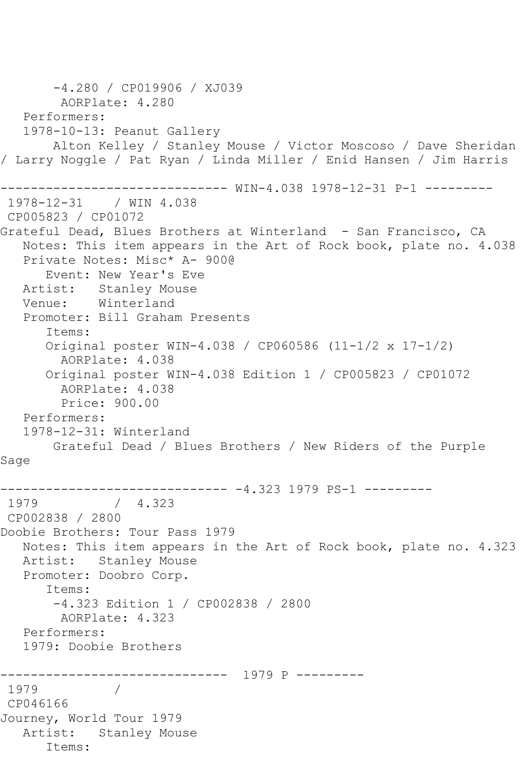```
 -4.280 / CP019906 / XJ039
        AORPlate: 4.280 
   Performers:
   1978-10-13: Peanut Gallery
       Alton Kelley / Stanley Mouse / Victor Moscoso / Dave Sheridan 
/ Larry Noggle / Pat Ryan / Linda Miller / Enid Hansen / Jim Harris
------------------------------ WIN-4.038 1978-12-31 P-1 ---------
1978-12-31 / WIN 4.038
CP005823 / CP01072
Grateful Dead, Blues Brothers at Winterland - San Francisco, CA
   Notes: This item appears in the Art of Rock book, plate no. 4.038
   Private Notes: Misc* A- 900@
      Event: New Year's Eve
   Artist: Stanley Mouse
   Venue: Winterland
   Promoter: Bill Graham Presents
       Items:
      Original poster WIN-4.038 / CP060586 (11-1/2 x 17-1/2)
         AORPlate: 4.038 
      Original poster WIN-4.038 Edition 1 / CP005823 / CP01072
        AORPlate: 4.038 
        Price: 900.00
   Performers:
   1978-12-31: Winterland
       Grateful Dead / Blues Brothers / New Riders of the Purple 
Sage
------------------------------ -4.323 1979 PS-1 ---------
1979 / 4.323
CP002838 / 2800
Doobie Brothers: Tour Pass 1979
   Notes: This item appears in the Art of Rock book, plate no. 4.323
   Artist: Stanley Mouse
   Promoter: Doobro Corp.
      Items:
        -4.323 Edition 1 / CP002838 / 2800
        AORPlate: 4.323 
   Performers:
   1979: Doobie Brothers
------------------------------ 1979 P ---------
1979 / 
CP046166
Journey, World Tour 1979
   Artist: Stanley Mouse
      Items:
```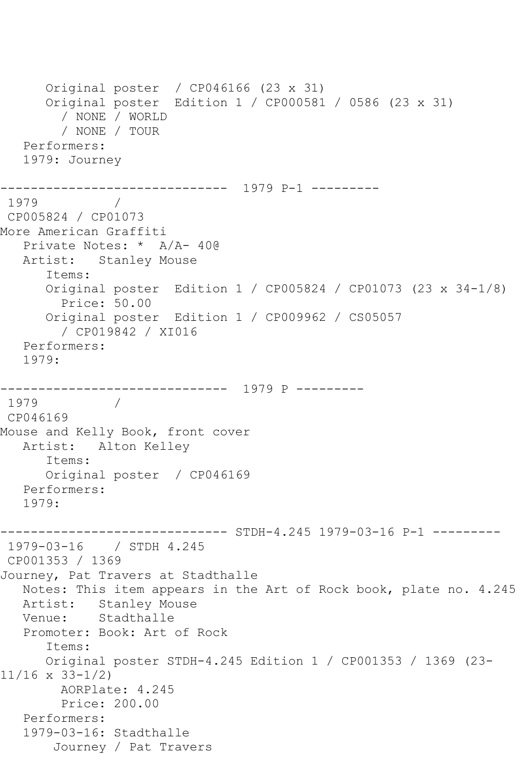Original poster / CP046166 (23 x 31) Original poster Edition 1 / CP000581 / 0586 (23 x 31) / NONE / WORLD / NONE / TOUR Performers: 1979: Journey ------------------------------ 1979 P-1 --------- 1979 / CP005824 / CP01073 More American Graffiti Private Notes: \* A/A- 40@ Artist: Stanley Mouse Items: Original poster Edition 1 / CP005824 / CP01073 (23 x 34-1/8) Price: 50.00 Original poster Edition 1 / CP009962 / CS05057 / CP019842 / XI016 Performers: 1979: ------------------------------ 1979 P --------- 1979 CP046169 Mouse and Kelly Book, front cover Artist: Alton Kelley Items: Original poster / CP046169 Performers: 1979: ------------- STDH-4.245 1979-03-16 P-1 ---------1979-03-16 / STDH 4.245 CP001353 / 1369 Journey, Pat Travers at Stadthalle Notes: This item appears in the Art of Rock book, plate no. 4.245 Artist: Stanley Mouse Venue: Stadthalle Promoter: Book: Art of Rock Items: Original poster STDH-4.245 Edition 1 / CP001353 / 1369 (23- 11/16 x 33-1/2) AORPlate: 4.245 Price: 200.00 Performers: 1979-03-16: Stadthalle Journey / Pat Travers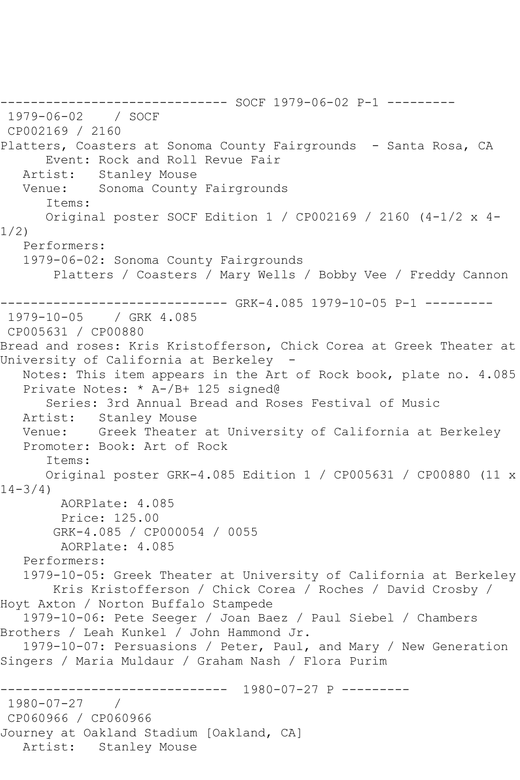------------------------------ SOCF 1979-06-02 P-1 --------- 1979-06-02 / SOCF CP002169 / 2160 Platters, Coasters at Sonoma County Fairgrounds - Santa Rosa, CA Event: Rock and Roll Revue Fair Artist: Stanley Mouse Venue: Sonoma County Fairgrounds Items: Original poster SOCF Edition 1 / CP002169 / 2160 (4-1/2 x 4- 1/2) Performers: 1979-06-02: Sonoma County Fairgrounds Platters / Coasters / Mary Wells / Bobby Vee / Freddy Cannon ------------- GRK-4.085 1979-10-05 P-1 ---------1979-10-05 / GRK 4.085 CP005631 / CP00880 Bread and roses: Kris Kristofferson, Chick Corea at Greek Theater at University of California at Berkeley - Notes: This item appears in the Art of Rock book, plate no. 4.085 Private Notes: \* A-/B+ 125 signed@ Series: 3rd Annual Bread and Roses Festival of Music Artist: Stanley Mouse Venue: Greek Theater at University of California at Berkeley Promoter: Book: Art of Rock Items: Original poster GRK-4.085 Edition 1 / CP005631 / CP00880 (11 x  $14 - 3/4$ ) AORPlate: 4.085 Price: 125.00 GRK-4.085 / CP000054 / 0055 AORPlate: 4.085 Performers: 1979-10-05: Greek Theater at University of California at Berkeley Kris Kristofferson / Chick Corea / Roches / David Crosby / Hoyt Axton / Norton Buffalo Stampede 1979-10-06: Pete Seeger / Joan Baez / Paul Siebel / Chambers Brothers / Leah Kunkel / John Hammond Jr. 1979-10-07: Persuasions / Peter, Paul, and Mary / New Generation Singers / Maria Muldaur / Graham Nash / Flora Purim ------------------------------ 1980-07-27 P --------- 1980-07-27 / CP060966 / CP060966 Journey at Oakland Stadium [Oakland, CA] Artist: Stanley Mouse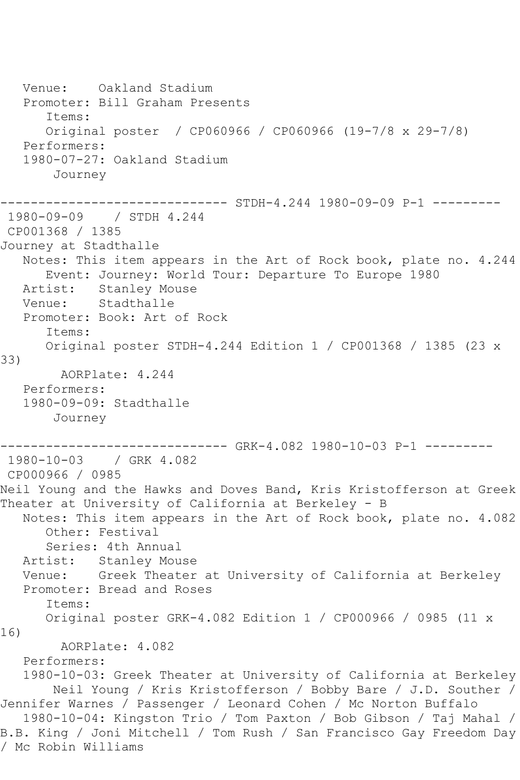Venue: Oakland Stadium Promoter: Bill Graham Presents Items: Original poster / CP060966 / CP060966 (19-7/8 x 29-7/8) Performers: 1980-07-27: Oakland Stadium Journey ------ STDH-4.244 1980-09-09 P-1 ---------1980-09-09 / STDH 4.244 CP001368 / 1385 Journey at Stadthalle Notes: This item appears in the Art of Rock book, plate no. 4.244 Event: Journey: World Tour: Departure To Europe 1980 Artist: Stanley Mouse Venue: Stadthalle Promoter: Book: Art of Rock Items: Original poster STDH-4.244 Edition 1 / CP001368 / 1385 (23 x 33) AORPlate: 4.244 Performers: 1980-09-09: Stadthalle Journey ------------------------------ GRK-4.082 1980-10-03 P-1 --------- 1980-10-03 / GRK 4.082 CP000966 / 0985 Neil Young and the Hawks and Doves Band, Kris Kristofferson at Greek Theater at University of California at Berkeley - B Notes: This item appears in the Art of Rock book, plate no. 4.082 Other: Festival Series: 4th Annual Artist: Stanley Mouse Venue: Greek Theater at University of California at Berkeley Promoter: Bread and Roses Items: Original poster GRK-4.082 Edition 1 / CP000966 / 0985 (11 x 16) AORPlate: 4.082 Performers: 1980-10-03: Greek Theater at University of California at Berkeley Neil Young / Kris Kristofferson / Bobby Bare / J.D. Souther / Jennifer Warnes / Passenger / Leonard Cohen / Mc Norton Buffalo 1980-10-04: Kingston Trio / Tom Paxton / Bob Gibson / Taj Mahal / B.B. King / Joni Mitchell / Tom Rush / San Francisco Gay Freedom Day / Mc Robin Williams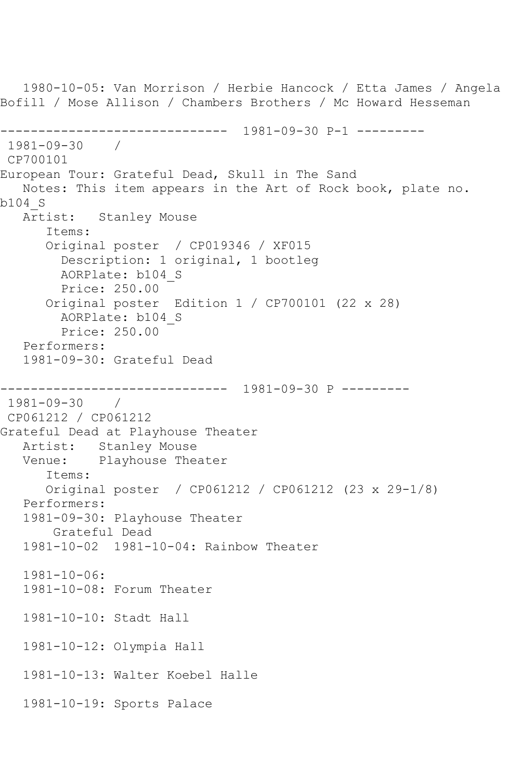1980-10-05: Van Morrison / Herbie Hancock / Etta James / Angela Bofill / Mose Allison / Chambers Brothers / Mc Howard Hesseman ------------------------------ 1981-09-30 P-1 --------- 1981-09-30 / CP700101 European Tour: Grateful Dead, Skull in The Sand Notes: This item appears in the Art of Rock book, plate no. b104\_S Artist: Stanley Mouse Items: Original poster / CP019346 / XF015 Description: 1 original, 1 bootleg AORPlate: b104\_S Price: 250.00 Original poster Edition 1 / CP700101 (22 x 28) AORPlate: b104\_S Price: 250.00 Performers: 1981-09-30: Grateful Dead ------------------------------ 1981-09-30 P --------- 1981-09-30 / CP061212 / CP061212 Grateful Dead at Playhouse Theater Artist: Stanley Mouse<br>Venue: Plavhouse Thea Playhouse Theater Items: Original poster / CP061212 / CP061212 (23 x 29-1/8) Performers: 1981-09-30: Playhouse Theater Grateful Dead 1981-10-02 1981-10-04: Rainbow Theater 1981-10-06: 1981-10-08: Forum Theater 1981-10-10: Stadt Hall 1981-10-12: Olympia Hall 1981-10-13: Walter Koebel Halle 1981-10-19: Sports Palace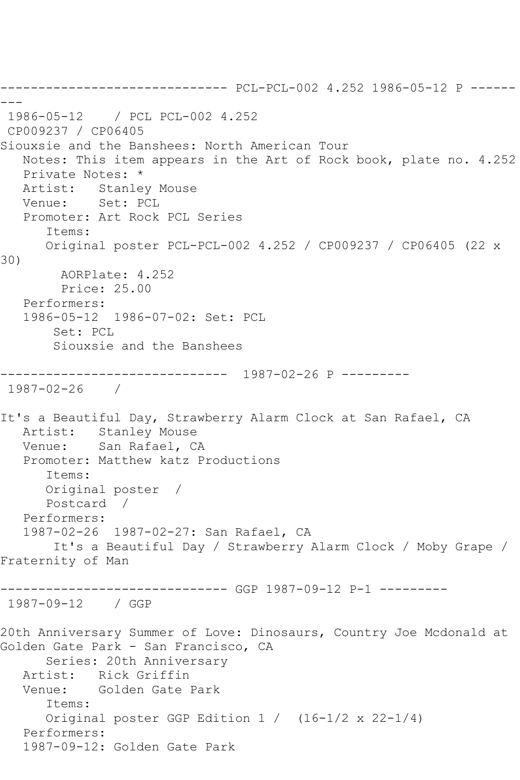------------------------------ PCL-PCL-002 4.252 1986-05-12 P ------ --- 1986-05-12 / PCL PCL-002 4.252 CP009237 / CP06405 Siouxsie and the Banshees: North American Tour Notes: This item appears in the Art of Rock book, plate no. 4.252 Private Notes: \* Artist: Stanley Mouse Venue: Set: PCL Promoter: Art Rock PCL Series Items: Original poster PCL-PCL-002 4.252 / CP009237 / CP06405 (22 x 30) AORPlate: 4.252 Price: 25.00 Performers: 1986-05-12 1986-07-02: Set: PCL Set: PCL Siouxsie and the Banshees ------------------------------ 1987-02-26 P --------- 1987-02-26 / It's a Beautiful Day, Strawberry Alarm Clock at San Rafael, CA Artist: Stanley Mouse<br>Venue: San Rafael, C San Rafael, CA Promoter: Matthew katz Productions Items: Original poster / Postcard / Performers: 1987-02-26 1987-02-27: San Rafael, CA It's a Beautiful Day / Strawberry Alarm Clock / Moby Grape / Fraternity of Man ------------------------------ GGP 1987-09-12 P-1 --------- 1987-09-12 / GGP 20th Anniversary Summer of Love: Dinosaurs, Country Joe Mcdonald at Golden Gate Park - San Francisco, CA Series: 20th Anniversary Artist: Rick Griffin Venue: Golden Gate Park Items: Original poster GGP Edition 1 / (16-1/2 x 22-1/4) Performers: 1987-09-12: Golden Gate Park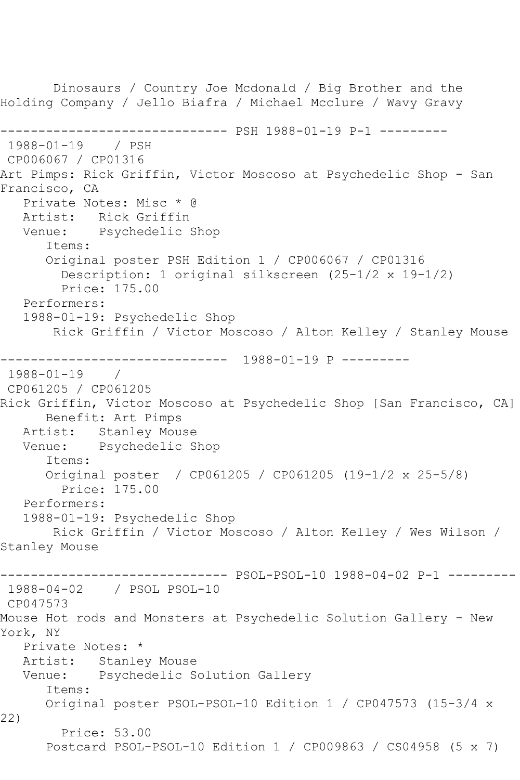Dinosaurs / Country Joe Mcdonald / Big Brother and the Holding Company / Jello Biafra / Michael Mcclure / Wavy Gravy ------------------------------ PSH 1988-01-19 P-1 --------- 1988-01-19 / PSH CP006067 / CP01316 Art Pimps: Rick Griffin, Victor Moscoso at Psychedelic Shop - San Francisco, CA Private Notes: Misc \* @ Artist: Rick Griffin Venue: Psychedelic Shop Items: Original poster PSH Edition 1 / CP006067 / CP01316 Description: 1 original silkscreen (25-1/2 x 19-1/2) Price: 175.00 Performers: 1988-01-19: Psychedelic Shop Rick Griffin / Victor Moscoso / Alton Kelley / Stanley Mouse ------------------------------ 1988-01-19 P --------- 1988-01-19 / CP061205 / CP061205 Rick Griffin, Victor Moscoso at Psychedelic Shop [San Francisco, CA] Benefit: Art Pimps Artist: Stanley Mouse Venue: Psychedelic Shop Items: Original poster / CP061205 / CP061205 (19-1/2 x 25-5/8) Price: 175.00 Performers: 1988-01-19: Psychedelic Shop Rick Griffin / Victor Moscoso / Alton Kelley / Wes Wilson / Stanley Mouse ------------------------------ PSOL-PSOL-10 1988-04-02 P-1 --------- 1988-04-02 / PSOL PSOL-10 CP047573 Mouse Hot rods and Monsters at Psychedelic Solution Gallery - New York, NY Private Notes: \* Artist: Stanley Mouse Venue: Psychedelic Solution Gallery Items: Original poster PSOL-PSOL-10 Edition 1 / CP047573 (15-3/4 x 22) Price: 53.00 Postcard PSOL-PSOL-10 Edition 1 / CP009863 / CS04958 (5 x 7)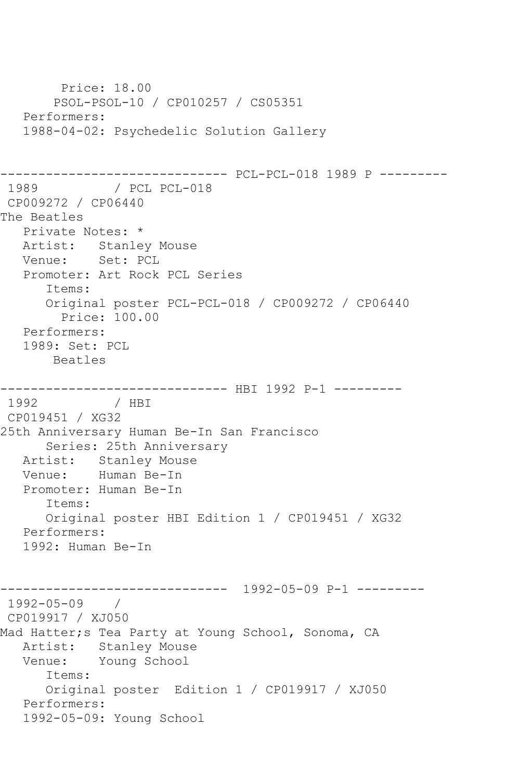```
 Price: 18.00
        PSOL-PSOL-10 / CP010257 / CS05351
   Performers:
   1988-04-02: Psychedelic Solution Gallery
------------------------------ PCL-PCL-018 1989 P ---------
              / PCL PCL-018
CP009272 / CP06440
The Beatles
   Private Notes: *
   Artist: Stanley Mouse
   Venue: Set: PCL
   Promoter: Art Rock PCL Series
       Items:
       Original poster PCL-PCL-018 / CP009272 / CP06440
         Price: 100.00
   Performers:
   1989: Set: PCL
       Beatles
------------------------------ HBI 1992 P-1 ---------
              / HBI
CP019451 / XG32
25th Anniversary Human Be-In San Francisco
      Series: 25th Anniversary
   Artist: Stanley Mouse
   Venue: Human Be-In
   Promoter: Human Be-In
       Items:
      Original poster HBI Edition 1 / CP019451 / XG32
   Performers:
   1992: Human Be-In
------------------------------ 1992-05-09 P-1 ---------
1992-05-09 / 
CP019917 / XJ050
Mad Hatter;s Tea Party at Young School, Sonoma, CA
   Artist: Stanley Mouse
   Venue: Young School
       Items:
       Original poster Edition 1 / CP019917 / XJ050
   Performers:
   1992-05-09: Young School
```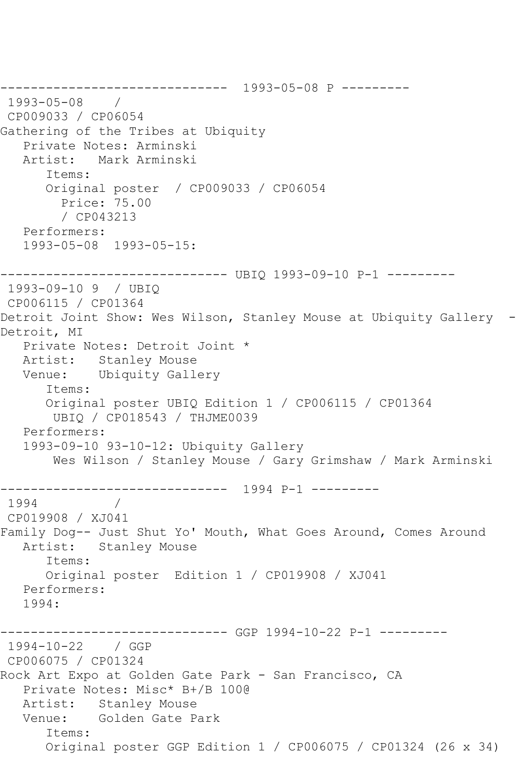```
------------------------------ 1993-05-08 P ---------
1993-05-08 / 
CP009033 / CP06054
Gathering of the Tribes at Ubiquity
   Private Notes: Arminski
   Artist: Mark Arminski
      Items:
      Original poster / CP009033 / CP06054
         Price: 75.00
        / CP043213
   Performers:
   1993-05-08 1993-05-15:
------------------------------ UBIQ 1993-09-10 P-1 ---------
1993-09-10 9 / UBIQ 
CP006115 / CP01364
Detroit Joint Show: Wes Wilson, Stanley Mouse at Ubiquity Gallery -
Detroit, MI
   Private Notes: Detroit Joint *
   Artist: Stanley Mouse
   Venue: Ubiquity Gallery
      Items:
      Original poster UBIQ Edition 1 / CP006115 / CP01364
       UBIQ / CP018543 / THJME0039
   Performers:
   1993-09-10 93-10-12: Ubiquity Gallery
       Wes Wilson / Stanley Mouse / Gary Grimshaw / Mark Arminski
     ------------------------------ 1994 P-1 ---------
1994 / 
CP019908 / XJ041
Family Dog-- Just Shut Yo' Mouth, What Goes Around, Comes Around
   Artist: Stanley Mouse
      Items:
      Original poster Edition 1 / CP019908 / XJ041
   Performers:
   1994:
------------------------------ GGP 1994-10-22 P-1 ---------
1994-10-22 / GGP 
CP006075 / CP01324
Rock Art Expo at Golden Gate Park - San Francisco, CA
   Private Notes: Misc* B+/B 100@
   Artist: Stanley Mouse
   Venue: Golden Gate Park
      Items:
      Original poster GGP Edition 1 / CP006075 / CP01324 (26 x 34)
```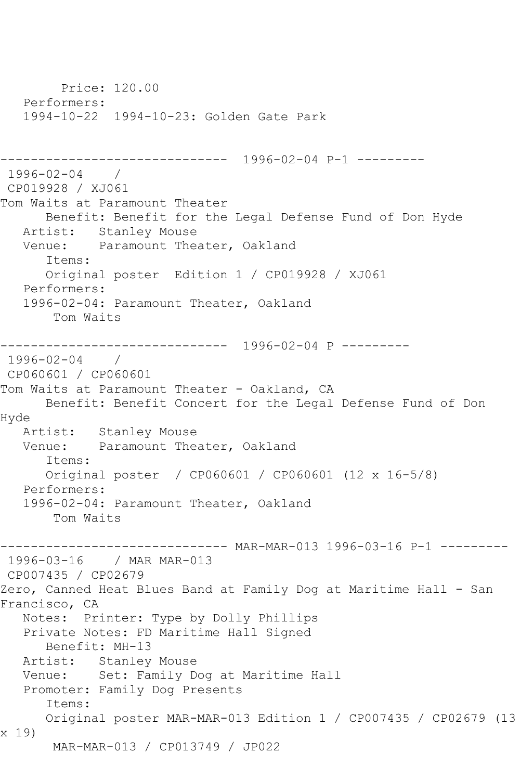Price: 120.00 Performers: 1994-10-22 1994-10-23: Golden Gate Park ------------------------------ 1996-02-04 P-1 --------- 1996-02-04 / CP019928 / XJ061 Tom Waits at Paramount Theater Benefit: Benefit for the Legal Defense Fund of Don Hyde Artist: Stanley Mouse Venue: Paramount Theater, Oakland Items: Original poster Edition 1 / CP019928 / XJ061 Performers: 1996-02-04: Paramount Theater, Oakland Tom Waits ------------------------------ 1996-02-04 P --------- 1996-02-04 / CP060601 / CP060601 Tom Waits at Paramount Theater - Oakland, CA Benefit: Benefit Concert for the Legal Defense Fund of Don Hyde Artist: Stanley Mouse Venue: Paramount Theater, Oakland Items: Original poster / CP060601 / CP060601 (12 x 16-5/8) Performers: 1996-02-04: Paramount Theater, Oakland Tom Waits ------------------------------ MAR-MAR-013 1996-03-16 P-1 --------- 1996-03-16 / MAR MAR-013 CP007435 / CP02679 Zero, Canned Heat Blues Band at Family Dog at Maritime Hall - San Francisco, CA Notes: Printer: Type by Dolly Phillips Private Notes: FD Maritime Hall Signed Benefit: MH-13 Artist: Stanley Mouse Venue: Set: Family Dog at Maritime Hall Promoter: Family Dog Presents Items: Original poster MAR-MAR-013 Edition 1 / CP007435 / CP02679 (13 x 19) MAR-MAR-013 / CP013749 / JP022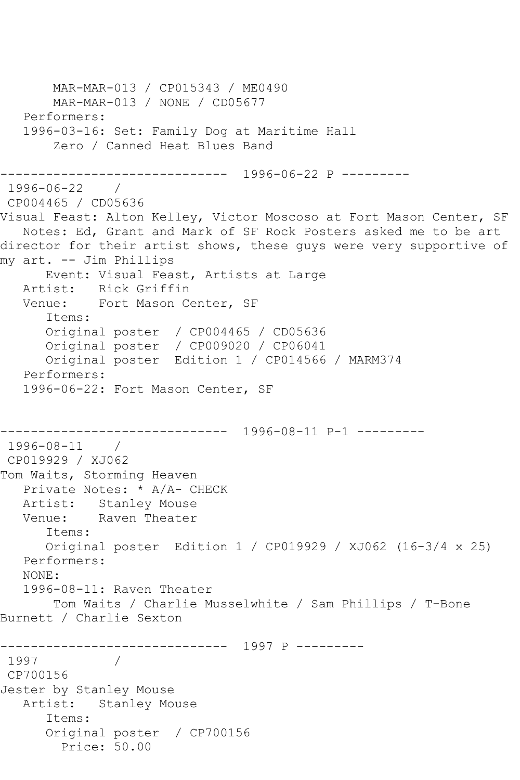```
 MAR-MAR-013 / CP015343 / ME0490
        MAR-MAR-013 / NONE / CD05677
   Performers:
    1996-03-16: Set: Family Dog at Maritime Hall
        Zero / Canned Heat Blues Band
      ------------------------------ 1996-06-22 P ---------
1996-06-22 / 
CP004465 / CD05636
Visual Feast: Alton Kelley, Victor Moscoso at Fort Mason Center, SF
    Notes: Ed, Grant and Mark of SF Rock Posters asked me to be art 
director for their artist shows, these quys were very supportive of
my art. -- Jim Phillips
       Event: Visual Feast, Artists at Large
   Artist: Rick Griffin
   Venue: Fort Mason Center, SF
       Items:
       Original poster / CP004465 / CD05636
       Original poster / CP009020 / CP06041
       Original poster Edition 1 / CP014566 / MARM374
   Performers:
   1996-06-22: Fort Mason Center, SF
                 ------------------------------ 1996-08-11 P-1 ---------
1996-08-11 / 
CP019929 / XJ062
Tom Waits, Storming Heaven
   Private Notes: * A/A- CHECK
  Artist: Stanley Mouse<br>Venue: Raven Theater
            Raven Theater
       Items:
       Original poster Edition 1 / CP019929 / XJ062 (16-3/4 x 25)
   Performers:
   NONE:
    1996-08-11: Raven Theater
        Tom Waits / Charlie Musselwhite / Sam Phillips / T-Bone 
Burnett / Charlie Sexton
------------------------------ 1997 P ---------
1997 / 
CP700156
Jester by Stanley Mouse
   Artist: Stanley Mouse
       Items:
       Original poster / CP700156
         Price: 50.00
```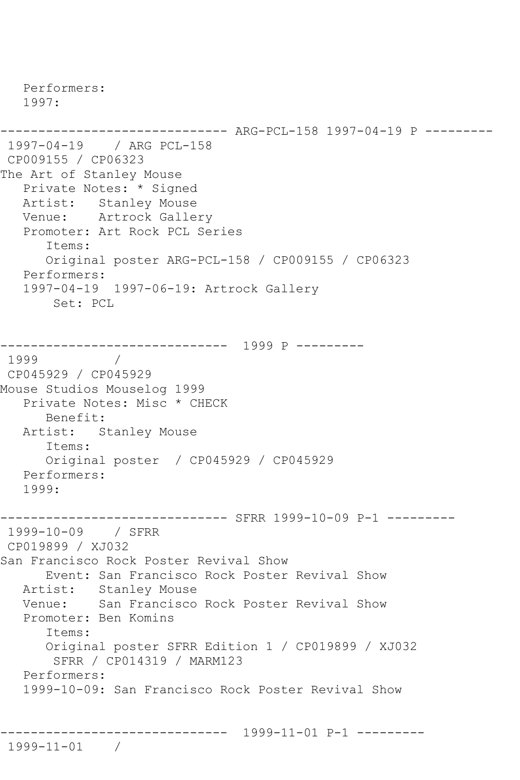Performers: 1997: ------------------------------ ARG-PCL-158 1997-04-19 P --------- 1997-04-19 / ARG PCL-158 CP009155 / CP06323 The Art of Stanley Mouse Private Notes: \* Signed Artist: Stanley Mouse Venue: Artrock Gallery Promoter: Art Rock PCL Series Items: Original poster ARG-PCL-158 / CP009155 / CP06323 Performers: 1997-04-19 1997-06-19: Artrock Gallery Set: PCL ------------------------------ 1999 P --------- 1999 / CP045929 / CP045929 Mouse Studios Mouselog 1999 Private Notes: Misc \* CHECK Benefit: Artist: Stanley Mouse Items: Original poster / CP045929 / CP045929 Performers: 1999: ------------------------------ SFRR 1999-10-09 P-1 --------- 1999-10-09 / SFRR CP019899 / XJ032 San Francisco Rock Poster Revival Show Event: San Francisco Rock Poster Revival Show Artist: Stanley Mouse Venue: San Francisco Rock Poster Revival Show Promoter: Ben Komins Items: Original poster SFRR Edition 1 / CP019899 / XJ032 SFRR / CP014319 / MARM123 Performers: 1999-10-09: San Francisco Rock Poster Revival Show ------------------------------ 1999-11-01 P-1 ---------

1999-11-01 /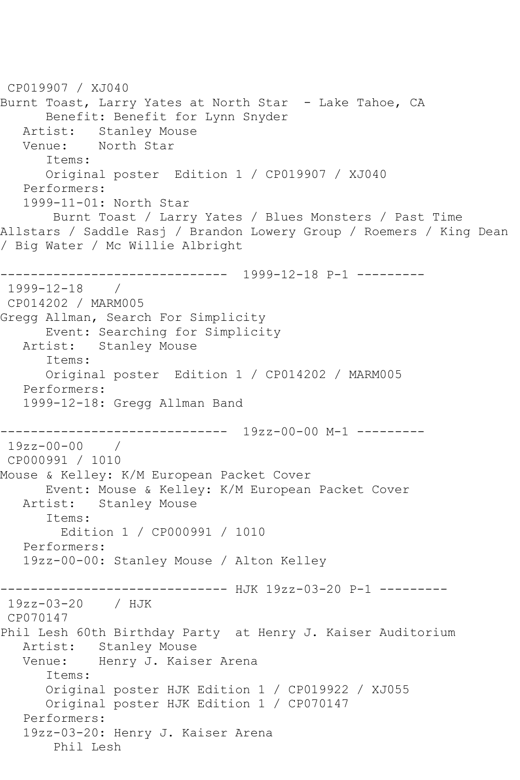```
CP019907 / XJ040
Burnt Toast, Larry Yates at North Star - Lake Tahoe, CA
       Benefit: Benefit for Lynn Snyder
  Artist: Stanley Mouse<br>Venue: North Star
            North Star
       Items:
       Original poster Edition 1 / CP019907 / XJ040
   Performers:
   1999-11-01: North Star
        Burnt Toast / Larry Yates / Blues Monsters / Past Time 
Allstars / Saddle Rasj / Brandon Lowery Group / Roemers / King Dean 
/ Big Water / Mc Willie Albright
------------------------------ 1999-12-18 P-1 ---------
1999-12-18 / 
CP014202 / MARM005
Gregg Allman, Search For Simplicity
  Event: Searching for Simplicity<br>Artist: Stanley Mouse
           Stanley Mouse
       Items:
       Original poster Edition 1 / CP014202 / MARM005
   Performers:
   1999-12-18: Gregg Allman Band
         ------------------------------ 19zz-00-00 M-1 ---------
19zz-00-00 / 
CP000991 / 1010
Mouse & Kelley: K/M European Packet Cover
      Event: Mouse & Kelley: K/M European Packet Cover
   Artist: Stanley Mouse
       Items:
         Edition 1 / CP000991 / 1010
   Performers:
    19zz-00-00: Stanley Mouse / Alton Kelley
------------------------------ HJK 19zz-03-20 P-1 ---------
19zz-03-20 / HJK 
CP070147
Phil Lesh 60th Birthday Party at Henry J. Kaiser Auditorium
   Artist: Stanley Mouse
   Venue: Henry J. Kaiser Arena
       Items:
       Original poster HJK Edition 1 / CP019922 / XJ055
       Original poster HJK Edition 1 / CP070147
    Performers:
    19zz-03-20: Henry J. Kaiser Arena
        Phil Lesh
```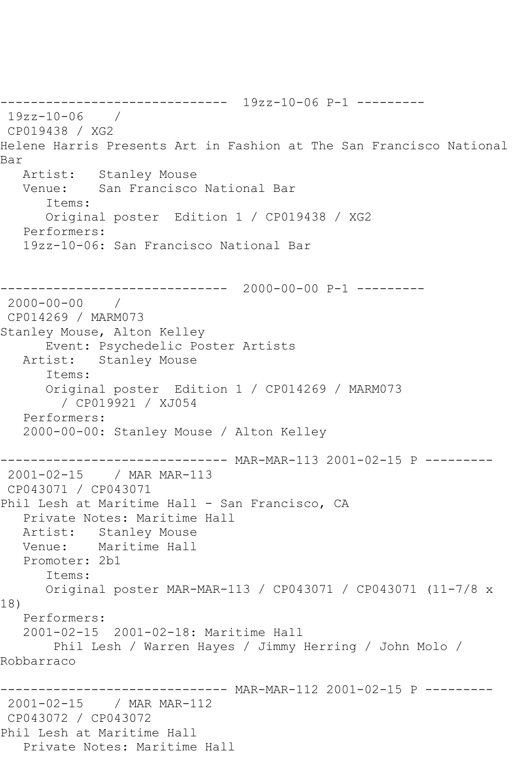------------------------------ 19zz-10-06 P-1 --------- 19zz-10-06 / CP019438 / XG2 Helene Harris Presents Art in Fashion at The San Francisco National Bar Artist: Stanley Mouse Venue: San Francisco National Bar Items: Original poster Edition 1 / CP019438 / XG2 Performers: 19zz-10-06: San Francisco National Bar ------------------------------ 2000-00-00 P-1 --------- 2000-00-00 / CP014269 / MARM073 Stanley Mouse, Alton Kelley Event: Psychedelic Poster Artists Artist: Stanley Mouse Items: Original poster Edition 1 / CP014269 / MARM073 / CP019921 / XJ054 Performers: 2000-00-00: Stanley Mouse / Alton Kelley ------------------------------ MAR-MAR-113 2001-02-15 P --------- 2001-02-15 / MAR MAR-113 CP043071 / CP043071 Phil Lesh at Maritime Hall - San Francisco, CA Private Notes: Maritime Hall Artist: Stanley Mouse Venue: Maritime Hall Promoter: 2b1 Items: Original poster MAR-MAR-113 / CP043071 / CP043071 (11-7/8 x 18) Performers: 2001-02-15 2001-02-18: Maritime Hall Phil Lesh / Warren Hayes / Jimmy Herring / John Molo / Robbarraco ------------------------------ MAR-MAR-112 2001-02-15 P --------- 2001-02-15 / MAR MAR-112 CP043072 / CP043072 Phil Lesh at Maritime Hall Private Notes: Maritime Hall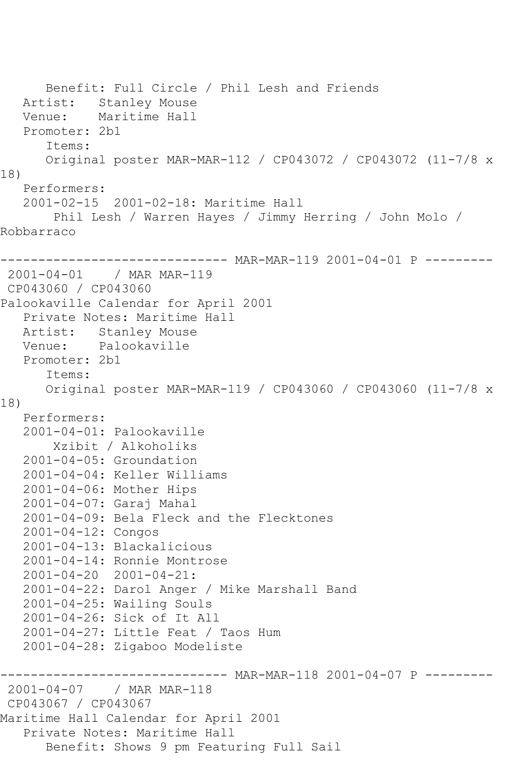Benefit: Full Circle / Phil Lesh and Friends Artist: Stanley Mouse Venue: Maritime Hall Promoter: 2b1 Items: Original poster MAR-MAR-112 / CP043072 / CP043072 (11-7/8 x 18) Performers: 2001-02-15 2001-02-18: Maritime Hall Phil Lesh / Warren Hayes / Jimmy Herring / John Molo / Robbarraco ------------------------------ MAR-MAR-119 2001-04-01 P --------- 2001-04-01 / MAR MAR-119 CP043060 / CP043060 Palookaville Calendar for April 2001 Private Notes: Maritime Hall Artist: Stanley Mouse Venue: Palookaville Promoter: 2b1 Items: Original poster MAR-MAR-119 / CP043060 / CP043060 (11-7/8 x 18) Performers: 2001-04-01: Palookaville Xzibit / Alkoholiks 2001-04-05: Groundation 2001-04-04: Keller Williams 2001-04-06: Mother Hips 2001-04-07: Garaj Mahal 2001-04-09: Bela Fleck and the Flecktones 2001-04-12: Congos 2001-04-13: Blackalicious 2001-04-14: Ronnie Montrose 2001-04-20 2001-04-21: 2001-04-22: Darol Anger / Mike Marshall Band 2001-04-25: Wailing Souls 2001-04-26: Sick of It All 2001-04-27: Little Feat / Taos Hum 2001-04-28: Zigaboo Modeliste ------------------------------ MAR-MAR-118 2001-04-07 P --------- 2001-04-07 / MAR MAR-118 CP043067 / CP043067 Maritime Hall Calendar for April 2001 Private Notes: Maritime Hall Benefit: Shows 9 pm Featuring Full Sail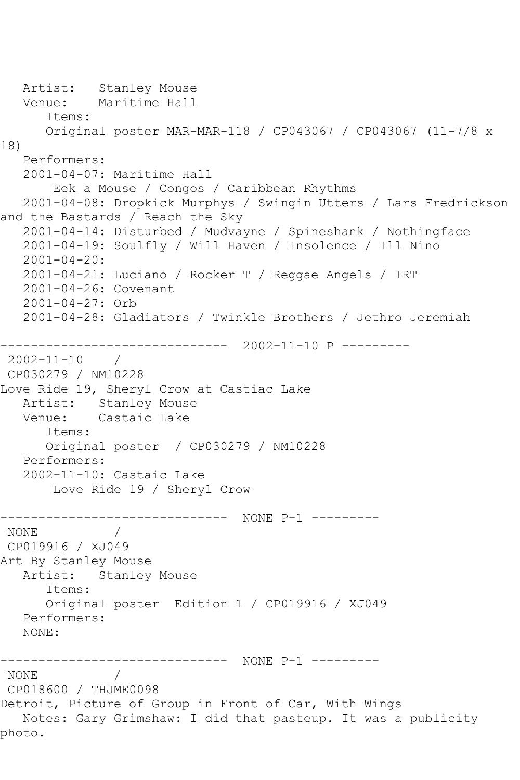Artist: Stanley Mouse<br>Venue: Maritime Hall Maritime Hall Items: Original poster MAR-MAR-118 / CP043067 / CP043067 (11-7/8 x 18) Performers: 2001-04-07: Maritime Hall Eek a Mouse / Congos / Caribbean Rhythms 2001-04-08: Dropkick Murphys / Swingin Utters / Lars Fredrickson and the Bastards / Reach the Sky 2001-04-14: Disturbed / Mudvayne / Spineshank / Nothingface 2001-04-19: Soulfly / Will Haven / Insolence / Ill Nino 2001-04-20: 2001-04-21: Luciano / Rocker T / Reggae Angels / IRT 2001-04-26: Covenant 2001-04-27: Orb 2001-04-28: Gladiators / Twinkle Brothers / Jethro Jeremiah ------------------------------ 2002-11-10 P --------- 2002-11-10 / CP030279 / NM10228 Love Ride 19, Sheryl Crow at Castiac Lake Artist: Stanley Mouse<br>Venue: Castaic Lake Castaic Lake Items: Original poster / CP030279 / NM10228 Performers: 2002-11-10: Castaic Lake Love Ride 19 / Sheryl Crow ------------------------------ NONE P-1 --------- NONE / CP019916 / XJ049 Art By Stanley Mouse Artist: Stanley Mouse Items: Original poster Edition 1 / CP019916 / XJ049 Performers: NONE: ------------------------------ NONE P-1 --------- NONE / CP018600 / THJME0098 Detroit, Picture of Group in Front of Car, With Wings Notes: Gary Grimshaw: I did that pasteup. It was a publicity photo.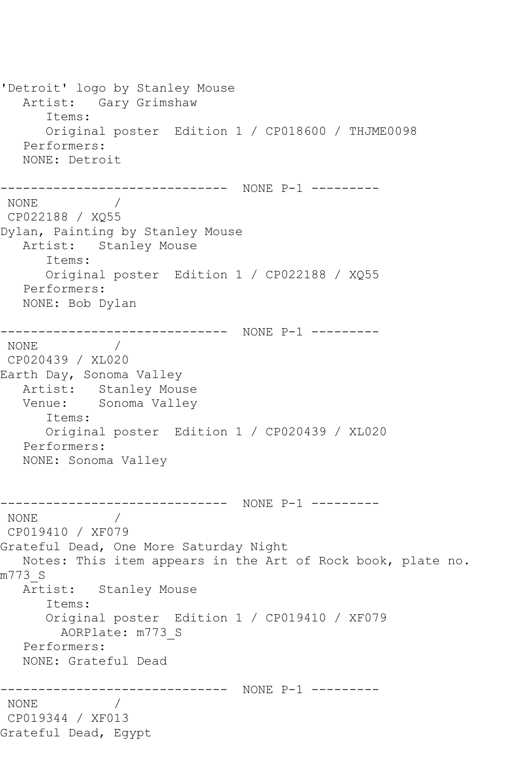'Detroit' logo by Stanley Mouse Artist: Gary Grimshaw Items: Original poster Edition 1 / CP018600 / THJME0098 Performers: NONE: Detroit ------------------------------ NONE P-1 --------- NONE / CP022188 / XQ55 Dylan, Painting by Stanley Mouse Artist: Stanley Mouse Items: Original poster Edition 1 / CP022188 / XQ55 Performers: NONE: Bob Dylan ------------------------------ NONE P-1 --------- NONE / CP020439 / XL020 Earth Day, Sonoma Valley Artist: Stanley Mouse<br>Venue: Sonoma Vallev Sonoma Valley Items: Original poster Edition 1 / CP020439 / XL020 Performers: NONE: Sonoma Valley ------------------------------ NONE P-1 --------- NONE / CP019410 / XF079 Grateful Dead, One More Saturday Night Notes: This item appears in the Art of Rock book, plate no. m773\_S Artist: Stanley Mouse Items: Original poster Edition 1 / CP019410 / XF079 AORPlate: m773\_S Performers: NONE: Grateful Dead ------------------------------ NONE P-1 --------- NONE / CP019344 / XF013 Grateful Dead, Egypt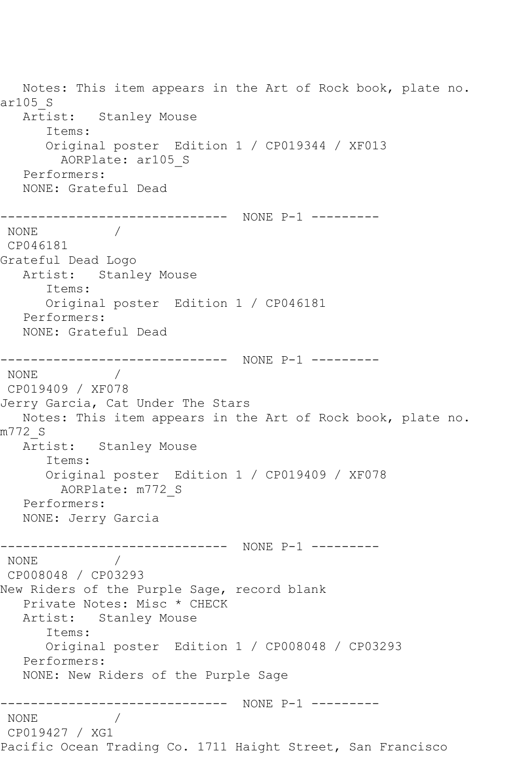Notes: This item appears in the Art of Rock book, plate no. ar105\_S Artist: Stanley Mouse Items: Original poster Edition 1 / CP019344 / XF013 AORPlate: ar105\_S Performers: NONE: Grateful Dead ------------------------------ NONE P-1 --------- NONE / CP046181 Grateful Dead Logo Artist: Stanley Mouse Items: Original poster Edition 1 / CP046181 Performers: NONE: Grateful Dead ------------------------------ NONE P-1 --------- NONE / CP019409 / XF078 Jerry Garcia, Cat Under The Stars Notes: This item appears in the Art of Rock book, plate no. m772\_S Artist: Stanley Mouse Items: Original poster Edition 1 / CP019409 / XF078 AORPlate: m772\_S Performers: NONE: Jerry Garcia ------------------------------ NONE P-1 --------- NONE / CP008048 / CP03293 New Riders of the Purple Sage, record blank Private Notes: Misc \* CHECK Artist: Stanley Mouse Items: Original poster Edition 1 / CP008048 / CP03293 Performers: NONE: New Riders of the Purple Sage ------------------------------ NONE P-1 --------- NONE / CP019427 / XG1 Pacific Ocean Trading Co. 1711 Haight Street, San Francisco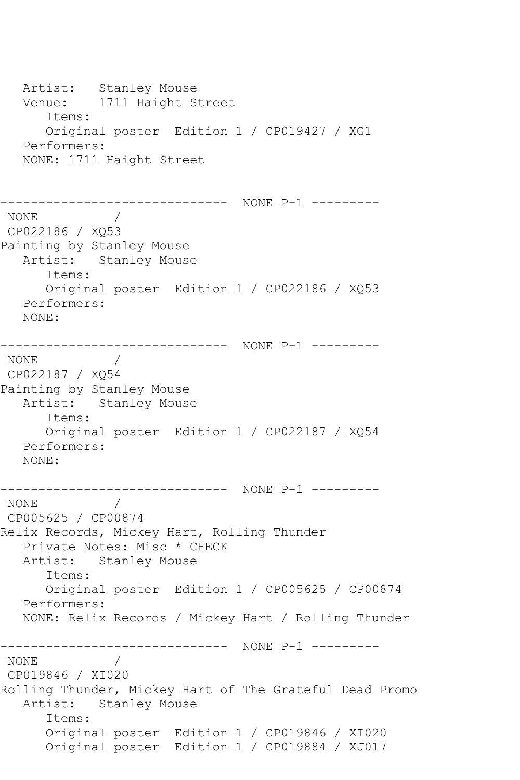Artist: Stanley Mouse Venue: 1711 Haight Street Items: Original poster Edition 1 / CP019427 / XG1 Performers: NONE: 1711 Haight Street ------------------------------ NONE P-1 --------- NONE / CP022186 / XQ53 Painting by Stanley Mouse Artist: Stanley Mouse Items: Original poster Edition 1 / CP022186 / XQ53 Performers: NONE: ------------------------------ NONE P-1 --------- NONE / CP022187 / XQ54 Painting by Stanley Mouse Artist: Stanley Mouse Items: Original poster Edition 1 / CP022187 / XQ54 Performers: NONE: ------------------------------ NONE P-1 --------- NONE / CP005625 / CP00874 Relix Records, Mickey Hart, Rolling Thunder Private Notes: Misc \* CHECK Artist: Stanley Mouse Items: Original poster Edition 1 / CP005625 / CP00874 Performers: NONE: Relix Records / Mickey Hart / Rolling Thunder ------------------------------ NONE P-1 --------- NONE / CP019846 / XI020 Rolling Thunder, Mickey Hart of The Grateful Dead Promo Artist: Stanley Mouse Items: Original poster Edition 1 / CP019846 / XI020 Original poster Edition 1 / CP019884 / XJ017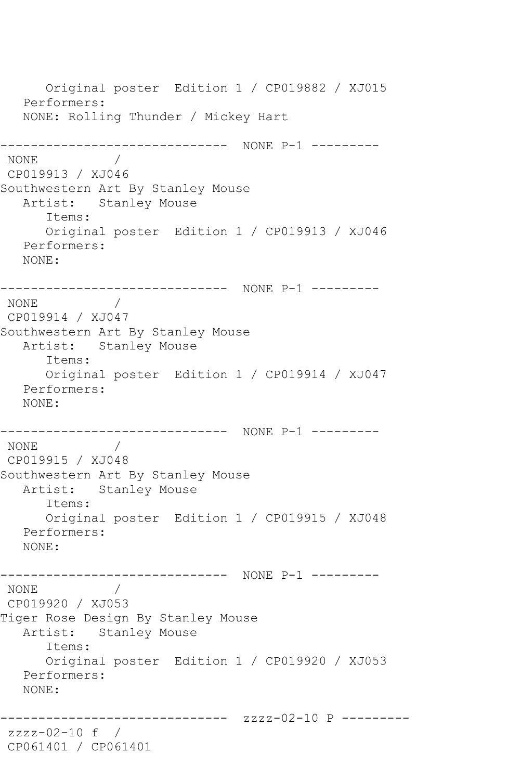Original poster Edition 1 / CP019882 / XJ015 Performers: NONE: Rolling Thunder / Mickey Hart ------------------------------ NONE P-1 --------- NONE / CP019913 / XJ046 Southwestern Art By Stanley Mouse Artist: Stanley Mouse Items: Original poster Edition 1 / CP019913 / XJ046 Performers: NONE: ------------------------------ NONE P-1 --------- NONE / CP019914 / XJ047 Southwestern Art By Stanley Mouse Artist: Stanley Mouse Items: Original poster Edition 1 / CP019914 / XJ047 Performers: NONE: ------------------------------ NONE P-1 ---------  $\sqrt{2}$ CP019915 / XJ048 Southwestern Art By Stanley Mouse Artist: Stanley Mouse Items: Original poster Edition 1 / CP019915 / XJ048 Performers: NONE: ------------------------------ NONE P-1 --------- NONE / CP019920 / XJ053 Tiger Rose Design By Stanley Mouse Artist: Stanley Mouse Items: Original poster Edition 1 / CP019920 / XJ053 Performers: NONE: --------------- zzzz-02-10 P --------zzzz-02-10 f / CP061401 / CP061401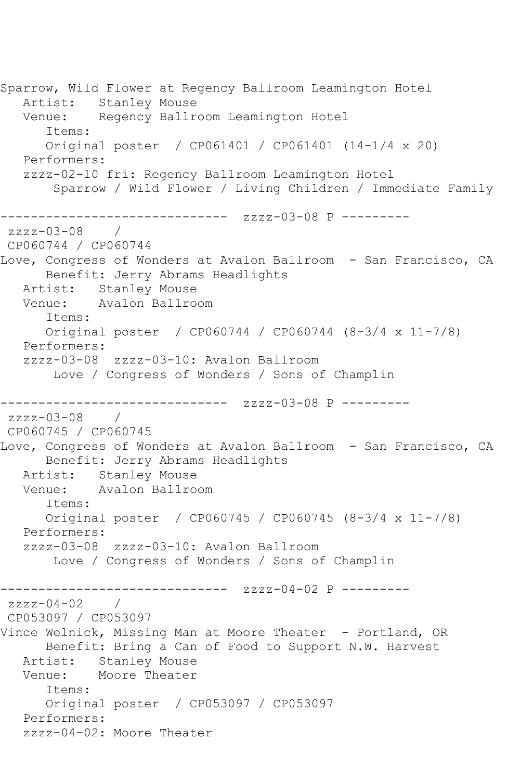```
Sparrow, Wild Flower at Regency Ballroom Leamington Hotel
   Artist: Stanley Mouse
   Venue: Regency Ballroom Leamington Hotel
      Items:
      Original poster / CP061401 / CP061401 (14-1/4 x 20)
   Performers:
   zzzz-02-10 fri: Regency Ballroom Leamington Hotel
       Sparrow / Wild Flower / Living Children / Immediate Family
------------------------------ zzzz-03-08 P ---------
zzzz-03-08 / 
CP060744 / CP060744
Love, Congress of Wonders at Avalon Ballroom - San Francisco, CA
      Benefit: Jerry Abrams Headlights
   Artist: Stanley Mouse
   Venue: Avalon Ballroom
      Items:
      Original poster / CP060744 / CP060744 (8-3/4 x 11-7/8)
   Performers:
   zzzz-03-08 zzzz-03-10: Avalon Ballroom
       Love / Congress of Wonders / Sons of Champlin
------------------------------ zzzz-03-08 P ---------
zzzz-03-08CP060745 / CP060745
Love, Congress of Wonders at Avalon Ballroom - San Francisco, CA
      Benefit: Jerry Abrams Headlights
   Artist: Stanley Mouse
   Venue: Avalon Ballroom
      Items:
      Original poster / CP060745 / CP060745 (8-3/4 x 11-7/8)
   Performers:
   zzzz-03-08 zzzz-03-10: Avalon Ballroom
       Love / Congress of Wonders / Sons of Champlin
------------------------------ zzzz-04-02 P ---------
zzzz-04-02 /
CP053097 / CP053097
Vince Welnick, Missing Man at Moore Theater - Portland, OR
      Benefit: Bring a Can of Food to Support N.W. Harvest
   Artist: Stanley Mouse
   Venue: Moore Theater
      Items:
      Original poster / CP053097 / CP053097
   Performers:
   zzzz-04-02: Moore Theater
```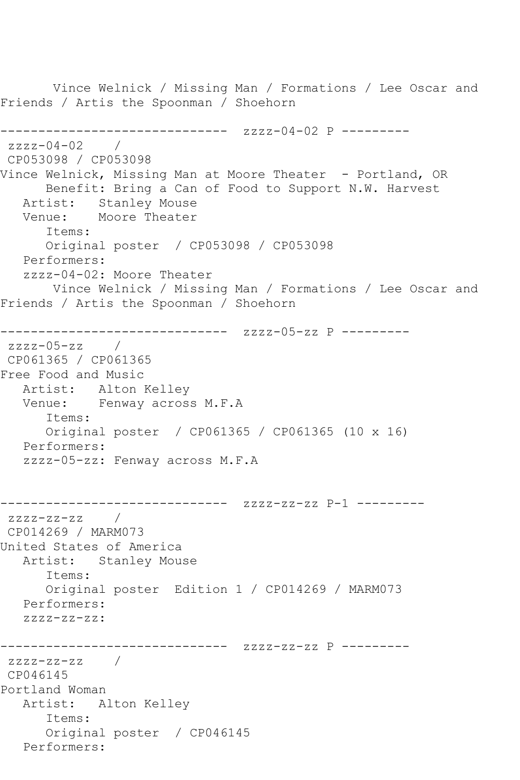Vince Welnick / Missing Man / Formations / Lee Oscar and Friends / Artis the Spoonman / Shoehorn ------------------------------ zzzz-04-02 P -------- zzzz-04-02 / CP053098 / CP053098 Vince Welnick, Missing Man at Moore Theater - Portland, OR Benefit: Bring a Can of Food to Support N.W. Harvest Artist: Stanley Mouse Venue: Moore Theater Items: Original poster / CP053098 / CP053098 Performers: zzzz-04-02: Moore Theater Vince Welnick / Missing Man / Formations / Lee Oscar and Friends / Artis the Spoonman / Shoehorn ------------------------------ zzzz-05-zz P --------  $zzzz-05-zz$  / CP061365 / CP061365 Free Food and Music Artist: Alton Kelley Venue: Fenway across M.F.A Items: Original poster / CP061365 / CP061365 (10 x 16) Performers: zzzz-05-zz: Fenway across M.F.A ------------------------------ zzzz-zz-zz P-1 -------- zzzz-zz-zz / CP014269 / MARM073 United States of America Artist: Stanley Mouse Items: Original poster Edition 1 / CP014269 / MARM073 Performers: zzzz-zz-zz: ------------------------------ zzzz-zz-zz P -------- zzzz-zz-zz / CP046145 Portland Woman Artist: Alton Kelley Items: Original poster / CP046145 Performers: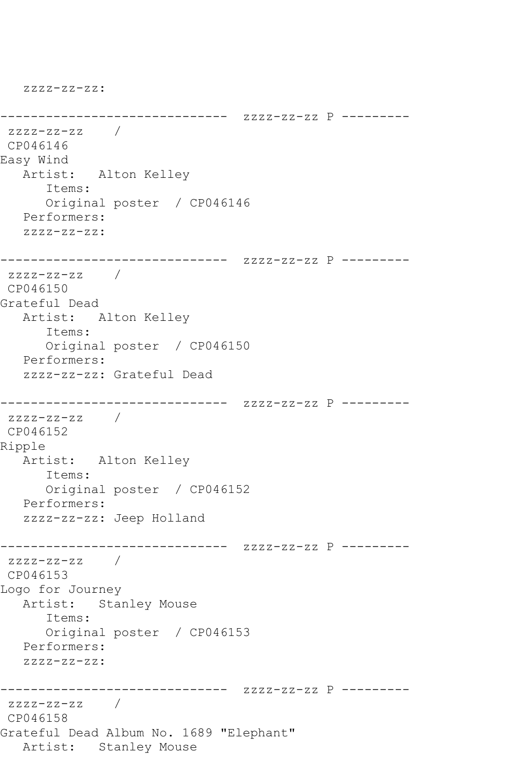------------------------------ zzzz-zz-zz P -------- zzzz-zz-zz / CP046146 Easy Wind Artist: Alton Kelley Items: Original poster / CP046146 Performers: zzzz-zz-zz: ------------------------------ zzzz-zz-zz P -------- zzzz-zz-zz / CP046150 Grateful Dead Artist: Alton Kelley Items: Original poster / CP046150 Performers: zzzz-zz-zz: Grateful Dead ------------------------------ zzzz-zz-zz P -------- zzzz-zz-zz / CP046152 Ripple Artist: Alton Kelley Items: Original poster / CP046152 Performers: zzzz-zz-zz: Jeep Holland ------------------------------ zzzz-zz-zz P --------  $zzzz-zz-zz$  / CP046153 Logo for Journey Artist: Stanley Mouse Items: Original poster / CP046153 Performers: zzzz-zz-zz: ------------------------------ zzzz-zz-zz P -------- zzzz-zz-zz / CP046158 Grateful Dead Album No. 1689 "Elephant" Artist: Stanley Mouse

zzzz-zz-zz: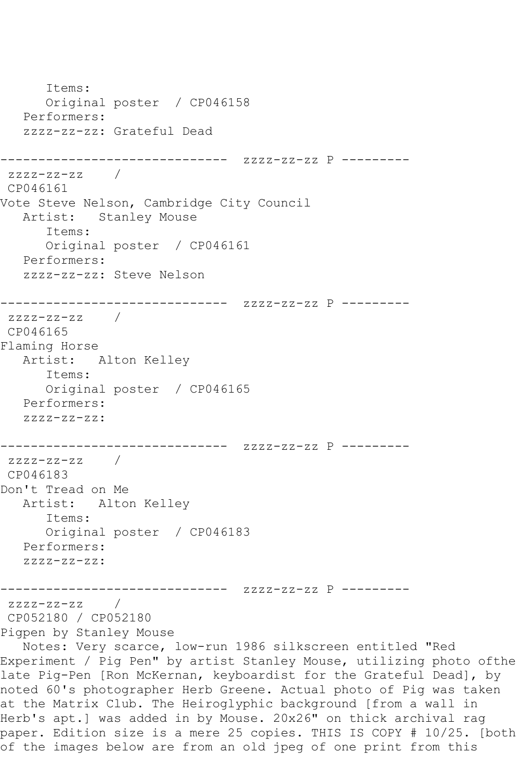Items: Original poster / CP046158 Performers: zzzz-zz-zz: Grateful Dead ------------------------------ zzzz-zz-zz P -------- zzzz-zz-zz / CP046161 Vote Steve Nelson, Cambridge City Council Artist: Stanley Mouse Items: Original poster / CP046161 Performers: zzzz-zz-zz: Steve Nelson ------------------------------ zzzz-zz-zz P -------- zzzz-zz-zz / CP046165 Flaming Horse Artist: Alton Kelley Items: Original poster / CP046165 Performers: zzzz-zz-zz: ------------------------------ zzzz-zz-zz P -------- zzzz-zz-zz / CP046183 Don't Tread on Me Artist: Alton Kelley Items: Original poster / CP046183 Performers:  $ZZZZ-ZZ-ZZ$ : ------------------------------ zzzz-zz-zz P -------- zzzz-zz-zz / CP052180 / CP052180 Pigpen by Stanley Mouse Notes: Very scarce, low-run 1986 silkscreen entitled "Red Experiment / Pig Pen" by artist Stanley Mouse, utilizing photo ofthe late Pig-Pen [Ron McKernan, keyboardist for the Grateful Dead], by noted 60's photographer Herb Greene. Actual photo of Pig was taken at the Matrix Club. The Heiroglyphic background [from a wall in Herb's apt.] was added in by Mouse. 20x26" on thick archival rag paper. Edition size is a mere 25 copies. THIS IS COPY # 10/25. [both of the images below are from an old jpeg of one print from this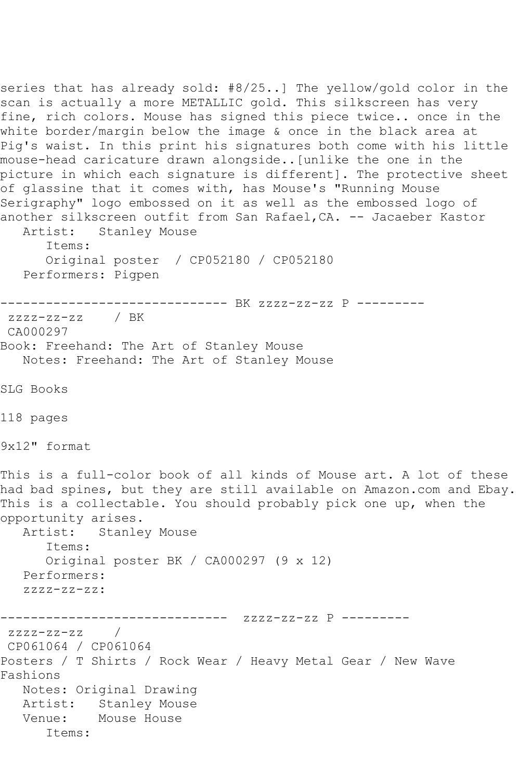series that has already sold: #8/25..] The yellow/gold color in the scan is actually a more METALLIC gold. This silkscreen has very fine, rich colors. Mouse has signed this piece twice.. once in the white border/margin below the image & once in the black area at Pig's waist. In this print his signatures both come with his little mouse-head caricature drawn alongside..[unlike the one in the picture in which each signature is different]. The protective sheet of glassine that it comes with, has Mouse's "Running Mouse Serigraphy" logo embossed on it as well as the embossed logo of another silkscreen outfit from San Rafael, CA. -- Jacaeber Kastor<br>Artist: Stanlev Mouse Stanley Mouse Items: Original poster / CP052180 / CP052180 Performers: Pigpen ------------------------------ BK zzzz-zz-zz P -------- zzzz-zz-zz / BK CA000297 Book: Freehand: The Art of Stanley Mouse Notes: Freehand: The Art of Stanley Mouse SLG Books 118 pages 9x12" format This is a full-color book of all kinds of Mouse art. A lot of these had bad spines, but they are still available on Amazon.com and Ebay. This is a collectable. You should probably pick one up, when the opportunity arises.<br>Artist: Stanle Stanley Mouse Items: Original poster BK / CA000297 (9 x 12) Performers: zzzz-zz-zz: ------------------------------ zzzz-zz-zz P -------- zzzz-zz-zz / CP061064 / CP061064 Posters / T Shirts / Rock Wear / Heavy Metal Gear / New Wave Fashions Notes: Original Drawing Artist: Stanley Mouse Venue: Mouse House Items: